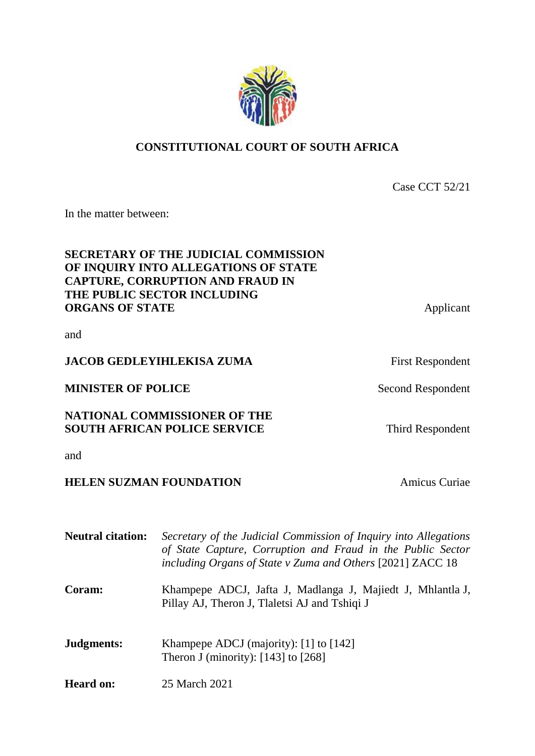# **CONSTITUTIONAL COURT OF SOUTH AFRICA**

Case CCT 52/21

In the matter between:

# **SECRETARY OF THE JUDICIAL COMMISSION OF INQUIRY INTO ALLEGATIONS OF STATE CAPTURE, CORRUPTION AND FRAUD IN THE PUBLIC SECTOR INCLUDING ORGANS OF STATE** Applicant

and

## **JACOB GEDLEYIHLEKISA ZUMA** First Respondent

**MINISTER OF POLICE** Second Respondent

## **NATIONAL COMMISSIONER OF THE SOUTH AFRICAN POLICE SERVICE** Third Respondent

and

# **HELEN SUZMAN FOUNDATION** Amicus Curiae

| <b>Neutral citation:</b> | Secretary of the Judicial Commission of Inquiry into Allegations<br>of State Capture, Corruption and Fraud in the Public Sector<br>including Organs of State v Zuma and Others [2021] ZACC 18 |
|--------------------------|-----------------------------------------------------------------------------------------------------------------------------------------------------------------------------------------------|
| Coram:                   | Khampepe ADCJ, Jafta J, Madlanga J, Majiedt J, Mhlantla J,<br>Pillay AJ, Theron J, Tlaletsi AJ and Tshiqi J                                                                                   |
| Judgments:               | Khampepe ADCJ (majority): [1] to [142]<br>Theron J (minority): $[143]$ to $[268]$                                                                                                             |
| <b>Heard on:</b>         | 25 March 2021                                                                                                                                                                                 |

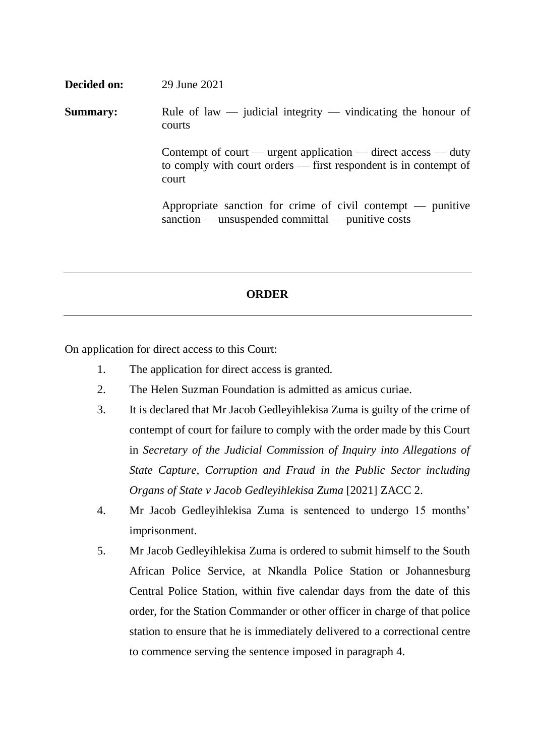| Decided on:     | 29 June 2021                                                                                                                               |
|-----------------|--------------------------------------------------------------------------------------------------------------------------------------------|
| <b>Summary:</b> | Rule of law — judicial integrity — vindicating the honour of<br>courts                                                                     |
|                 | Contempt of court — urgent application — direct access — duty<br>to comply with court orders — first respondent is in contempt of<br>court |
|                 | Appropriate sanction for crime of civil contempt $-$ punitive<br>sanction — unsuspended committal — punitive costs                         |

# **ORDER**

On application for direct access to this Court:

- 1. The application for direct access is granted.
- 2. The Helen Suzman Foundation is admitted as amicus curiae.
- 3. It is declared that Mr Jacob Gedleyihlekisa Zuma is guilty of the crime of contempt of court for failure to comply with the order made by this Court in *Secretary of the Judicial Commission of Inquiry into Allegations of State Capture, Corruption and Fraud in the Public Sector including Organs of State v Jacob Gedleyihlekisa Zuma* [2021] ZACC 2.
- 4. Mr Jacob Gedleyihlekisa Zuma is sentenced to undergo 15 months' imprisonment.
- 5. Mr Jacob Gedleyihlekisa Zuma is ordered to submit himself to the South African Police Service, at Nkandla Police Station or Johannesburg Central Police Station, within five calendar days from the date of this order, for the Station Commander or other officer in charge of that police station to ensure that he is immediately delivered to a correctional centre to commence serving the sentence imposed in paragraph 4.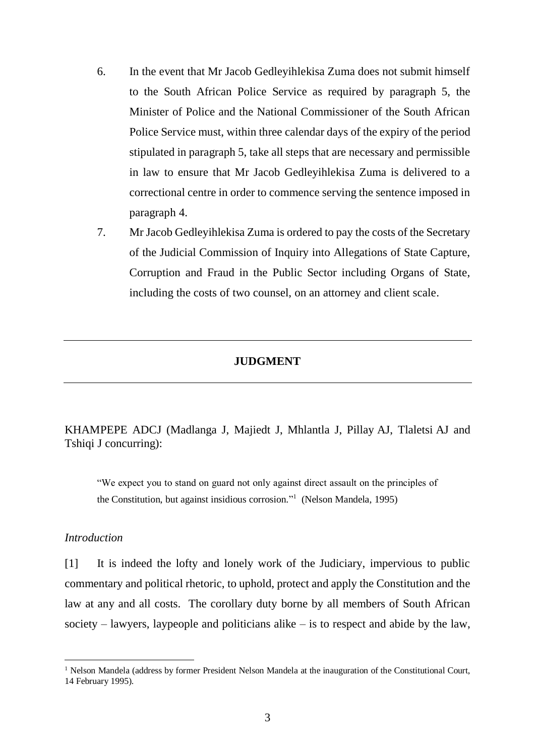- 6. In the event that Mr Jacob Gedleyihlekisa Zuma does not submit himself to the South African Police Service as required by paragraph 5, the Minister of Police and the National Commissioner of the South African Police Service must, within three calendar days of the expiry of the period stipulated in paragraph 5, take all steps that are necessary and permissible in law to ensure that Mr Jacob Gedleyihlekisa Zuma is delivered to a correctional centre in order to commence serving the sentence imposed in paragraph 4.
- 7. Mr Jacob Gedleyihlekisa Zuma is ordered to pay the costs of the Secretary of the Judicial Commission of Inquiry into Allegations of State Capture, Corruption and Fraud in the Public Sector including Organs of State, including the costs of two counsel, on an attorney and client scale.

## **JUDGMENT**

KHAMPEPE ADCJ (Madlanga J, Majiedt J, Mhlantla J, Pillay AJ, Tlaletsi AJ and Tshiqi J concurring):

"We expect you to stand on guard not only against direct assault on the principles of the Constitution, but against insidious corrosion." 1 (Nelson Mandela, 1995)

## *Introduction*

 $\overline{a}$ 

<span id="page-2-0"></span>[1] It is indeed the lofty and lonely work of the Judiciary, impervious to public commentary and political rhetoric, to uphold, protect and apply the Constitution and the law at any and all costs. The corollary duty borne by all members of South African society – lawyers, laypeople and politicians alike – is to respect and abide by the law,

<sup>&</sup>lt;sup>1</sup> Nelson Mandela (address by former President Nelson Mandela at the inauguration of the Constitutional Court, 14 February 1995).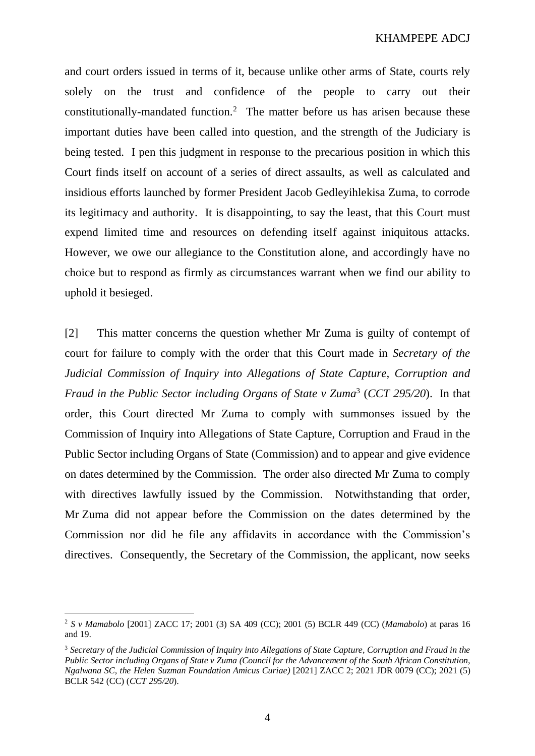and court orders issued in terms of it, because unlike other arms of State, courts rely solely on the trust and confidence of the people to carry out their constitutionally-mandated function.<sup>2</sup> The matter before us has arisen because these important duties have been called into question, and the strength of the Judiciary is being tested. I pen this judgment in response to the precarious position in which this Court finds itself on account of a series of direct assaults, as well as calculated and insidious efforts launched by former President Jacob Gedleyihlekisa Zuma, to corrode its legitimacy and authority. It is disappointing, to say the least, that this Court must expend limited time and resources on defending itself against iniquitous attacks. However, we owe our allegiance to the Constitution alone, and accordingly have no choice but to respond as firmly as circumstances warrant when we find our ability to uphold it besieged.

<span id="page-3-0"></span>[2] This matter concerns the question whether Mr Zuma is guilty of contempt of court for failure to comply with the order that this Court made in *Secretary of the Judicial Commission of Inquiry into Allegations of State Capture, Corruption and Fraud in the Public Sector including Organs of State v Zuma*<sup>3</sup> (*CCT 295/20*). In that order, this Court directed Mr Zuma to comply with summonses issued by the Commission of Inquiry into Allegations of State Capture, Corruption and Fraud in the Public Sector including Organs of State (Commission) and to appear and give evidence on dates determined by the Commission. The order also directed Mr Zuma to comply with directives lawfully issued by the Commission. Notwithstanding that order, Mr Zuma did not appear before the Commission on the dates determined by the Commission nor did he file any affidavits in accordance with the Commission's directives. Consequently, the Secretary of the Commission, the applicant, now seeks

<sup>2</sup> *S v Mamabolo* [2001] ZACC 17; 2001 (3) SA 409 (CC); 2001 (5) BCLR 449 (CC) (*Mamabolo*) at paras 16 and 19.

<sup>3</sup> *Secretary of the Judicial Commission of Inquiry into Allegations of State Capture, Corruption and Fraud in the Public Sector including Organs of State v Zuma (Council for the Advancement of the South African Constitution, Ngalwana SC, the Helen Suzman Foundation Amicus Curiae)* [2021] ZACC 2; 2021 JDR 0079 (CC); 2021 (5) BCLR 542 (CC) (*CCT 295/20*).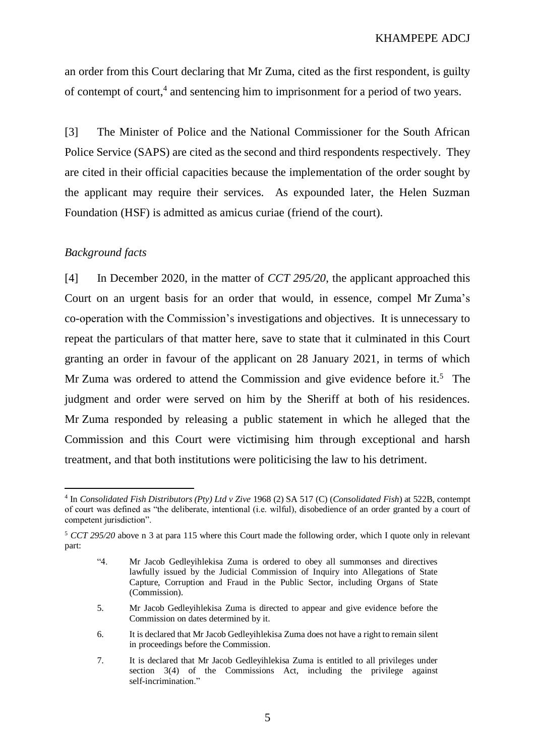<span id="page-4-0"></span>an order from this Court declaring that Mr Zuma, cited as the first respondent, is guilty of contempt of court,<sup>4</sup> and sentencing him to imprisonment for a period of two years.

[3] The Minister of Police and the National Commissioner for the South African Police Service (SAPS) are cited as the second and third respondents respectively. They are cited in their official capacities because the implementation of the order sought by the applicant may require their services. As expounded later, the Helen Suzman Foundation (HSF) is admitted as amicus curiae (friend of the court).

# *Background facts*

 $\overline{a}$ 

<span id="page-4-1"></span>[4] In December 2020, in the matter of *CCT 295/20*, the applicant approached this Court on an urgent basis for an order that would, in essence, compel Mr Zuma's co-operation with the Commission's investigations and objectives. It is unnecessary to repeat the particulars of that matter here, save to state that it culminated in this Court granting an order in favour of the applicant on 28 January 2021, in terms of which Mr Zuma was ordered to attend the Commission and give evidence before it.<sup>5</sup> The judgment and order were served on him by the Sheriff at both of his residences. Mr Zuma responded by releasing a public statement in which he alleged that the Commission and this Court were victimising him through exceptional and harsh treatment, and that both institutions were politicising the law to his detriment.

- 5. Mr Jacob Gedleyihlekisa Zuma is directed to appear and give evidence before the Commission on dates determined by it.
- 6. It is declared that Mr Jacob Gedleyihlekisa Zuma does not have a right to remain silent in proceedings before the Commission.
- 7. It is declared that Mr Jacob Gedleyihlekisa Zuma is entitled to all privileges under section 3(4) of the Commissions Act, including the privilege against self-incrimination."

<sup>4</sup> In *Consolidated Fish Distributors (Pty) Ltd v Zive* 1968 (2) SA 517 (C) (*Consolidated Fish*) at 522B, contempt of court was defined as "the deliberate, intentional (i.e. wilful), disobedience of an order granted by a court of competent jurisdiction".

<sup>5</sup> *CCT 295/20* above n [3](#page-3-0) at para 115 where this Court made the following order, which I quote only in relevant part:

<sup>&</sup>quot;4. Mr Jacob Gedleyihlekisa Zuma is ordered to obey all summonses and directives lawfully issued by the Judicial Commission of Inquiry into Allegations of State Capture, Corruption and Fraud in the Public Sector, including Organs of State (Commission).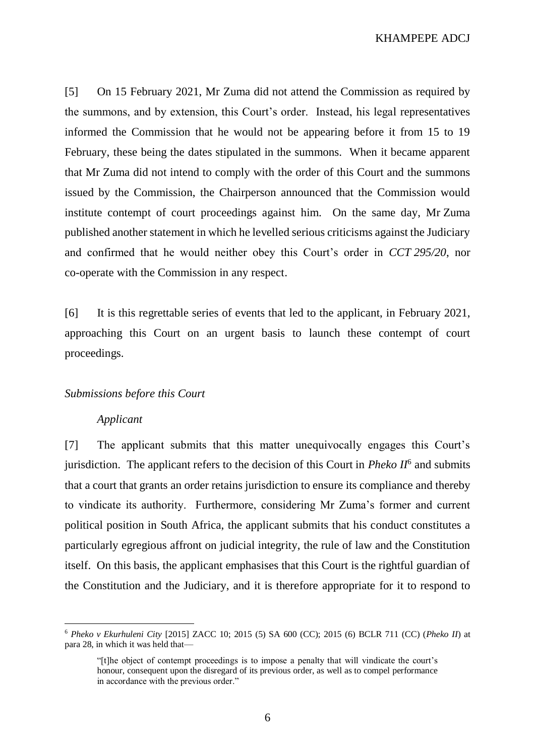[5] On 15 February 2021, Mr Zuma did not attend the Commission as required by the summons, and by extension, this Court's order. Instead, his legal representatives informed the Commission that he would not be appearing before it from 15 to 19 February, these being the dates stipulated in the summons. When it became apparent that Mr Zuma did not intend to comply with the order of this Court and the summons issued by the Commission, the Chairperson announced that the Commission would institute contempt of court proceedings against him. On the same day, Mr Zuma published another statement in which he levelled serious criticisms against the Judiciary and confirmed that he would neither obey this Court's order in *CCT 295/20*, nor co-operate with the Commission in any respect.

[6] It is this regrettable series of events that led to the applicant, in February 2021, approaching this Court on an urgent basis to launch these contempt of court proceedings.

### *Submissions before this Court*

#### *Applicant*

 $\overline{a}$ 

[7] The applicant submits that this matter unequivocally engages this Court's jurisdiction. The applicant refers to the decision of this Court in *Pheko II*<sup>6</sup> and submits that a court that grants an order retains jurisdiction to ensure its compliance and thereby to vindicate its authority. Furthermore, considering Mr Zuma's former and current political position in South Africa, the applicant submits that his conduct constitutes a particularly egregious affront on judicial integrity, the rule of law and the Constitution itself. On this basis, the applicant emphasises that this Court is the rightful guardian of the Constitution and the Judiciary, and it is therefore appropriate for it to respond to

<span id="page-5-0"></span>6

<sup>6</sup> *Pheko v Ekurhuleni City* [2015] ZACC 10; 2015 (5) SA 600 (CC); 2015 (6) BCLR 711 (CC) (*Pheko II*) at para 28, in which it was held that—

<sup>&</sup>quot;[t]he object of contempt proceedings is to impose a penalty that will vindicate the court's honour, consequent upon the disregard of its previous order, as well as to compel performance in accordance with the previous order."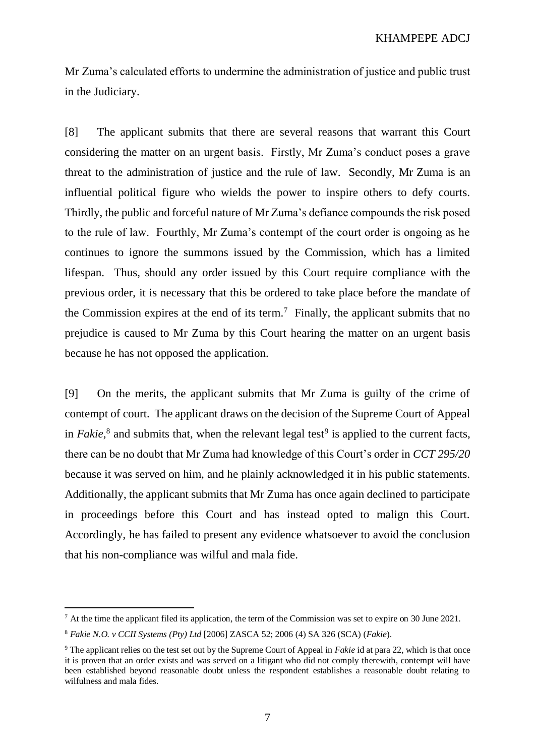Mr Zuma's calculated efforts to undermine the administration of justice and public trust in the Judiciary.

[8] The applicant submits that there are several reasons that warrant this Court considering the matter on an urgent basis. Firstly, Mr Zuma's conduct poses a grave threat to the administration of justice and the rule of law. Secondly, Mr Zuma is an influential political figure who wields the power to inspire others to defy courts. Thirdly, the public and forceful nature of Mr Zuma's defiance compounds the risk posed to the rule of law. Fourthly, Mr Zuma's contempt of the court order is ongoing as he continues to ignore the summons issued by the Commission, which has a limited lifespan. Thus, should any order issued by this Court require compliance with the previous order, it is necessary that this be ordered to take place before the mandate of the Commission expires at the end of its term.<sup>7</sup> Finally, the applicant submits that no prejudice is caused to Mr Zuma by this Court hearing the matter on an urgent basis because he has not opposed the application.

<span id="page-6-0"></span>[9] On the merits, the applicant submits that Mr Zuma is guilty of the crime of contempt of court. The applicant draws on the decision of the Supreme Court of Appeal in  $Fake$ ,  $\delta$  and submits that, when the relevant legal test<sup>9</sup> is applied to the current facts, there can be no doubt that Mr Zuma had knowledge of this Court's order in *CCT 295/20* because it was served on him, and he plainly acknowledged it in his public statements. Additionally, the applicant submits that Mr Zuma has once again declined to participate in proceedings before this Court and has instead opted to malign this Court. Accordingly, he has failed to present any evidence whatsoever to avoid the conclusion that his non-compliance was wilful and mala fide.

 $<sup>7</sup>$  At the time the applicant filed its application, the term of the Commission was set to expire on 30 June 2021.</sup>

<sup>8</sup> *Fakie N.O. v CCII Systems (Pty) Ltd* [2006] ZASCA 52; 2006 (4) SA 326 (SCA) (*Fakie*).

<sup>9</sup> The applicant relies on the test set out by the Supreme Court of Appeal in *Fakie* id at para 22, which is that once it is proven that an order exists and was served on a litigant who did not comply therewith, contempt will have been established beyond reasonable doubt unless the respondent establishes a reasonable doubt relating to wilfulness and mala fides.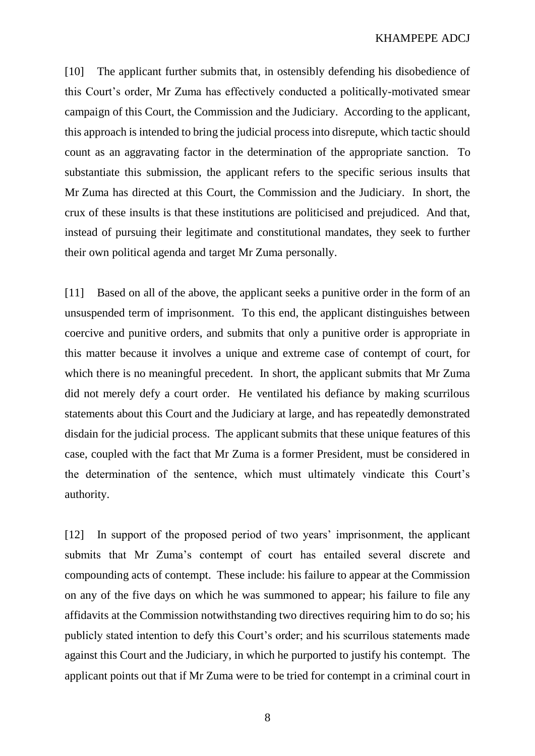[10] The applicant further submits that, in ostensibly defending his disobedience of this Court's order, Mr Zuma has effectively conducted a politically-motivated smear campaign of this Court, the Commission and the Judiciary. According to the applicant, this approach is intended to bring the judicial process into disrepute, which tactic should count as an aggravating factor in the determination of the appropriate sanction. To substantiate this submission, the applicant refers to the specific serious insults that Mr Zuma has directed at this Court, the Commission and the Judiciary. In short, the crux of these insults is that these institutions are politicised and prejudiced. And that, instead of pursuing their legitimate and constitutional mandates, they seek to further their own political agenda and target Mr Zuma personally.

[11] Based on all of the above, the applicant seeks a punitive order in the form of an unsuspended term of imprisonment. To this end, the applicant distinguishes between coercive and punitive orders, and submits that only a punitive order is appropriate in this matter because it involves a unique and extreme case of contempt of court, for which there is no meaningful precedent. In short, the applicant submits that Mr Zuma did not merely defy a court order. He ventilated his defiance by making scurrilous statements about this Court and the Judiciary at large, and has repeatedly demonstrated disdain for the judicial process. The applicant submits that these unique features of this case, coupled with the fact that Mr Zuma is a former President, must be considered in the determination of the sentence, which must ultimately vindicate this Court's authority.

[12] In support of the proposed period of two years' imprisonment, the applicant submits that Mr Zuma's contempt of court has entailed several discrete and compounding acts of contempt. These include: his failure to appear at the Commission on any of the five days on which he was summoned to appear; his failure to file any affidavits at the Commission notwithstanding two directives requiring him to do so; his publicly stated intention to defy this Court's order; and his scurrilous statements made against this Court and the Judiciary, in which he purported to justify his contempt. The applicant points out that if Mr Zuma were to be tried for contempt in a criminal court in

8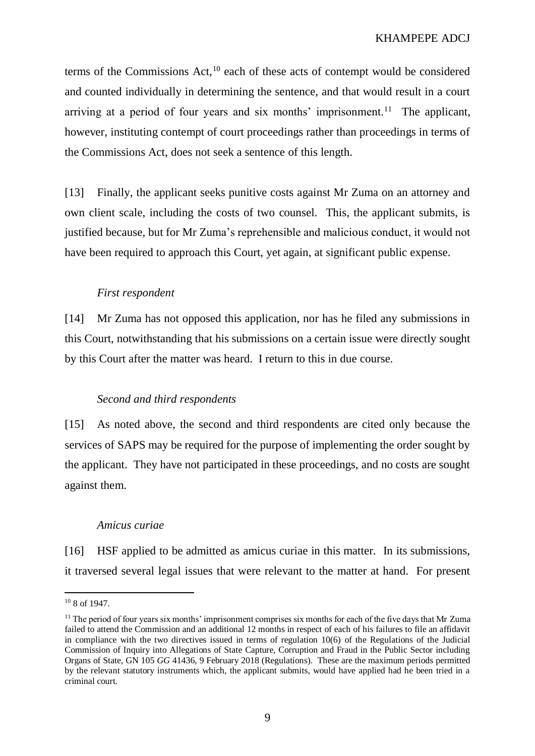terms of the Commissions Act, $10$  each of these acts of contempt would be considered and counted individually in determining the sentence, and that would result in a court arriving at a period of four years and six months' imprisonment.<sup>11</sup> The applicant, however, instituting contempt of court proceedings rather than proceedings in terms of the Commissions Act, does not seek a sentence of this length.

[13] Finally, the applicant seeks punitive costs against Mr Zuma on an attorney and own client scale, including the costs of two counsel. This, the applicant submits, is justified because, but for Mr Zuma's reprehensible and malicious conduct, it would not have been required to approach this Court, yet again, at significant public expense.

## *First respondent*

[14] Mr Zuma has not opposed this application, nor has he filed any submissions in this Court, notwithstanding that his submissions on a certain issue were directly sought by this Court after the matter was heard. I return to this in due course.

### *Second and third respondents*

[15] As noted above, the second and third respondents are cited only because the services of SAPS may be required for the purpose of implementing the order sought by the applicant. They have not participated in these proceedings, and no costs are sought against them.

### *Amicus curiae*

[16] HSF applied to be admitted as amicus curiae in this matter. In its submissions, it traversed several legal issues that were relevant to the matter at hand. For present

 $10$  8 of 1947.

<sup>&</sup>lt;sup>11</sup> The period of four years six months' imprisonment comprises six months for each of the five days that Mr Zuma failed to attend the Commission and an additional 12 months in respect of each of his failures to file an affidavit in compliance with the two directives issued in terms of regulation  $10(6)$  of the Regulations of the Judicial Commission of Inquiry into Allegations of State Capture, Corruption and Fraud in the Public Sector including Organs of State, GN 105 *GG* 41436, 9 February 2018 (Regulations). These are the maximum periods permitted by the relevant statutory instruments which, the applicant submits, would have applied had he been tried in a criminal court.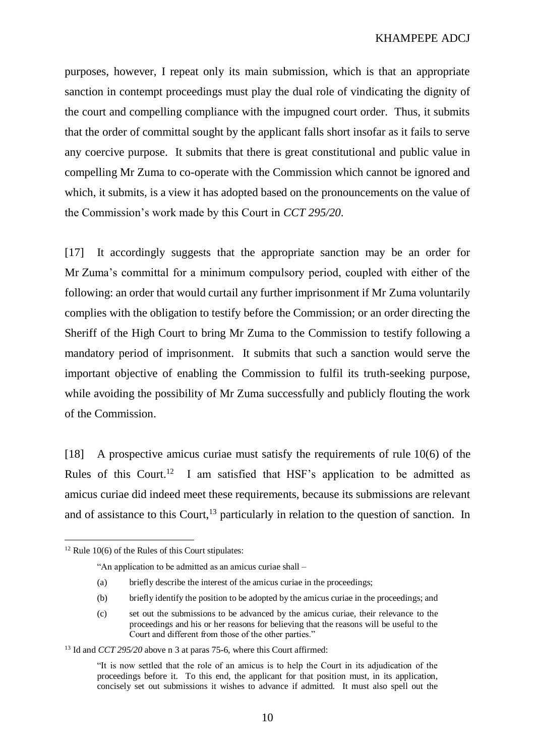purposes, however, I repeat only its main submission, which is that an appropriate sanction in contempt proceedings must play the dual role of vindicating the dignity of the court and compelling compliance with the impugned court order. Thus, it submits that the order of committal sought by the applicant falls short insofar as it fails to serve any coercive purpose. It submits that there is great constitutional and public value in compelling Mr Zuma to co-operate with the Commission which cannot be ignored and which, it submits, is a view it has adopted based on the pronouncements on the value of the Commission's work made by this Court in *CCT 295/20*.

[17] It accordingly suggests that the appropriate sanction may be an order for Mr Zuma's committal for a minimum compulsory period, coupled with either of the following: an order that would curtail any further imprisonment if Mr Zuma voluntarily complies with the obligation to testify before the Commission; or an order directing the Sheriff of the High Court to bring Mr Zuma to the Commission to testify following a mandatory period of imprisonment. It submits that such a sanction would serve the important objective of enabling the Commission to fulfil its truth-seeking purpose, while avoiding the possibility of Mr Zuma successfully and publicly flouting the work of the Commission.

[18] A prospective amicus curiae must satisfy the requirements of rule 10(6) of the Rules of this Court.<sup>12</sup> I am satisfied that HSF's application to be admitted as amicus curiae did indeed meet these requirements, because its submissions are relevant and of assistance to this Court,  $13$  particularly in relation to the question of sanction. In

 $12$  Rule 10(6) of the Rules of this Court stipulates:

<sup>&</sup>quot;An application to be admitted as an amicus curiae shall –

<sup>(</sup>a) briefly describe the interest of the amicus curiae in the proceedings;

<sup>(</sup>b) briefly identify the position to be adopted by the amicus curiae in the proceedings; and

<sup>(</sup>c) set out the submissions to be advanced by the amicus curiae, their relevance to the proceedings and his or her reasons for believing that the reasons will be useful to the Court and different from those of the other parties."

<sup>&</sup>lt;sup>13</sup> Id and *CCT* 295/20 above [n 3](#page-3-0) at paras 75-6, where this Court affirmed:

<sup>&</sup>quot;It is now settled that the role of an amicus is to help the Court in its adjudication of the proceedings before it. To this end, the applicant for that position must, in its application, concisely set out submissions it wishes to advance if admitted. It must also spell out the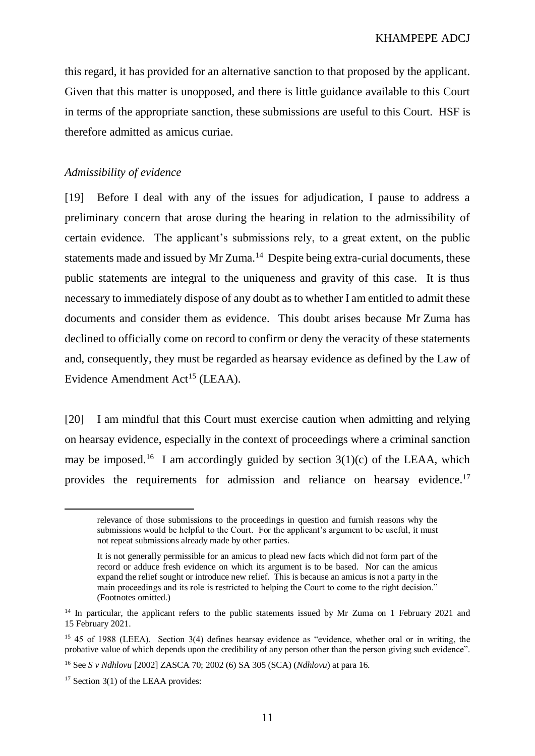this regard, it has provided for an alternative sanction to that proposed by the applicant. Given that this matter is unopposed, and there is little guidance available to this Court in terms of the appropriate sanction, these submissions are useful to this Court. HSF is therefore admitted as amicus curiae.

## *Admissibility of evidence*

<span id="page-10-1"></span>[19] Before I deal with any of the issues for adjudication, I pause to address a preliminary concern that arose during the hearing in relation to the admissibility of certain evidence. The applicant's submissions rely, to a great extent, on the public statements made and issued by Mr Zuma.<sup>14</sup> Despite being extra-curial documents, these public statements are integral to the uniqueness and gravity of this case. It is thus necessary to immediately dispose of any doubt as to whether I am entitled to admit these documents and consider them as evidence. This doubt arises because Mr Zuma has declined to officially come on record to confirm or deny the veracity of these statements and, consequently, they must be regarded as hearsay evidence as defined by the Law of Evidence Amendment Act<sup>15</sup> (LEAA).

[20] I am mindful that this Court must exercise caution when admitting and relying on hearsay evidence, especially in the context of proceedings where a criminal sanction may be imposed.<sup>16</sup> I am accordingly guided by section  $3(1)(c)$  of the LEAA, which provides the requirements for admission and reliance on hearsay evidence.<sup>17</sup>

<span id="page-10-0"></span>relevance of those submissions to the proceedings in question and furnish reasons why the submissions would be helpful to the Court. For the applicant's argument to be useful, it must not repeat submissions already made by other parties.

It is not generally permissible for an amicus to plead new facts which did not form part of the record or adduce fresh evidence on which its argument is to be based. Nor can the amicus expand the relief sought or introduce new relief. This is because an amicus is not a party in the main proceedings and its role is restricted to helping the Court to come to the right decision." (Footnotes omitted.)

<sup>&</sup>lt;sup>14</sup> In particular, the applicant refers to the public statements issued by Mr Zuma on 1 February 2021 and 15 February 2021.

<sup>15</sup> 45 of 1988 (LEEA). Section 3(4) defines hearsay evidence as "evidence, whether oral or in writing, the probative value of which depends upon the credibility of any person other than the person giving such evidence".

<sup>16</sup> See *S v Ndhlovu* [2002] ZASCA 70; 2002 (6) SA 305 (SCA) (*Ndhlovu*) at para 16.

 $17$  Section 3(1) of the LEAA provides: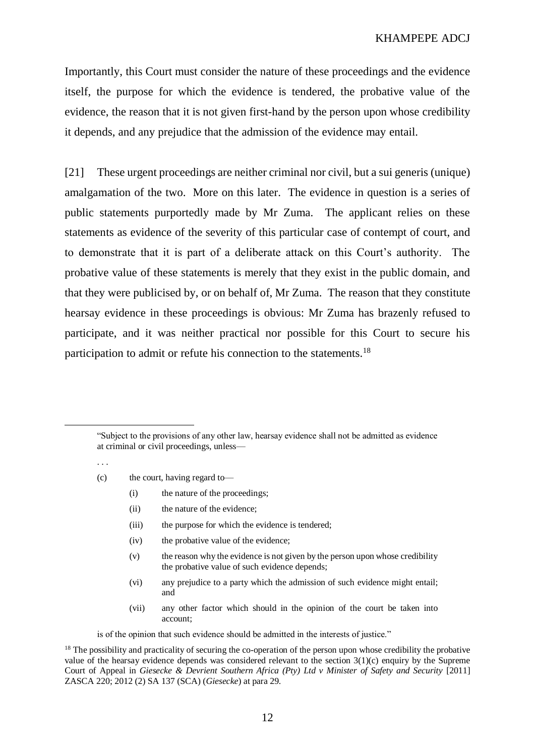Importantly, this Court must consider the nature of these proceedings and the evidence itself, the purpose for which the evidence is tendered, the probative value of the evidence, the reason that it is not given first-hand by the person upon whose credibility it depends, and any prejudice that the admission of the evidence may entail.

[21] These urgent proceedings are neither criminal nor civil, but a sui generis (unique) amalgamation of the two. More on this later. The evidence in question is a series of public statements purportedly made by Mr Zuma. The applicant relies on these statements as evidence of the severity of this particular case of contempt of court, and to demonstrate that it is part of a deliberate attack on this Court's authority. The probative value of these statements is merely that they exist in the public domain, and that they were publicised by, or on behalf of, Mr Zuma. The reason that they constitute hearsay evidence in these proceedings is obvious: Mr Zuma has brazenly refused to participate, and it was neither practical nor possible for this Court to secure his participation to admit or refute his connection to the statements.<sup>18</sup>

"Subject to the provisions of any other law, hearsay evidence shall not be admitted as evidence at criminal or civil proceedings, unless—

. . .

 $\overline{a}$ 

(c) the court, having regard to—

- <span id="page-11-0"></span>(i) the nature of the proceedings;
- (ii) the nature of the evidence;
- (iii) the purpose for which the evidence is tendered;
- (iv) the probative value of the evidence;
- (v) the reason why the evidence is not given by the person upon whose credibility the probative value of such evidence depends;
- (vi) any prejudice to a party which the admission of such evidence might entail; and
- (vii) any other factor which should in the opinion of the court be taken into account;

is of the opinion that such evidence should be admitted in the interests of justice."

 $18$  The possibility and practicality of securing the co-operation of the person upon whose credibility the probative value of the hearsay evidence depends was considered relevant to the section 3(1)(c) enquiry by the Supreme Court of Appeal in *Giesecke & Devrient Southern Africa (Pty) Ltd v Minister of Safety and Security* [2011] ZASCA 220; 2012 (2) SA 137 (SCA) (*Giesecke*) at para 29.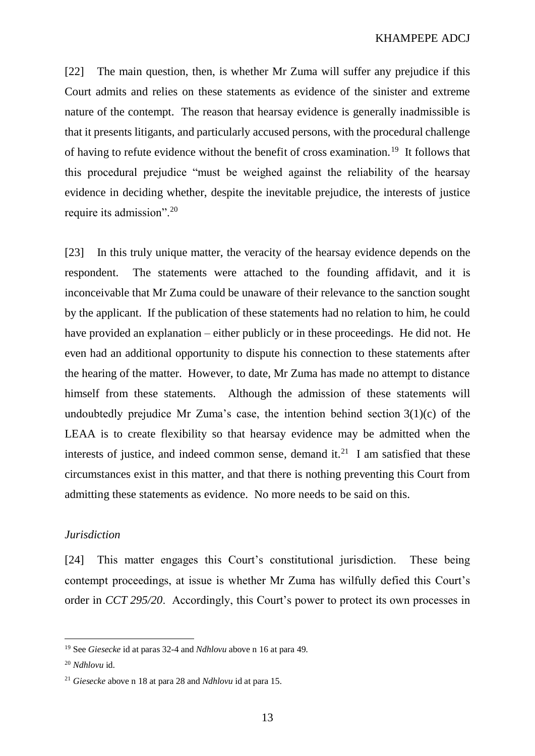[22] The main question, then, is whether Mr Zuma will suffer any prejudice if this Court admits and relies on these statements as evidence of the sinister and extreme nature of the contempt. The reason that hearsay evidence is generally inadmissible is that it presents litigants, and particularly accused persons, with the procedural challenge of having to refute evidence without the benefit of cross examination.<sup>19</sup> It follows that this procedural prejudice "must be weighed against the reliability of the hearsay evidence in deciding whether, despite the inevitable prejudice, the interests of justice require its admission".<sup>20</sup>

[23] In this truly unique matter, the veracity of the hearsay evidence depends on the respondent. The statements were attached to the founding affidavit, and it is inconceivable that Mr Zuma could be unaware of their relevance to the sanction sought by the applicant. If the publication of these statements had no relation to him, he could have provided an explanation – either publicly or in these proceedings. He did not. He even had an additional opportunity to dispute his connection to these statements after the hearing of the matter. However, to date, Mr Zuma has made no attempt to distance himself from these statements. Although the admission of these statements will undoubtedly prejudice Mr Zuma's case, the intention behind section  $3(1)(c)$  of the LEAA is to create flexibility so that hearsay evidence may be admitted when the interests of justice, and indeed common sense, demand it.<sup>21</sup> I am satisfied that these circumstances exist in this matter, and that there is nothing preventing this Court from admitting these statements as evidence. No more needs to be said on this.

## *Jurisdiction*

[24] This matter engages this Court's constitutional jurisdiction. These being contempt proceedings, at issue is whether Mr Zuma has wilfully defied this Court's order in *CCT 295/20*. Accordingly, this Court's power to protect its own processes in

<sup>19</sup> See *Giesecke* id at paras 32-4 and *Ndhlovu* above n [16](#page-10-0) at para 49.

<sup>20</sup> *Ndhlovu* id.

<sup>21</sup> *Giesecke* above [n 18](#page-11-0) at para 28 and *Ndhlovu* id at para 15.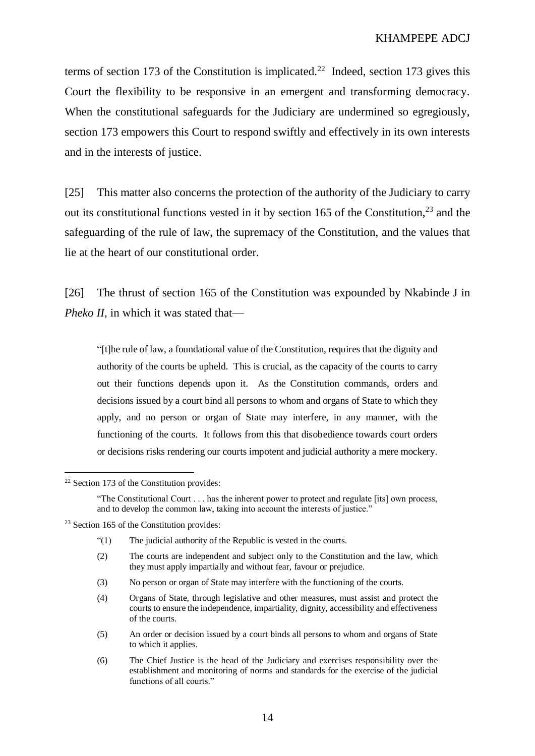terms of section 173 of the Constitution is implicated.<sup>22</sup> Indeed, section 173 gives this Court the flexibility to be responsive in an emergent and transforming democracy. When the constitutional safeguards for the Judiciary are undermined so egregiously, section 173 empowers this Court to respond swiftly and effectively in its own interests and in the interests of justice.

[25] This matter also concerns the protection of the authority of the Judiciary to carry out its constitutional functions vested in it by section 165 of the Constitution,<sup>23</sup> and the safeguarding of the rule of law, the supremacy of the Constitution, and the values that lie at the heart of our constitutional order.

[26] The thrust of section 165 of the Constitution was expounded by Nkabinde J in *Pheko II*, in which it was stated that—

"[t]he rule of law, a foundational value of the Constitution, requires that the dignity and authority of the courts be upheld. This is crucial, as the capacity of the courts to carry out their functions depends upon it. As the Constitution commands, orders and decisions issued by a court bind all persons to whom and organs of State to which they apply, and no person or organ of State may interfere, in any manner, with the functioning of the courts. It follows from this that disobedience towards court orders or decisions risks rendering our courts impotent and judicial authority a mere mockery.

- "(1) The judicial authority of the Republic is vested in the courts.
- (2) The courts are independent and subject only to the Constitution and the law, which they must apply impartially and without fear, favour or prejudice.
- (3) No person or organ of State may interfere with the functioning of the courts.
- (4) Organs of State, through legislative and other measures, must assist and protect the courts to ensure the independence, impartiality, dignity, accessibility and effectiveness of the courts.
- (5) An order or decision issued by a court binds all persons to whom and organs of State to which it applies.
- (6) The Chief Justice is the head of the Judiciary and exercises responsibility over the establishment and monitoring of norms and standards for the exercise of the judicial functions of all courts."

<sup>22</sup> Section 173 of the Constitution provides:

<sup>&</sup>quot;The Constitutional Court . . . has the inherent power to protect and regulate [its] own process, and to develop the common law, taking into account the interests of justice."

 $23$  Section 165 of the Constitution provides: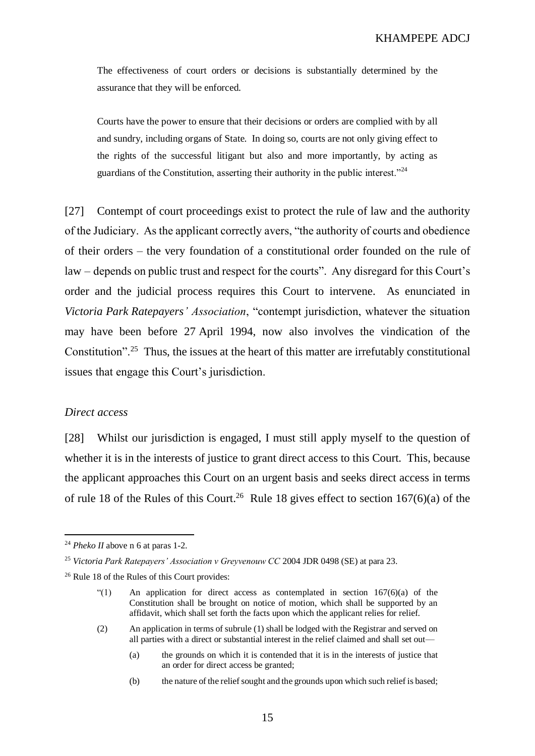The effectiveness of court orders or decisions is substantially determined by the assurance that they will be enforced.

Courts have the power to ensure that their decisions or orders are complied with by all and sundry, including organs of State. In doing so, courts are not only giving effect to the rights of the successful litigant but also and more importantly, by acting as guardians of the Constitution, asserting their authority in the public interest."<sup>24</sup>

[27] Contempt of court proceedings exist to protect the rule of law and the authority of the Judiciary. As the applicant correctly avers, "the authority of courts and obedience of their orders – the very foundation of a constitutional order founded on the rule of law – depends on public trust and respect for the courts". Any disregard for this Court's order and the judicial process requires this Court to intervene. As enunciated in *Victoria Park Ratepayers' Association*, "contempt jurisdiction, whatever the situation may have been before 27 April 1994, now also involves the vindication of the Constitution"<sup>25</sup> Thus, the issues at the heart of this matter are irrefutably constitutional issues that engage this Court's jurisdiction.

### <span id="page-14-0"></span>*Direct access*

 $\overline{a}$ 

[28] Whilst our jurisdiction is engaged, I must still apply myself to the question of whether it is in the interests of justice to grant direct access to this Court. This, because the applicant approaches this Court on an urgent basis and seeks direct access in terms of rule 18 of the Rules of this Court.<sup>26</sup> Rule 18 gives effect to section  $167(6)(a)$  of the

<sup>24</sup> *Pheko II* above [n 6](#page-5-0) at paras 1-2.

<sup>25</sup> *Victoria Park Ratepayers' Association v Greyvenouw CC* 2004 JDR 0498 (SE) at para 23.

<sup>26</sup> Rule 18 of the Rules of this Court provides:

<sup>&</sup>quot;(1) An application for direct access as contemplated in section  $167(6)(a)$  of the Constitution shall be brought on notice of motion, which shall be supported by an affidavit, which shall set forth the facts upon which the applicant relies for relief.

<sup>(2)</sup> An application in terms of subrule (1) shall be lodged with the Registrar and served on all parties with a direct or substantial interest in the relief claimed and shall set out—

<sup>(</sup>a) the grounds on which it is contended that it is in the interests of justice that an order for direct access be granted;

<sup>(</sup>b) the nature of the relief sought and the grounds upon which such relief is based;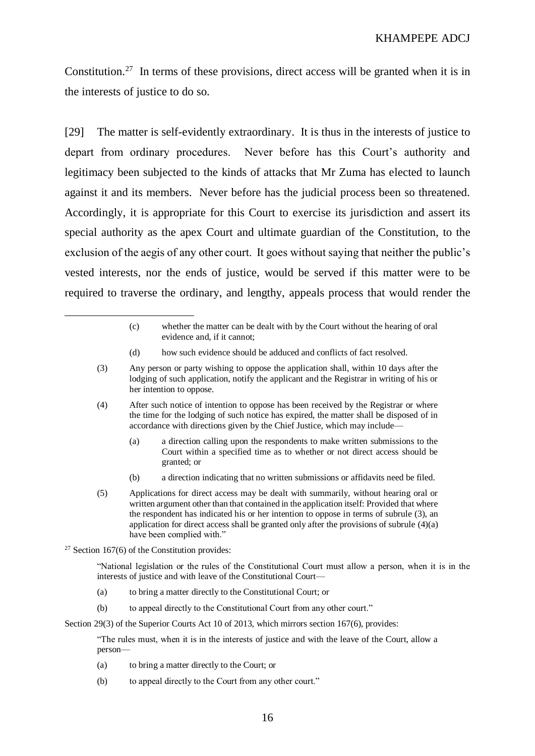Constitution.<sup>27</sup> In terms of these provisions, direct access will be granted when it is in the interests of justice to do so.

[29] The matter is self-evidently extraordinary. It is thus in the interests of justice to depart from ordinary procedures. Never before has this Court's authority and legitimacy been subjected to the kinds of attacks that Mr Zuma has elected to launch against it and its members. Never before has the judicial process been so threatened. Accordingly, it is appropriate for this Court to exercise its jurisdiction and assert its special authority as the apex Court and ultimate guardian of the Constitution, to the exclusion of the aegis of any other court. It goes without saying that neither the public's vested interests, nor the ends of justice, would be served if this matter were to be required to traverse the ordinary, and lengthy, appeals process that would render the

- (4) After such notice of intention to oppose has been received by the Registrar or where the time for the lodging of such notice has expired, the matter shall be disposed of in accordance with directions given by the Chief Justice, which may include—
	- (a) a direction calling upon the respondents to make written submissions to the Court within a specified time as to whether or not direct access should be granted; or
	- (b) a direction indicating that no written submissions or affidavits need be filed.
- (5) Applications for direct access may be dealt with summarily, without hearing oral or written argument other than that contained in the application itself: Provided that where the respondent has indicated his or her intention to oppose in terms of subrule (3), an application for direct access shall be granted only after the provisions of subrule (4)(a) have been complied with."
- $27$  Section 167(6) of the Constitution provides:

 $\overline{a}$ 

"National legislation or the rules of the Constitutional Court must allow a person, when it is in the interests of justice and with leave of the Constitutional Court—

- (a) to bring a matter directly to the Constitutional Court; or
- (b) to appeal directly to the Constitutional Court from any other court."

Section 29(3) of the Superior Courts Act 10 of 2013, which mirrors section 167(6), provides:

"The rules must, when it is in the interests of justice and with the leave of the Court, allow a person—

- (a) to bring a matter directly to the Court; or
- (b) to appeal directly to the Court from any other court."

<sup>(</sup>c) whether the matter can be dealt with by the Court without the hearing of oral evidence and, if it cannot;

<sup>(</sup>d) how such evidence should be adduced and conflicts of fact resolved.

<sup>(3)</sup> Any person or party wishing to oppose the application shall, within 10 days after the lodging of such application, notify the applicant and the Registrar in writing of his or her intention to oppose.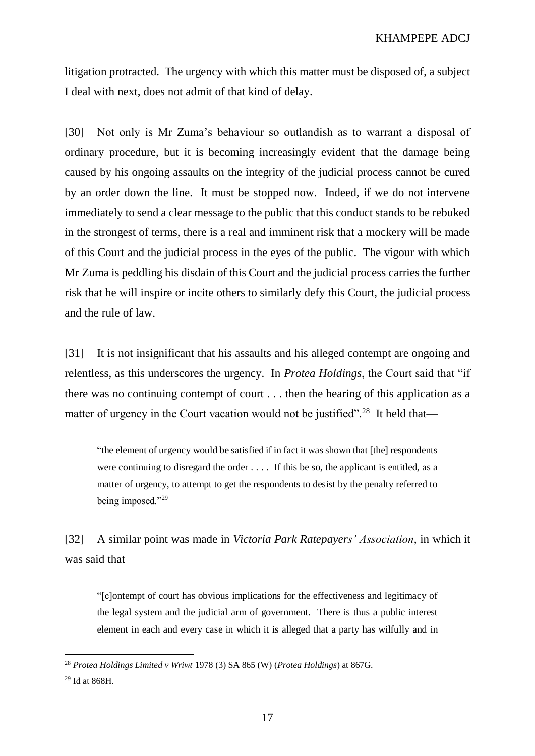litigation protracted. The urgency with which this matter must be disposed of, a subject I deal with next, does not admit of that kind of delay.

[30] Not only is Mr Zuma's behaviour so outlandish as to warrant a disposal of ordinary procedure, but it is becoming increasingly evident that the damage being caused by his ongoing assaults on the integrity of the judicial process cannot be cured by an order down the line. It must be stopped now. Indeed, if we do not intervene immediately to send a clear message to the public that this conduct stands to be rebuked in the strongest of terms, there is a real and imminent risk that a mockery will be made of this Court and the judicial process in the eyes of the public. The vigour with which Mr Zuma is peddling his disdain of this Court and the judicial process carries the further risk that he will inspire or incite others to similarly defy this Court, the judicial process and the rule of law.

[31] It is not insignificant that his assaults and his alleged contempt are ongoing and relentless, as this underscores the urgency. In *Protea Holdings*, the Court said that "if there was no continuing contempt of court . . . then the hearing of this application as a matter of urgency in the Court vacation would not be justified".<sup>28</sup> It held that—

<span id="page-16-0"></span>"the element of urgency would be satisfied if in fact it was shown that [the] respondents were continuing to disregard the order . . . . If this be so, the applicant is entitled, as a matter of urgency, to attempt to get the respondents to desist by the penalty referred to being imposed."<sup>29</sup>

[32] A similar point was made in *Victoria Park Ratepayers' Association*, in which it was said that—

"[c]ontempt of court has obvious implications for the effectiveness and legitimacy of the legal system and the judicial arm of government. There is thus a public interest element in each and every case in which it is alleged that a party has wilfully and in

<sup>28</sup> *Protea Holdings Limited v Wriwt* 1978 (3) SA 865 (W) (*Protea Holdings*) at 867G.

<sup>29</sup> Id at 868H.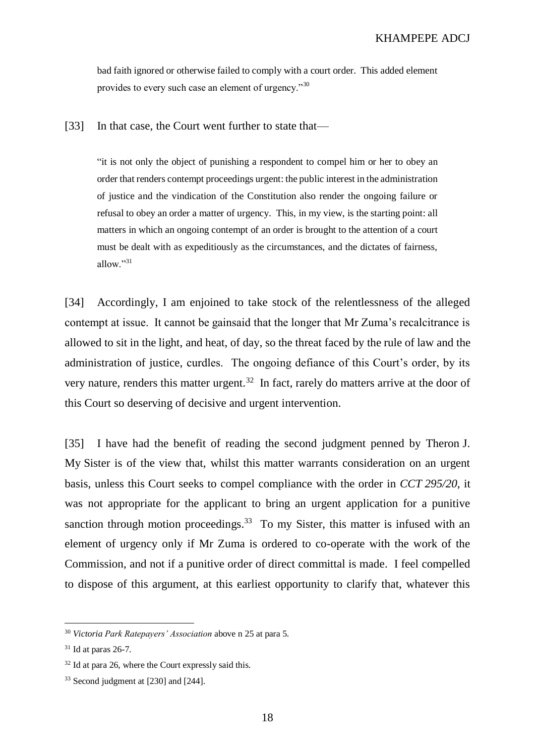bad faith ignored or otherwise failed to comply with a court order. This added element provides to every such case an element of urgency."<sup>30</sup>

[33] In that case, the Court went further to state that—

"it is not only the object of punishing a respondent to compel him or her to obey an order that renders contempt proceedings urgent: the public interest in the administration of justice and the vindication of the Constitution also render the ongoing failure or refusal to obey an order a matter of urgency. This, in my view, is the starting point: all matters in which an ongoing contempt of an order is brought to the attention of a court must be dealt with as expeditiously as the circumstances, and the dictates of fairness, allow." $31$ 

[34] Accordingly, I am enjoined to take stock of the relentlessness of the alleged contempt at issue. It cannot be gainsaid that the longer that Mr Zuma's recalcitrance is allowed to sit in the light, and heat, of day, so the threat faced by the rule of law and the administration of justice, curdles. The ongoing defiance of this Court's order, by its very nature, renders this matter urgent.<sup>32</sup> In fact, rarely do matters arrive at the door of this Court so deserving of decisive and urgent intervention.

[35] I have had the benefit of reading the second judgment penned by Theron J. My Sister is of the view that, whilst this matter warrants consideration on an urgent basis, unless this Court seeks to compel compliance with the order in *CCT 295/20*, it was not appropriate for the applicant to bring an urgent application for a punitive sanction through motion proceedings.<sup>33</sup> To my Sister, this matter is infused with an element of urgency only if Mr Zuma is ordered to co-operate with the work of the Commission, and not if a punitive order of direct committal is made. I feel compelled to dispose of this argument, at this earliest opportunity to clarify that, whatever this

<sup>30</sup> *Victoria Park Ratepayers' Association* above n [25](#page-14-0) at para 5.

 $31$  Id at paras 26-7.

 $32$  Id at para 26, where the Court expressly said this.

<sup>&</sup>lt;sup>33</sup> Second judgment at [\[230\]](#page-106-0) an[d \[244\].](#page-112-0)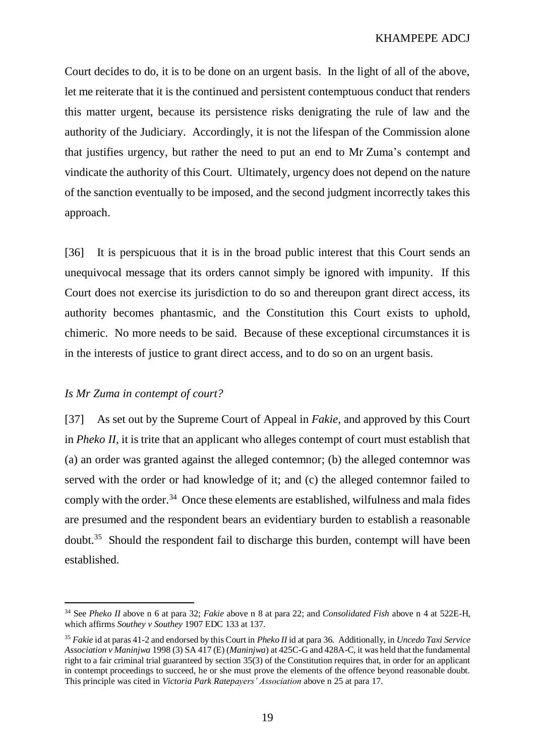Court decides to do, it is to be done on an urgent basis. In the light of all of the above, let me reiterate that it is the continued and persistent contemptuous conduct that renders this matter urgent, because its persistence risks denigrating the rule of law and the authority of the Judiciary. Accordingly, it is not the lifespan of the Commission alone that justifies urgency, but rather the need to put an end to Mr Zuma's contempt and vindicate the authority of this Court. Ultimately, urgency does not depend on the nature of the sanction eventually to be imposed, and the second judgment incorrectly takes this approach.

[36] It is perspicuous that it is in the broad public interest that this Court sends an unequivocal message that its orders cannot simply be ignored with impunity. If this Court does not exercise its jurisdiction to do so and thereupon grant direct access, its authority becomes phantasmic, and the Constitution this Court exists to uphold, chimeric. No more needs to be said. Because of these exceptional circumstances it is in the interests of justice to grant direct access, and to do so on an urgent basis.

## *Is Mr Zuma in contempt of court?*

 $\overline{a}$ 

[37] As set out by the Supreme Court of Appeal in *Fakie,* and approved by this Court in *Pheko II*, it is trite that an applicant who alleges contempt of court must establish that (a) an order was granted against the alleged contemnor; (b) the alleged contemnor was served with the order or had knowledge of it; and (c) the alleged contemnor failed to comply with the order.<sup>34</sup> Once these elements are established, wilfulness and mala fides are presumed and the respondent bears an evidentiary burden to establish a reasonable doubt.<sup>35</sup> Should the respondent fail to discharge this burden, contempt will have been established.

<sup>34</sup> See *Pheko II* above n [6](#page-5-0) at para 32; *Fakie* above n [8](#page-6-0) at para 22; and *Consolidated Fish* above n [4](#page-4-0) at 522E-H, which affirms *Southey v Southey* 1907 EDC 133 at 137.

<sup>35</sup> *Fakie* id at paras 41-2 and endorsed by this Court in *Pheko II* id at para 36. Additionally, in *Uncedo Taxi Service Association v Maninjwa* 1998 (3) SA 417 (E) (*Maninjwa*) at 425C-G and 428A-C, it was held that the fundamental right to a fair criminal trial guaranteed by section 35(3) of the Constitution requires that, in order for an applicant in contempt proceedings to succeed, he or she must prove the elements of the offence beyond reasonable doubt. This principle was cited in *Victoria Park Ratepayers' Association* above [n 25](#page-14-0) at para 17.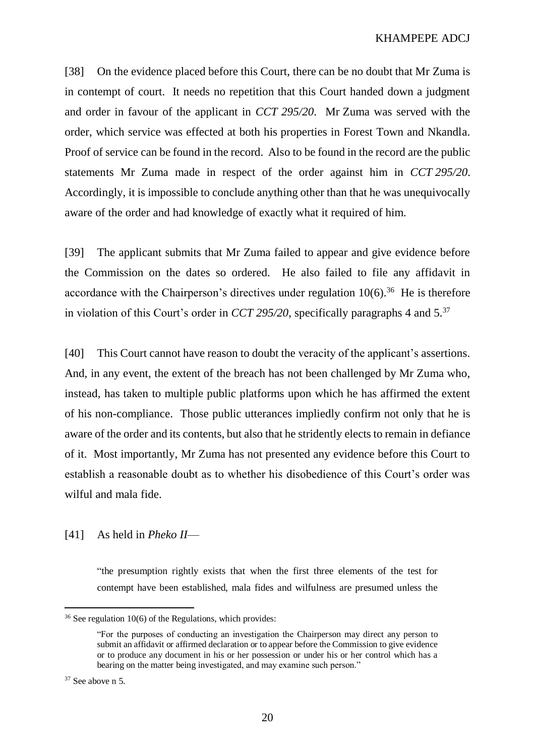[38] On the evidence placed before this Court, there can be no doubt that Mr Zuma is in contempt of court. It needs no repetition that this Court handed down a judgment and order in favour of the applicant in *CCT 295/20*. Mr Zuma was served with the order, which service was effected at both his properties in Forest Town and Nkandla. Proof of service can be found in the record. Also to be found in the record are the public statements Mr Zuma made in respect of the order against him in *CCT 295/20*. Accordingly, it is impossible to conclude anything other than that he was unequivocally aware of the order and had knowledge of exactly what it required of him.

[39] The applicant submits that Mr Zuma failed to appear and give evidence before the Commission on the dates so ordered. He also failed to file any affidavit in accordance with the Chairperson's directives under regulation  $10(6)$ .<sup>36</sup> He is therefore in violation of this Court's order in *CCT 295/20*, specifically paragraphs 4 and 5.<sup>37</sup>

[40] This Court cannot have reason to doubt the veracity of the applicant's assertions. And, in any event, the extent of the breach has not been challenged by Mr Zuma who, instead, has taken to multiple public platforms upon which he has affirmed the extent of his non-compliance. Those public utterances impliedly confirm not only that he is aware of the order and its contents, but also that he stridently elects to remain in defiance of it. Most importantly, Mr Zuma has not presented any evidence before this Court to establish a reasonable doubt as to whether his disobedience of this Court's order was wilful and mala fide.

## [41] As held in *Pheko II*—

"the presumption rightly exists that when the first three elements of the test for contempt have been established, mala fides and wilfulness are presumed unless the

<sup>36</sup> See regulation 10(6) of the Regulations, which provides:

<sup>&</sup>quot;For the purposes of conducting an investigation the Chairperson may direct any person to submit an affidavit or affirmed declaration or to appear before the Commission to give evidence or to produce any document in his or her possession or under his or her control which has a bearing on the matter being investigated, and may examine such person."

 $37$  See above n [5.](#page-4-1)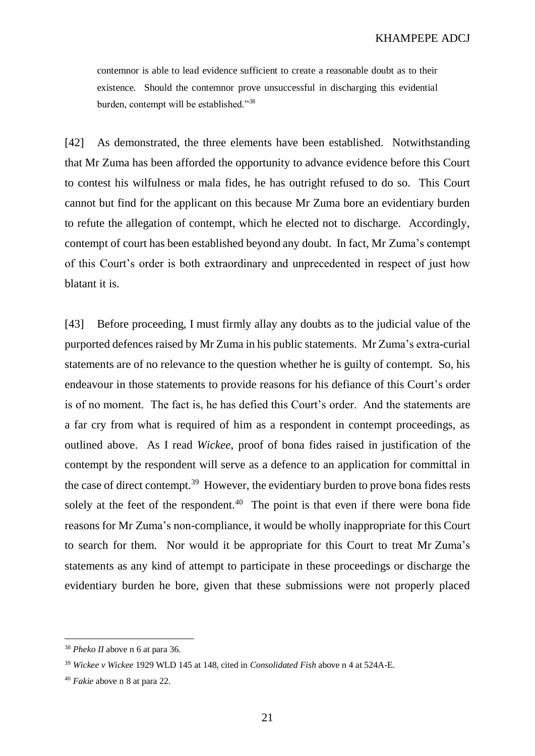contemnor is able to lead evidence sufficient to create a reasonable doubt as to their existence. Should the contemnor prove unsuccessful in discharging this evidential burden, contempt will be established."<sup>38</sup>

[42] As demonstrated, the three elements have been established. Notwithstanding that Mr Zuma has been afforded the opportunity to advance evidence before this Court to contest his wilfulness or mala fides, he has outright refused to do so. This Court cannot but find for the applicant on this because Mr Zuma bore an evidentiary burden to refute the allegation of contempt, which he elected not to discharge. Accordingly, contempt of court has been established beyond any doubt. In fact, Mr Zuma's contempt of this Court's order is both extraordinary and unprecedented in respect of just how blatant it is.

[43] Before proceeding, I must firmly allay any doubts as to the judicial value of the purported defences raised by Mr Zuma in his public statements. Mr Zuma's extra-curial statements are of no relevance to the question whether he is guilty of contempt. So, his endeavour in those statements to provide reasons for his defiance of this Court's order is of no moment. The fact is, he has defied this Court's order. And the statements are a far cry from what is required of him as a respondent in contempt proceedings, as outlined above. As I read *Wickee*, proof of bona fides raised in justification of the contempt by the respondent will serve as a defence to an application for committal in the case of direct contempt.<sup>39</sup> However, the evidentiary burden to prove bona fides rests solely at the feet of the respondent.<sup>40</sup> The point is that even if there were bona fide reasons for Mr Zuma's non-compliance, it would be wholly inappropriate for this Court to search for them. Nor would it be appropriate for this Court to treat Mr Zuma's statements as any kind of attempt to participate in these proceedings or discharge the evidentiary burden he bore, given that these submissions were not properly placed

<sup>38</sup> *Pheko II* above [n 6](#page-5-0) at para 36.

<sup>39</sup> *Wickee v Wickee* 1929 WLD 145 at 148, cited in *Consolidated Fish* above n [4](#page-4-0) at 524A-E.

<sup>40</sup> *Fakie* above n [8](#page-6-0) at para 22.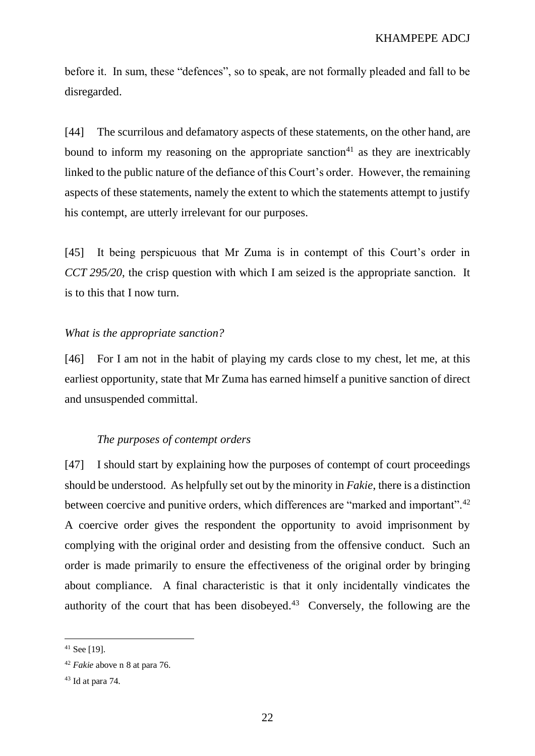before it. In sum, these "defences", so to speak, are not formally pleaded and fall to be disregarded.

[44] The scurrilous and defamatory aspects of these statements, on the other hand, are bound to inform my reasoning on the appropriate sanction<sup>41</sup> as they are inextricably linked to the public nature of the defiance of this Court's order. However, the remaining aspects of these statements, namely the extent to which the statements attempt to justify his contempt, are utterly irrelevant for our purposes.

[45] It being perspicuous that Mr Zuma is in contempt of this Court's order in *CCT 295/20*, the crisp question with which I am seized is the appropriate sanction. It is to this that I now turn.

## *What is the appropriate sanction?*

[46] For I am not in the habit of playing my cards close to my chest, let me, at this earliest opportunity, state that Mr Zuma has earned himself a punitive sanction of direct and unsuspended committal.

## *The purposes of contempt orders*

[47] I should start by explaining how the purposes of contempt of court proceedings should be understood. As helpfully set out by the minority in *Fakie*, there is a distinction between coercive and punitive orders, which differences are "marked and important".<sup>42</sup> A coercive order gives the respondent the opportunity to avoid imprisonment by complying with the original order and desisting from the offensive conduct. Such an order is made primarily to ensure the effectiveness of the original order by bringing about compliance. A final characteristic is that it only incidentally vindicates the authority of the court that has been disobeyed. $43$  Conversely, the following are the

<sup>41</sup> See [\[19\].](#page-10-1)

<sup>42</sup> *Fakie* above n [8](#page-6-0) at para 76.

 $43$  Id at para 74.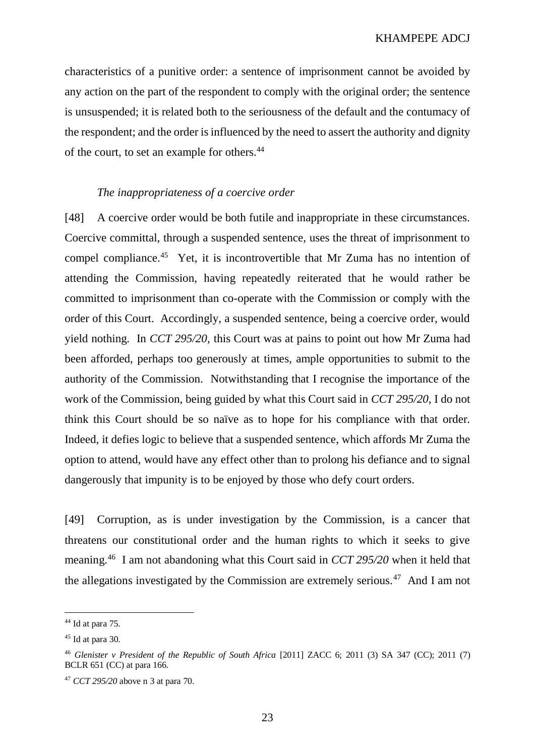characteristics of a punitive order: a sentence of imprisonment cannot be avoided by any action on the part of the respondent to comply with the original order; the sentence is unsuspended; it is related both to the seriousness of the default and the contumacy of the respondent; and the order is influenced by the need to assert the authority and dignity of the court, to set an example for others.<sup>44</sup>

## *The inappropriateness of a coercive order*

[48] A coercive order would be both futile and inappropriate in these circumstances. Coercive committal, through a suspended sentence, uses the threat of imprisonment to compel compliance.<sup>45</sup> Yet, it is incontrovertible that Mr Zuma has no intention of attending the Commission, having repeatedly reiterated that he would rather be committed to imprisonment than co-operate with the Commission or comply with the order of this Court. Accordingly, a suspended sentence, being a coercive order, would yield nothing. In *CCT 295/20*, this Court was at pains to point out how Mr Zuma had been afforded, perhaps too generously at times, ample opportunities to submit to the authority of the Commission. Notwithstanding that I recognise the importance of the work of the Commission, being guided by what this Court said in *CCT 295/20*, I do not think this Court should be so naïve as to hope for his compliance with that order. Indeed, it defies logic to believe that a suspended sentence, which affords Mr Zuma the option to attend, would have any effect other than to prolong his defiance and to signal dangerously that impunity is to be enjoyed by those who defy court orders.

[49] Corruption, as is under investigation by the Commission, is a cancer that threatens our constitutional order and the human rights to which it seeks to give meaning.<sup>46</sup> I am not abandoning what this Court said in *CCT 295/20* when it held that the allegations investigated by the Commission are extremely serious.<sup>47</sup> And I am not

 $44$  Id at para 75.

 $45$  Id at para 30.

<sup>46</sup> *Glenister v President of the Republic of South Africa* [2011] ZACC 6; 2011 (3) SA 347 (CC); 2011 (7) BCLR 651 (CC) at para 166.

<sup>47</sup> *CCT 295/20* above [n 3](#page-3-0) at para 70.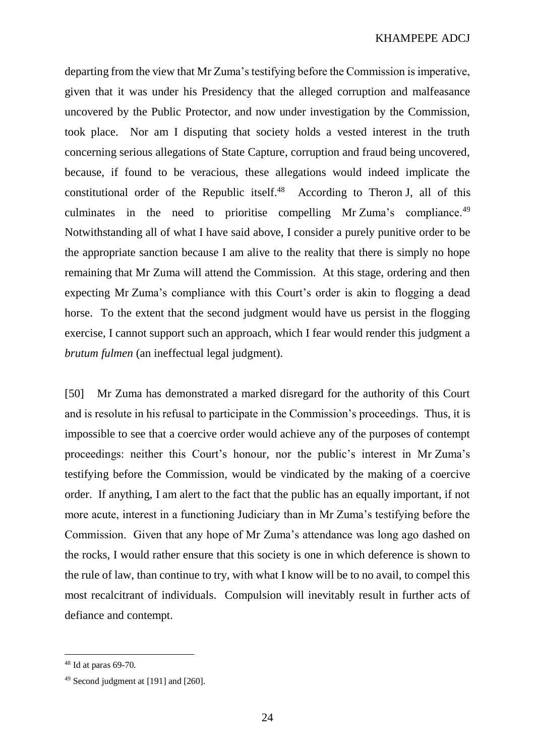departing from the view that Mr Zuma's testifying before the Commission is imperative, given that it was under his Presidency that the alleged corruption and malfeasance uncovered by the Public Protector, and now under investigation by the Commission, took place. Nor am I disputing that society holds a vested interest in the truth concerning serious allegations of State Capture, corruption and fraud being uncovered, because, if found to be veracious, these allegations would indeed implicate the constitutional order of the Republic itself.<sup>48</sup> According to Theron J, all of this culminates in the need to prioritise compelling Mr Zuma's compliance.<sup>49</sup> Notwithstanding all of what I have said above, I consider a purely punitive order to be the appropriate sanction because I am alive to the reality that there is simply no hope remaining that Mr Zuma will attend the Commission. At this stage, ordering and then expecting Mr Zuma's compliance with this Court's order is akin to flogging a dead horse. To the extent that the second judgment would have us persist in the flogging exercise, I cannot support such an approach, which I fear would render this judgment a *brutum fulmen* (an ineffectual legal judgment).

[50] Mr Zuma has demonstrated a marked disregard for the authority of this Court and is resolute in his refusal to participate in the Commission's proceedings. Thus, it is impossible to see that a coercive order would achieve any of the purposes of contempt proceedings: neither this Court's honour, nor the public's interest in Mr Zuma's testifying before the Commission, would be vindicated by the making of a coercive order. If anything, I am alert to the fact that the public has an equally important, if not more acute, interest in a functioning Judiciary than in Mr Zuma's testifying before the Commission. Given that any hope of Mr Zuma's attendance was long ago dashed on the rocks, I would rather ensure that this society is one in which deference is shown to the rule of law, than continue to try, with what I know will be to no avail, to compel this most recalcitrant of individuals. Compulsion will inevitably result in further acts of defiance and contempt.

 $48$  Id at paras 69-70.

<sup>49</sup> Second judgment at [\[191\]](#page-88-0) an[d \[260\].](#page-120-0)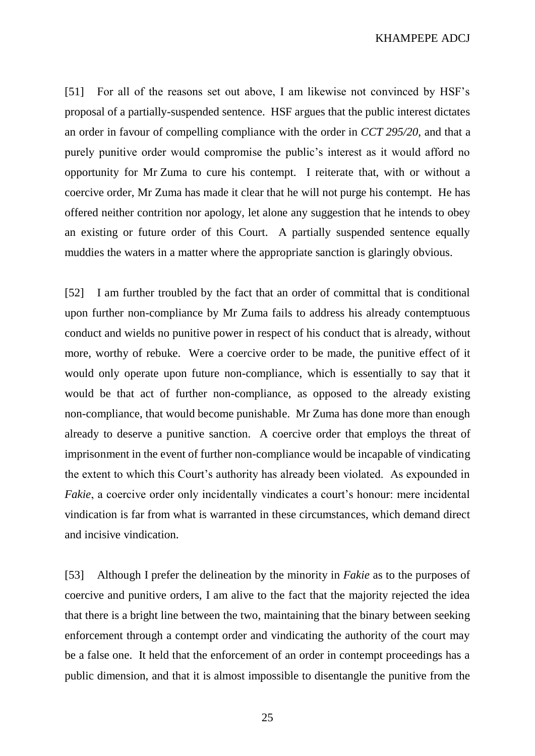[51] For all of the reasons set out above, I am likewise not convinced by HSF's proposal of a partially-suspended sentence. HSF argues that the public interest dictates an order in favour of compelling compliance with the order in *CCT 295/20*, and that a purely punitive order would compromise the public's interest as it would afford no opportunity for Mr Zuma to cure his contempt. I reiterate that, with or without a coercive order, Mr Zuma has made it clear that he will not purge his contempt. He has offered neither contrition nor apology, let alone any suggestion that he intends to obey an existing or future order of this Court. A partially suspended sentence equally muddies the waters in a matter where the appropriate sanction is glaringly obvious.

[52] I am further troubled by the fact that an order of committal that is conditional upon further non-compliance by Mr Zuma fails to address his already contemptuous conduct and wields no punitive power in respect of his conduct that is already, without more, worthy of rebuke. Were a coercive order to be made, the punitive effect of it would only operate upon future non-compliance, which is essentially to say that it would be that act of further non-compliance, as opposed to the already existing non-compliance, that would become punishable. Mr Zuma has done more than enough already to deserve a punitive sanction. A coercive order that employs the threat of imprisonment in the event of further non-compliance would be incapable of vindicating the extent to which this Court's authority has already been violated. As expounded in *Fakie*, a coercive order only incidentally vindicates a court's honour: mere incidental vindication is far from what is warranted in these circumstances, which demand direct and incisive vindication.

[53] Although I prefer the delineation by the minority in *Fakie* as to the purposes of coercive and punitive orders, I am alive to the fact that the majority rejected the idea that there is a bright line between the two, maintaining that the binary between seeking enforcement through a contempt order and vindicating the authority of the court may be a false one. It held that the enforcement of an order in contempt proceedings has a public dimension, and that it is almost impossible to disentangle the punitive from the

25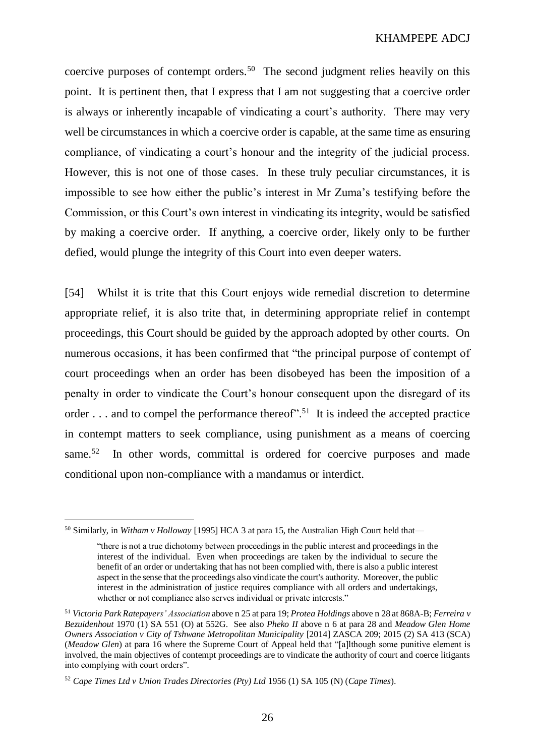coercive purposes of contempt orders.<sup>50</sup> The second judgment relies heavily on this point. It is pertinent then, that I express that I am not suggesting that a coercive order is always or inherently incapable of vindicating a court's authority. There may very well be circumstances in which a coercive order is capable, at the same time as ensuring compliance, of vindicating a court's honour and the integrity of the judicial process. However, this is not one of those cases. In these truly peculiar circumstances, it is impossible to see how either the public's interest in Mr Zuma's testifying before the Commission, or this Court's own interest in vindicating its integrity, would be satisfied by making a coercive order. If anything, a coercive order, likely only to be further defied, would plunge the integrity of this Court into even deeper waters.

[54] Whilst it is trite that this Court enjoys wide remedial discretion to determine appropriate relief, it is also trite that, in determining appropriate relief in contempt proceedings, this Court should be guided by the approach adopted by other courts. On numerous occasions, it has been confirmed that "the principal purpose of contempt of court proceedings when an order has been disobeyed has been the imposition of a penalty in order to vindicate the Court's honour consequent upon the disregard of its order  $\dots$  and to compel the performance thereof".<sup>51</sup> It is indeed the accepted practice in contempt matters to seek compliance, using punishment as a means of coercing same.<sup>52</sup> In other words, committal is ordered for coercive purposes and made conditional upon non-compliance with a mandamus or interdict.

<span id="page-25-0"></span><sup>50</sup> Similarly, in *Witham v Holloway* [1995] HCA 3 at para 15, the Australian High Court held that—

<sup>&</sup>quot;there is not a true dichotomy between proceedings in the public interest and proceedings in the interest of the individual. Even when proceedings are taken by the individual to secure the benefit of an order or undertaking that has not been complied with, there is also a public interest aspect in the sense that the proceedings also vindicate the court's authority. Moreover, the public interest in the administration of justice requires compliance with all orders and undertakings, whether or not compliance also serves individual or private interests."

<sup>51</sup> *Victoria Park Ratepayers' Association* above [n 25](#page-14-0) at para 19; *Protea Holdings* above [n 28](#page-16-0) at 868A-B; *Ferreira v Bezuidenhout* 1970 (1) SA 551 (O) at 552G. See also *Pheko II* above n [6](#page-5-0) at para 28 and *Meadow Glen Home Owners Association v City of Tshwane Metropolitan Municipality* [2014] ZASCA 209; 2015 (2) SA 413 (SCA) (*Meadow Glen*) at para 16 where the Supreme Court of Appeal held that "[a]lthough some punitive element is involved, the main objectives of contempt proceedings are to vindicate the authority of court and coerce litigants into complying with court orders".

<sup>52</sup> *Cape Times Ltd v Union Trades Directories (Pty) Ltd* 1956 (1) SA 105 (N) (*Cape Times*).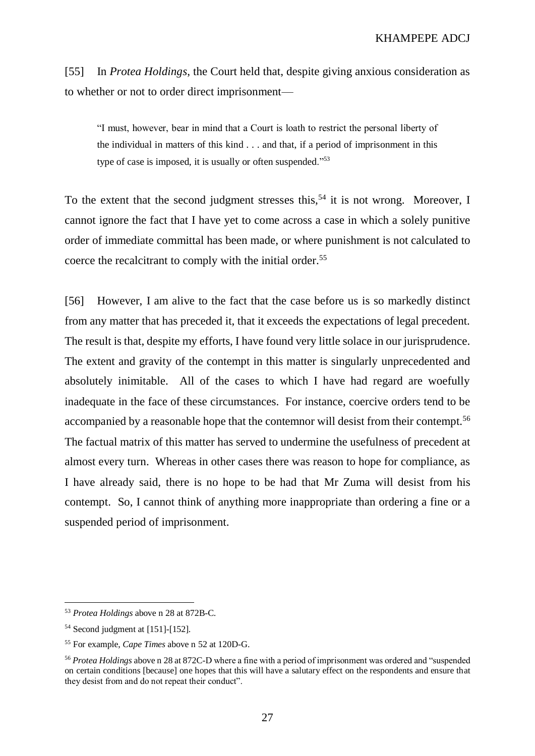[55] In *Protea Holdings*, the Court held that, despite giving anxious consideration as to whether or not to order direct imprisonment—

"I must, however, bear in mind that a Court is loath to restrict the personal liberty of the individual in matters of this kind . . . and that, if a period of imprisonment in this type of case is imposed, it is usually or often suspended."<sup>53</sup>

To the extent that the second judgment stresses this,<sup>54</sup> it is not wrong. Moreover, I cannot ignore the fact that I have yet to come across a case in which a solely punitive order of immediate committal has been made, or where punishment is not calculated to coerce the recalcitrant to comply with the initial order.<sup>55</sup>

[56] However, I am alive to the fact that the case before us is so markedly distinct from any matter that has preceded it, that it exceeds the expectations of legal precedent. The result is that, despite my efforts, I have found very little solace in our jurisprudence. The extent and gravity of the contempt in this matter is singularly unprecedented and absolutely inimitable. All of the cases to which I have had regard are woefully inadequate in the face of these circumstances. For instance, coercive orders tend to be accompanied by a reasonable hope that the contemnor will desist from their contempt.<sup>56</sup> The factual matrix of this matter has served to undermine the usefulness of precedent at almost every turn. Whereas in other cases there was reason to hope for compliance, as I have already said, there is no hope to be had that Mr Zuma will desist from his contempt. So, I cannot think of anything more inappropriate than ordering a fine or a suspended period of imprisonment.

<sup>53</sup> *Protea Holdings* above n [28](#page-16-0) at 872B-C.

<sup>54</sup> Second judgment at [\[151\]](#page-69-0)[-\[152\].](#page-70-0)

<sup>55</sup> For example, *Cape Times* above n [52](#page-25-0) at 120D-G.

<sup>56</sup> *Protea Holdings* above n [28](#page-16-0) at 872C-D where a fine with a period of imprisonment was ordered and "suspended on certain conditions [because] one hopes that this will have a salutary effect on the respondents and ensure that they desist from and do not repeat their conduct".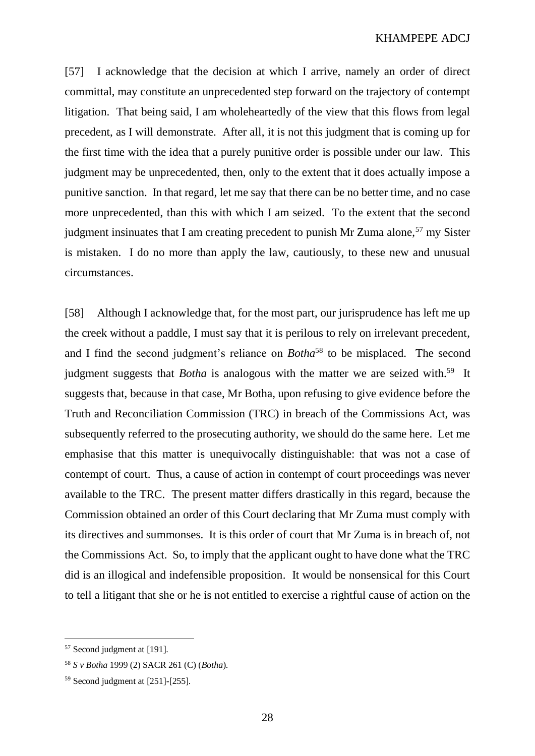[57] I acknowledge that the decision at which I arrive, namely an order of direct committal, may constitute an unprecedented step forward on the trajectory of contempt litigation. That being said, I am wholeheartedly of the view that this flows from legal precedent, as I will demonstrate. After all, it is not this judgment that is coming up for the first time with the idea that a purely punitive order is possible under our law. This judgment may be unprecedented, then, only to the extent that it does actually impose a punitive sanction. In that regard, let me say that there can be no better time, and no case more unprecedented, than this with which I am seized. To the extent that the second judgment insinuates that I am creating precedent to punish Mr Zuma alone,  $57 \text{ my Sister}$ is mistaken. I do no more than apply the law, cautiously, to these new and unusual circumstances.

[58] Although I acknowledge that, for the most part, our jurisprudence has left me up the creek without a paddle, I must say that it is perilous to rely on irrelevant precedent, and I find the second judgment's reliance on *Botha*<sup>58</sup> to be misplaced. The second judgment suggests that *Botha* is analogous with the matter we are seized with.<sup>59</sup> It suggests that, because in that case, Mr Botha, upon refusing to give evidence before the Truth and Reconciliation Commission (TRC) in breach of the Commissions Act, was subsequently referred to the prosecuting authority, we should do the same here. Let me emphasise that this matter is unequivocally distinguishable: that was not a case of contempt of court. Thus, a cause of action in contempt of court proceedings was never available to the TRC. The present matter differs drastically in this regard, because the Commission obtained an order of this Court declaring that Mr Zuma must comply with its directives and summonses. It is this order of court that Mr Zuma is in breach of, not the Commissions Act. So, to imply that the applicant ought to have done what the TRC did is an illogical and indefensible proposition. It would be nonsensical for this Court to tell a litigant that she or he is not entitled to exercise a rightful cause of action on the

<sup>57</sup> Second judgment at [\[191\].](#page-88-0)

<sup>58</sup> *S v Botha* 1999 (2) SACR 261 (C) (*Botha*).

 $59$  Second judgment at [\[251\]](#page-115-0)[-\[255\].](#page-117-0)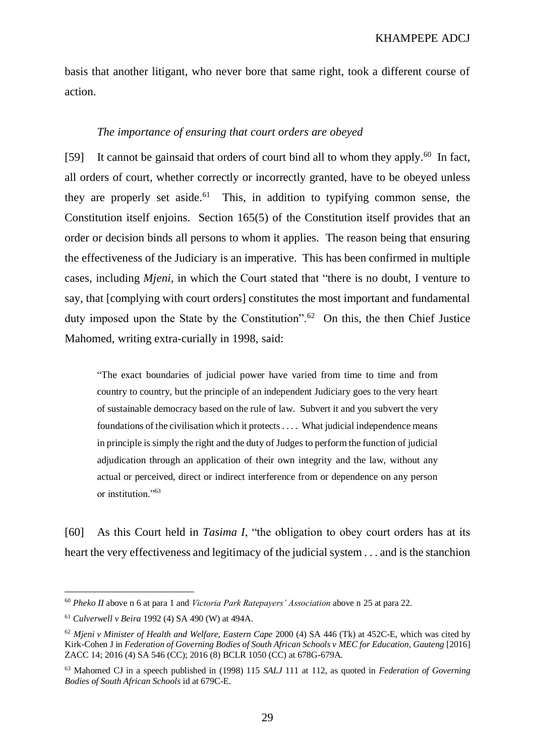basis that another litigant, who never bore that same right, took a different course of action.

## *The importance of ensuring that court orders are obeyed*

[59] It cannot be gainsaid that orders of court bind all to whom they apply.<sup>60</sup> In fact, all orders of court, whether correctly or incorrectly granted, have to be obeyed unless they are properly set aside.<sup>61</sup> This, in addition to typifying common sense, the Constitution itself enjoins. Section 165(5) of the Constitution itself provides that an order or decision binds all persons to whom it applies. The reason being that ensuring the effectiveness of the Judiciary is an imperative. This has been confirmed in multiple cases, including *Mjeni,* in which the Court stated that "there is no doubt, I venture to say, that [complying with court orders] constitutes the most important and fundamental duty imposed upon the State by the Constitution".<sup>62</sup> On this, the then Chief Justice Mahomed, writing extra-curially in 1998, said:

<span id="page-28-0"></span>"The exact boundaries of judicial power have varied from time to time and from country to country, but the principle of an independent Judiciary goes to the very heart of sustainable democracy based on the rule of law. Subvert it and you subvert the very foundations of the civilisation which it protects . . . . What judicial independence means in principle is simply the right and the duty of Judges to perform the function of judicial adjudication through an application of their own integrity and the law, without any actual or perceived, direct or indirect interference from or dependence on any person or institution."<sup>63</sup>

[60] As this Court held in *Tasima I*, "the obligation to obey court orders has at its heart the very effectiveness and legitimacy of the judicial system . . . and is the stanchion

<sup>60</sup> *Pheko II* above [n 6](#page-5-0) at para 1 and *Victoria Park Ratepayers' Association* above n [25](#page-14-0) at para 22.

<sup>61</sup> *Culverwell v Beira* 1992 (4) SA 490 (W) at 494A.

<sup>62</sup> *Mjeni v Minister of Health and Welfare, Eastern Cape* 2000 (4) SA 446 (Tk) at 452C-E, which was cited by Kirk-Cohen J in *Federation of Governing Bodies of South African Schools v MEC for Education, Gauteng* [2016] ZACC 14; 2016 (4) SA 546 (CC); 2016 (8) BCLR 1050 (CC) at 678G-679A.

<sup>63</sup> Mahomed CJ in a speech published in (1998) 115 *SALJ* 111 at 112, as quoted in *Federation of Governing Bodies of South African Schools* id at 679C-E.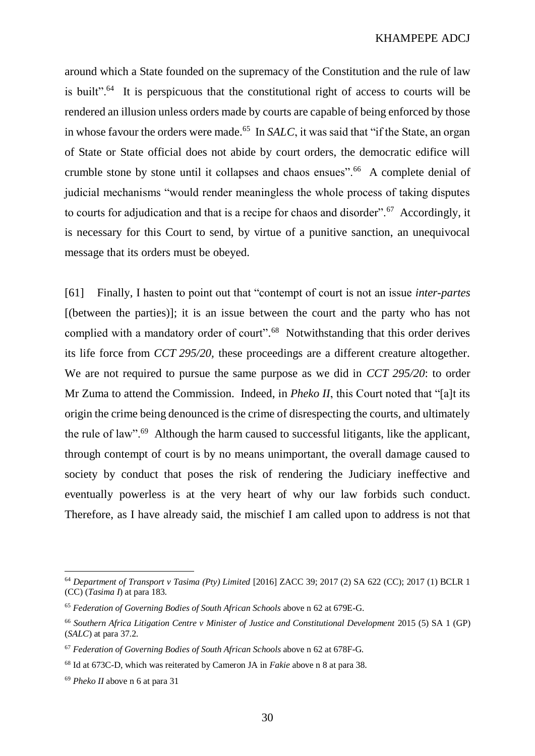around which a State founded on the supremacy of the Constitution and the rule of law is built".<sup>64</sup> It is perspicuous that the constitutional right of access to courts will be rendered an illusion unless orders made by courts are capable of being enforced by those in whose favour the orders were made.<sup>65</sup> In *SALC*, it was said that "if the State, an organ of State or State official does not abide by court orders, the democratic edifice will crumble stone by stone until it collapses and chaos ensues".<sup>66</sup> A complete denial of judicial mechanisms "would render meaningless the whole process of taking disputes to courts for adjudication and that is a recipe for chaos and disorder".<sup>67</sup> Accordingly, it is necessary for this Court to send, by virtue of a punitive sanction, an unequivocal message that its orders must be obeyed.

[61] Finally, I hasten to point out that "contempt of court is not an issue *inter-partes* [(between the parties)]; it is an issue between the court and the party who has not complied with a mandatory order of court".<sup>68</sup> Notwithstanding that this order derives its life force from *CCT 295/20,* these proceedings are a different creature altogether. We are not required to pursue the same purpose as we did in *CCT 295/20*: to order Mr Zuma to attend the Commission. Indeed, in *Pheko II*, this Court noted that "[a]t its origin the crime being denounced is the crime of disrespecting the courts, and ultimately the rule of law".<sup>69</sup> Although the harm caused to successful litigants, like the applicant, through contempt of court is by no means unimportant, the overall damage caused to society by conduct that poses the risk of rendering the Judiciary ineffective and eventually powerless is at the very heart of why our law forbids such conduct. Therefore, as I have already said, the mischief I am called upon to address is not that

<sup>64</sup> *Department of Transport v Tasima (Pty) Limited* [2016] ZACC 39; 2017 (2) SA 622 (CC); 2017 (1) BCLR 1 (CC) (*Tasima I*) at para 183.

<sup>65</sup> *Federation of Governing Bodies of South African Schools* above [n 62](#page-28-0) at 679E-G.

<sup>66</sup> *Southern Africa Litigation Centre v Minister of Justice and Constitutional Development* 2015 (5) SA 1 (GP) (*SALC*) at para 37.2.

<sup>67</sup> *Federation of Governing Bodies of South African Schools* above [n 62](#page-28-0) at 678F-G.

<sup>68</sup> Id at 673C-D, which was reiterated by Cameron JA in *Fakie* above [n 8](#page-6-0) at para 38.

<sup>69</sup> *Pheko II* above [n 6](#page-5-0) at para 31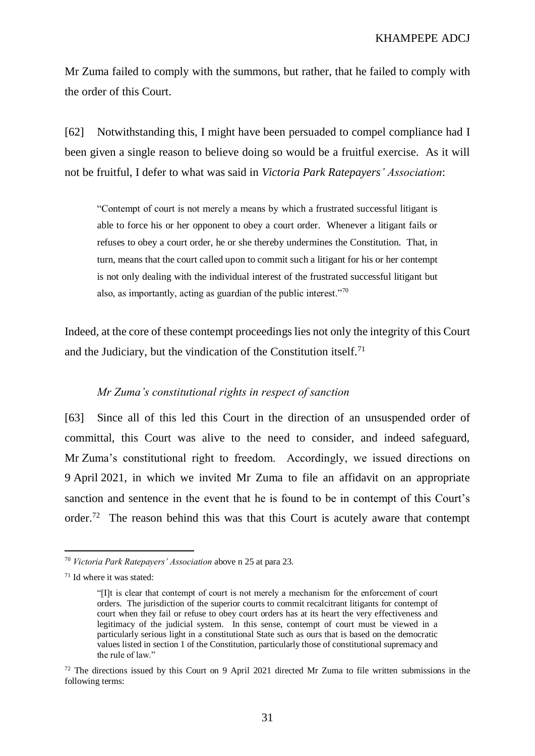Mr Zuma failed to comply with the summons, but rather, that he failed to comply with the order of this Court.

[62] Notwithstanding this, I might have been persuaded to compel compliance had I been given a single reason to believe doing so would be a fruitful exercise. As it will not be fruitful, I defer to what was said in *Victoria Park Ratepayers' Association*:

"Contempt of court is not merely a means by which a frustrated successful litigant is able to force his or her opponent to obey a court order. Whenever a litigant fails or refuses to obey a court order, he or she thereby undermines the Constitution. That, in turn, means that the court called upon to commit such a litigant for his or her contempt is not only dealing with the individual interest of the frustrated successful litigant but also, as importantly, acting as guardian of the public interest."70

Indeed, at the core of these contempt proceedings lies not only the integrity of this Court and the Judiciary, but the vindication of the Constitution itself.<sup>71</sup>

### *Mr Zuma's constitutional rights in respect of sanction*

[63] Since all of this led this Court in the direction of an unsuspended order of committal, this Court was alive to the need to consider, and indeed safeguard, Mr Zuma's constitutional right to freedom. Accordingly, we issued directions on 9 April 2021, in which we invited Mr Zuma to file an affidavit on an appropriate sanction and sentence in the event that he is found to be in contempt of this Court's order.<sup>72</sup> The reason behind this was that this Court is acutely aware that contempt

<sup>70</sup> *Victoria Park Ratepayers' Association* above n [25](#page-14-0) at para 23.

<sup>71</sup> Id where it was stated:

<sup>&</sup>quot;[I]t is clear that contempt of court is not merely a mechanism for the enforcement of court orders. The jurisdiction of the superior courts to commit recalcitrant litigants for contempt of court when they fail or refuse to obey court orders has at its heart the very effectiveness and legitimacy of the judicial system. In this sense, contempt of court must be viewed in a particularly serious light in a constitutional State such as ours that is based on the democratic values listed in section 1 of the Constitution, particularly those of constitutional supremacy and the rule of law."

<sup>72</sup> The directions issued by this Court on 9 April 2021 directed Mr Zuma to file written submissions in the following terms: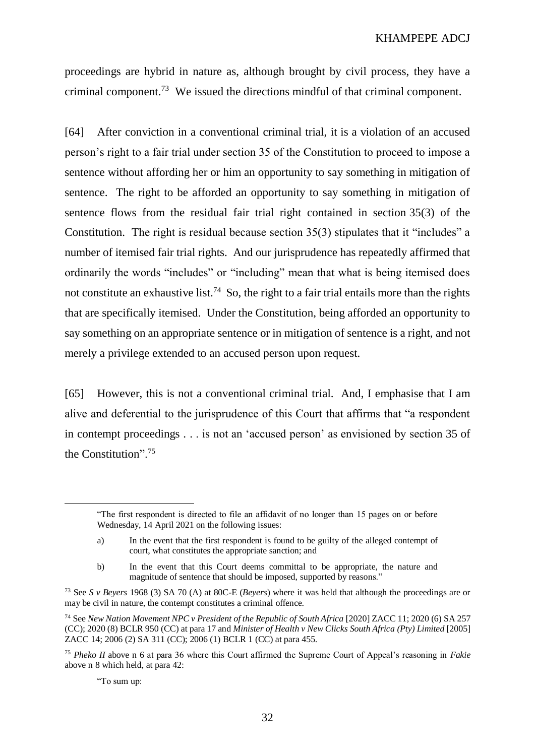proceedings are hybrid in nature as, although brought by civil process, they have a criminal component. 73 We issued the directions mindful of that criminal component.

<span id="page-31-0"></span>[64] After conviction in a conventional criminal trial, it is a violation of an accused person's right to a fair trial under section 35 of the Constitution to proceed to impose a sentence without affording her or him an opportunity to say something in mitigation of sentence. The right to be afforded an opportunity to say something in mitigation of sentence flows from the residual fair trial right contained in section 35(3) of the Constitution. The right is residual because section 35(3) stipulates that it "includes" a number of itemised fair trial rights. And our jurisprudence has repeatedly affirmed that ordinarily the words "includes" or "including" mean that what is being itemised does not constitute an exhaustive list.<sup>74</sup> So, the right to a fair trial entails more than the rights that are specifically itemised. Under the Constitution, being afforded an opportunity to say something on an appropriate sentence or in mitigation of sentence is a right, and not merely a privilege extended to an accused person upon request.

[65] However, this is not a conventional criminal trial. And, I emphasise that I am alive and deferential to the jurisprudence of this Court that affirms that "a respondent in contempt proceedings . . . is not an 'accused person' as envisioned by section 35 of the Constitution".<sup>75</sup>

"To sum up:

<sup>&</sup>quot;The first respondent is directed to file an affidavit of no longer than 15 pages on or before Wednesday, 14 April 2021 on the following issues:

a) In the event that the first respondent is found to be guilty of the alleged contempt of court, what constitutes the appropriate sanction; and

b) In the event that this Court deems committal to be appropriate, the nature and magnitude of sentence that should be imposed, supported by reasons."

<sup>73</sup> See *S v Beyers* 1968 (3) SA 70 (A) at 80C-E (*Beyers*) where it was held that although the proceedings are or may be civil in nature, the contempt constitutes a criminal offence.

<sup>74</sup> See *New Nation Movement NPC v President of the Republic of South Africa* [2020] ZACC 11; 2020 (6) SA 257 (CC); 2020 (8) BCLR 950 (CC) at para 17 and *Minister of Health v New Clicks South Africa (Pty) Limited* [2005] ZACC 14; 2006 (2) SA 311 (CC); 2006 (1) BCLR 1 (CC) at para 455.

<sup>75</sup> *Pheko II* above n [6](#page-5-0) at para 36 where this Court affirmed the Supreme Court of Appeal's reasoning in *Fakie* above n [8](#page-6-0) which held, at para 42: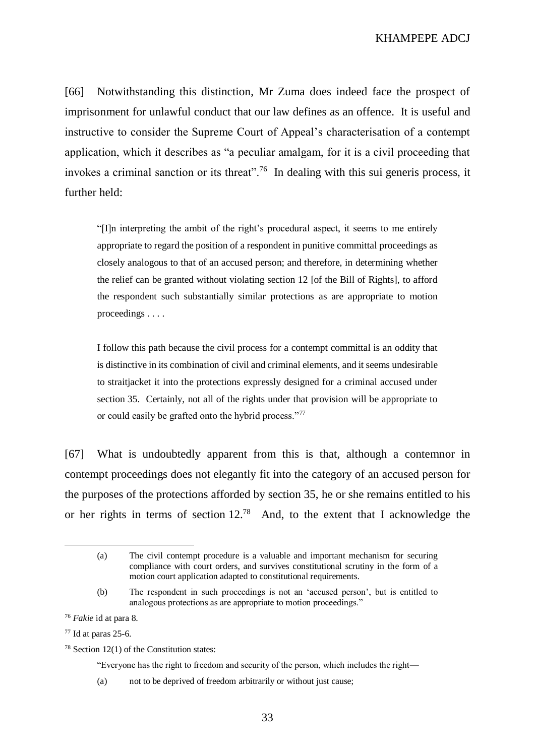[66] Notwithstanding this distinction, Mr Zuma does indeed face the prospect of imprisonment for unlawful conduct that our law defines as an offence. It is useful and instructive to consider the Supreme Court of Appeal's characterisation of a contempt application, which it describes as "a peculiar amalgam, for it is a civil proceeding that invokes a criminal sanction or its threat".<sup>76</sup> In dealing with this sui generis process, it further held:

"[I]n interpreting the ambit of the right's procedural aspect, it seems to me entirely appropriate to regard the position of a respondent in punitive committal proceedings as closely analogous to that of an accused person; and therefore, in determining whether the relief can be granted without violating section 12 [of the Bill of Rights], to afford the respondent such substantially similar protections as are appropriate to motion proceedings . . . .

I follow this path because the civil process for a contempt committal is an oddity that is distinctive in its combination of civil and criminal elements, and it seems undesirable to straitjacket it into the protections expressly designed for a criminal accused under section 35. Certainly, not all of the rights under that provision will be appropriate to or could easily be grafted onto the hybrid process."<sup>77</sup>

[67] What is undoubtedly apparent from this is that, although a contemnor in contempt proceedings does not elegantly fit into the category of an accused person for the purposes of the protections afforded by section 35, he or she remains entitled to his or her rights in terms of section  $12^{78}$  And, to the extent that I acknowledge the

 $\overline{a}$ 

"Everyone has the right to freedom and security of the person, which includes the right—

(a) not to be deprived of freedom arbitrarily or without just cause;

<sup>(</sup>a) The civil contempt procedure is a valuable and important mechanism for securing compliance with court orders, and survives constitutional scrutiny in the form of a motion court application adapted to constitutional requirements.

<sup>(</sup>b) The respondent in such proceedings is not an 'accused person', but is entitled to analogous protections as are appropriate to motion proceedings."

<sup>76</sup> *Fakie* id at para 8.

 $77$  Id at paras 25-6.

<sup>&</sup>lt;sup>78</sup> Section 12(1) of the Constitution states: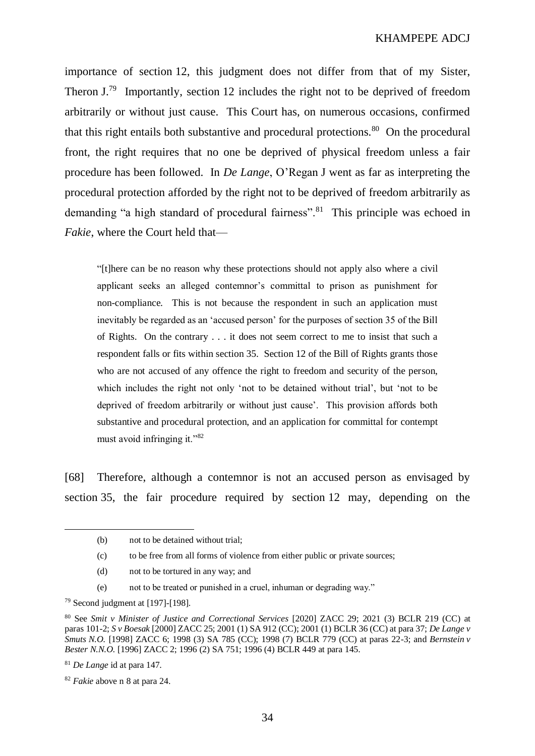importance of section 12, this judgment does not differ from that of my Sister, Theron J.<sup>79</sup> Importantly, section 12 includes the right not to be deprived of freedom arbitrarily or without just cause. This Court has, on numerous occasions, confirmed that this right entails both substantive and procedural protections. $80$  On the procedural front, the right requires that no one be deprived of physical freedom unless a fair procedure has been followed. In *De Lange*, O'Regan J went as far as interpreting the procedural protection afforded by the right not to be deprived of freedom arbitrarily as demanding "a high standard of procedural fairness".<sup>81</sup> This principle was echoed in *Fakie*, where the Court held that—

"[t]here can be no reason why these protections should not apply also where a civil applicant seeks an alleged contemnor's committal to prison as punishment for non-compliance. This is not because the respondent in such an application must inevitably be regarded as an 'accused person' for the purposes of section 35 of the Bill of Rights. On the contrary . . . it does not seem correct to me to insist that such a respondent falls or fits within section 35. Section 12 of the Bill of Rights grants those who are not accused of any offence the right to freedom and security of the person, which includes the right not only 'not to be detained without trial', but 'not to be deprived of freedom arbitrarily or without just cause'. This provision affords both substantive and procedural protection, and an application for committal for contempt must avoid infringing it."<sup>82</sup>

[68] Therefore, although a contemnor is not an accused person as envisaged by section 35, the fair procedure required by section 12 may, depending on the

<sup>(</sup>b) not to be detained without trial;

<sup>(</sup>c) to be free from all forms of violence from either public or private sources;

<sup>(</sup>d) not to be tortured in any way; and

<sup>(</sup>e) not to be treated or punished in a cruel, inhuman or degrading way."

<sup>79</sup> Second judgment at [\[197\]](#page-90-0)[-\[198\].](#page-90-1)

<sup>&</sup>lt;sup>80</sup> See *Smit v Minister of Justice and Correctional Services* [2020] ZACC 29; 2021 (3) BCLR 219 (CC) at paras 101-2; *S v Boesak* [2000] ZACC 25; 2001 (1) SA 912 (CC); 2001 (1) BCLR 36 (CC) at para 37; *De Lange v Smuts N.O.* [1998] ZACC 6; 1998 (3) SA 785 (CC); 1998 (7) BCLR 779 (CC) at paras 22-3; and *Bernstein v Bester N.N.O.* [1996] ZACC 2; 1996 (2) SA 751; 1996 (4) BCLR 449 at para 145.

<sup>81</sup> *De Lange* id at para 147.

<sup>82</sup> *Fakie* above n [8](#page-6-0) at para 24.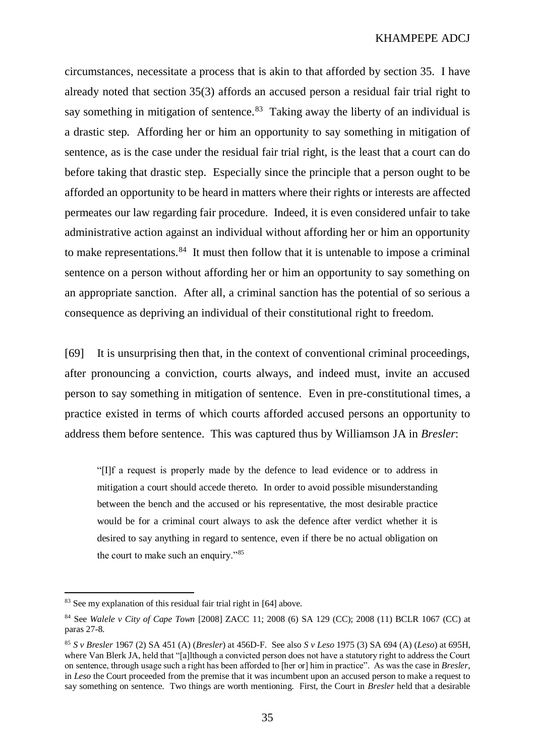circumstances, necessitate a process that is akin to that afforded by section 35. I have already noted that section 35(3) affords an accused person a residual fair trial right to say something in mitigation of sentence. $83$  Taking away the liberty of an individual is a drastic step. Affording her or him an opportunity to say something in mitigation of sentence, as is the case under the residual fair trial right, is the least that a court can do before taking that drastic step. Especially since the principle that a person ought to be afforded an opportunity to be heard in matters where their rights or interests are affected permeates our law regarding fair procedure. Indeed, it is even considered unfair to take administrative action against an individual without affording her or him an opportunity to make representations.<sup>84</sup> It must then follow that it is untenable to impose a criminal sentence on a person without affording her or him an opportunity to say something on an appropriate sanction. After all, a criminal sanction has the potential of so serious a consequence as depriving an individual of their constitutional right to freedom.

[69] It is unsurprising then that, in the context of conventional criminal proceedings, after pronouncing a conviction, courts always, and indeed must, invite an accused person to say something in mitigation of sentence. Even in pre-constitutional times, a practice existed in terms of which courts afforded accused persons an opportunity to address them before sentence. This was captured thus by Williamson JA in *Bresler*:

"[I]f a request is properly made by the defence to lead evidence or to address in mitigation a court should accede thereto. In order to avoid possible misunderstanding between the bench and the accused or his representative, the most desirable practice would be for a criminal court always to ask the defence after verdict whether it is desired to say anything in regard to sentence, even if there be no actual obligation on the court to make such an enquiry."<sup>85</sup>

<sup>&</sup>lt;sup>83</sup> See my explanation of this residual fair trial right in [\[64\]](#page-31-0) above.

<sup>84</sup> See *Walele v City of Cape Town* [2008] ZACC 11; 2008 (6) SA 129 (CC); 2008 (11) BCLR 1067 (CC) at paras 27-8.

<sup>85</sup> *S v Bresler* 1967 (2) SA 451 (A) (*Bresler*) at 456D-F. See also *S v Leso* 1975 (3) SA 694 (A) (*Leso*) at 695H, where Van Blerk JA, held that "[a]lthough a convicted person does not have a statutory right to address the Court on sentence, through usage such a right has been afforded to [her or] him in practice". As was the case in *Bresler*, in *Leso* the Court proceeded from the premise that it was incumbent upon an accused person to make a request to say something on sentence. Two things are worth mentioning. First, the Court in *Bresler* held that a desirable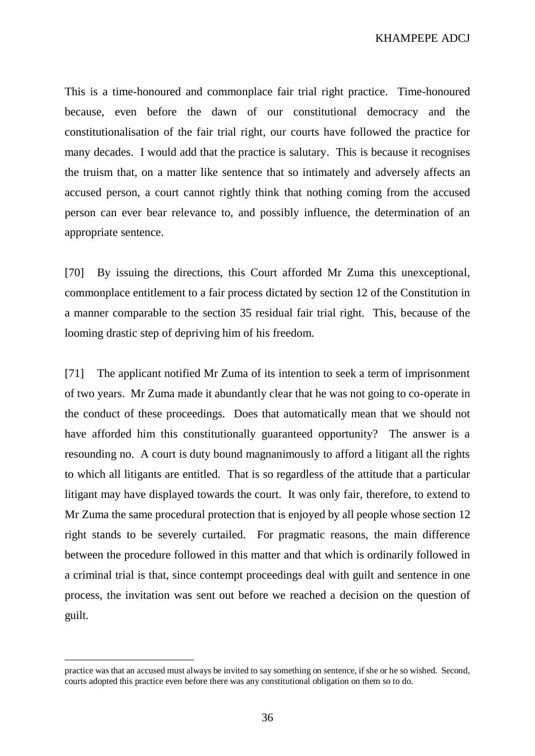This is a time-honoured and commonplace fair trial right practice. Time-honoured because, even before the dawn of our constitutional democracy and the constitutionalisation of the fair trial right, our courts have followed the practice for many decades. I would add that the practice is salutary. This is because it recognises the truism that, on a matter like sentence that so intimately and adversely affects an accused person, a court cannot rightly think that nothing coming from the accused person can ever bear relevance to, and possibly influence, the determination of an appropriate sentence.

[70] By issuing the directions, this Court afforded Mr Zuma this unexceptional, commonplace entitlement to a fair process dictated by section 12 of the Constitution in a manner comparable to the section 35 residual fair trial right. This, because of the looming drastic step of depriving him of his freedom.

[71] The applicant notified Mr Zuma of its intention to seek a term of imprisonment of two years. Mr Zuma made it abundantly clear that he was not going to co-operate in the conduct of these proceedings. Does that automatically mean that we should not have afforded him this constitutionally guaranteed opportunity? The answer is a resounding no. A court is duty bound magnanimously to afford a litigant all the rights to which all litigants are entitled. That is so regardless of the attitude that a particular litigant may have displayed towards the court. It was only fair, therefore, to extend to Mr Zuma the same procedural protection that is enjoyed by all people whose section 12 right stands to be severely curtailed. For pragmatic reasons, the main difference between the procedure followed in this matter and that which is ordinarily followed in a criminal trial is that, since contempt proceedings deal with guilt and sentence in one process, the invitation was sent out before we reached a decision on the question of guilt.

practice was that an accused must always be invited to say something on sentence, if she or he so wished. Second, courts adopted this practice even before there was any constitutional obligation on them so to do.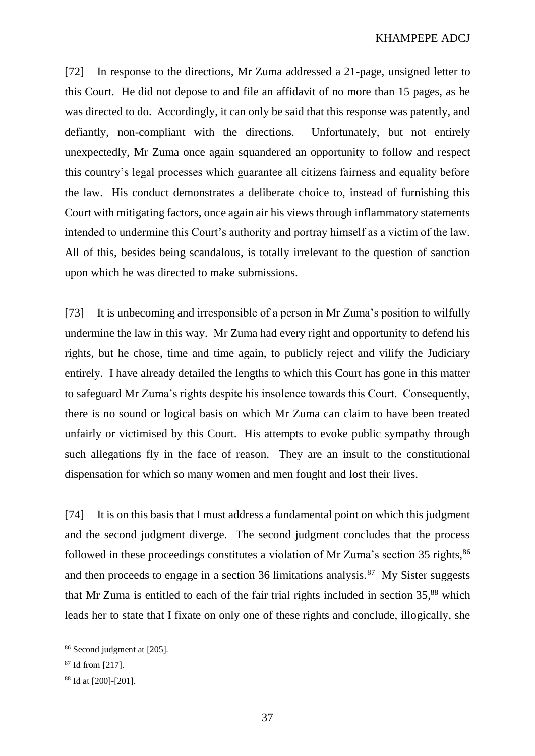[72] In response to the directions, Mr Zuma addressed a 21-page, unsigned letter to this Court. He did not depose to and file an affidavit of no more than 15 pages, as he was directed to do. Accordingly, it can only be said that this response was patently, and defiantly, non-compliant with the directions. Unfortunately, but not entirely unexpectedly, Mr Zuma once again squandered an opportunity to follow and respect this country's legal processes which guarantee all citizens fairness and equality before the law. His conduct demonstrates a deliberate choice to, instead of furnishing this Court with mitigating factors, once again air his views through inflammatory statements intended to undermine this Court's authority and portray himself as a victim of the law. All of this, besides being scandalous, is totally irrelevant to the question of sanction upon which he was directed to make submissions.

[73] It is unbecoming and irresponsible of a person in Mr Zuma's position to wilfully undermine the law in this way. Mr Zuma had every right and opportunity to defend his rights, but he chose, time and time again, to publicly reject and vilify the Judiciary entirely. I have already detailed the lengths to which this Court has gone in this matter to safeguard Mr Zuma's rights despite his insolence towards this Court. Consequently, there is no sound or logical basis on which Mr Zuma can claim to have been treated unfairly or victimised by this Court. His attempts to evoke public sympathy through such allegations fly in the face of reason. They are an insult to the constitutional dispensation for which so many women and men fought and lost their lives.

[74] It is on this basis that I must address a fundamental point on which this judgment and the second judgment diverge. The second judgment concludes that the process followed in these proceedings constitutes a violation of Mr Zuma's section 35 rights,  $86$ and then proceeds to engage in a section 36 limitations analysis.<sup>87</sup> My Sister suggests that Mr Zuma is entitled to each of the fair trial rights included in section  $35$ <sup>88</sup> which leads her to state that I fixate on only one of these rights and conclude, illogically, she

<sup>86</sup> Second judgment at [\[205\].](#page-94-0)

<sup>87</sup> Id from [\[217\].](#page-101-0)

<sup>88</sup> Id a[t \[200\]](#page-91-0)[-\[201\].](#page-92-0)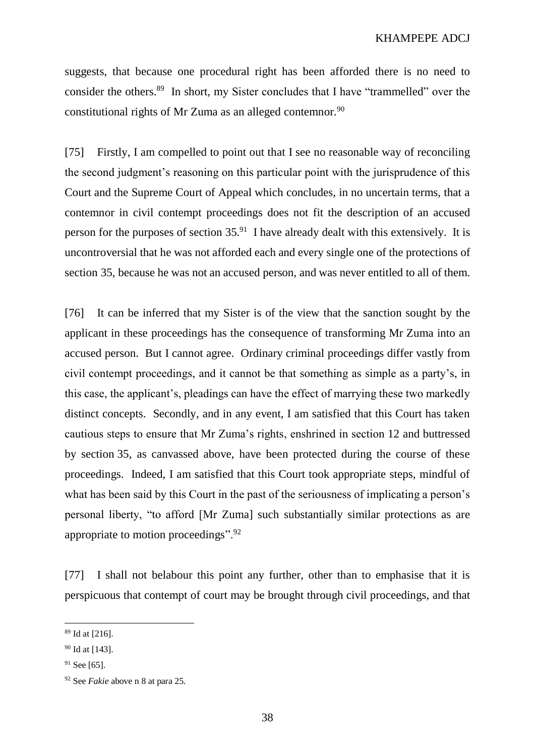suggests, that because one procedural right has been afforded there is no need to consider the others.<sup>89</sup> In short, my Sister concludes that I have "trammelled" over the constitutional rights of Mr Zuma as an alleged contemnor.<sup>90</sup>

[75] Firstly, I am compelled to point out that I see no reasonable way of reconciling the second judgment's reasoning on this particular point with the jurisprudence of this Court and the Supreme Court of Appeal which concludes, in no uncertain terms, that a contemnor in civil contempt proceedings does not fit the description of an accused person for the purposes of section 35.<sup>91</sup> I have already dealt with this extensively. It is uncontroversial that he was not afforded each and every single one of the protections of section 35, because he was not an accused person, and was never entitled to all of them.

[76] It can be inferred that my Sister is of the view that the sanction sought by the applicant in these proceedings has the consequence of transforming Mr Zuma into an accused person. But I cannot agree. Ordinary criminal proceedings differ vastly from civil contempt proceedings, and it cannot be that something as simple as a party's, in this case, the applicant's, pleadings can have the effect of marrying these two markedly distinct concepts. Secondly, and in any event, I am satisfied that this Court has taken cautious steps to ensure that Mr Zuma's rights, enshrined in section 12 and buttressed by section 35, as canvassed above, have been protected during the course of these proceedings. Indeed, I am satisfied that this Court took appropriate steps, mindful of what has been said by this Court in the past of the seriousness of implicating a person's personal liberty, "to afford [Mr Zuma] such substantially similar protections as are appropriate to motion proceedings".<sup>92</sup>

[77] I shall not belabour this point any further, other than to emphasise that it is perspicuous that contempt of court may be brought through civil proceedings, and that

<sup>89</sup> Id a[t \[216\].](#page-100-0)

<sup>90</sup> Id a[t \[143\].](#page-66-0)

<sup>&</sup>lt;sup>91</sup> See [\[65\].](#page-31-0)

<sup>92</sup> See *Fakie* above n [8](#page-6-0) at para 25.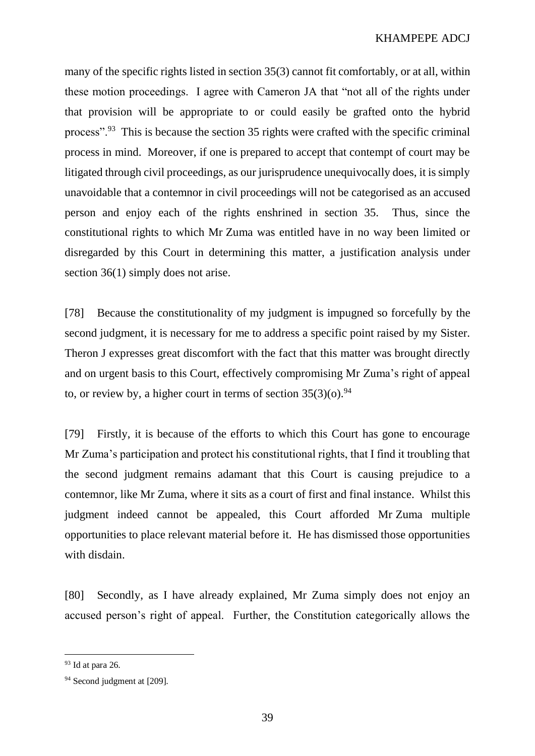many of the specific rights listed in section 35(3) cannot fit comfortably, or at all, within these motion proceedings. I agree with Cameron JA that "not all of the rights under that provision will be appropriate to or could easily be grafted onto the hybrid process".<sup>93</sup> This is because the section 35 rights were crafted with the specific criminal process in mind. Moreover, if one is prepared to accept that contempt of court may be litigated through civil proceedings, as our jurisprudence unequivocally does, it is simply unavoidable that a contemnor in civil proceedings will not be categorised as an accused person and enjoy each of the rights enshrined in section 35. Thus, since the constitutional rights to which Mr Zuma was entitled have in no way been limited or disregarded by this Court in determining this matter, a justification analysis under section 36(1) simply does not arise.

[78] Because the constitutionality of my judgment is impugned so forcefully by the second judgment, it is necessary for me to address a specific point raised by my Sister. Theron J expresses great discomfort with the fact that this matter was brought directly and on urgent basis to this Court, effectively compromising Mr Zuma's right of appeal to, or review by, a higher court in terms of section  $35(3)(0)^{94}$ .

[79] Firstly, it is because of the efforts to which this Court has gone to encourage Mr Zuma's participation and protect his constitutional rights, that I find it troubling that the second judgment remains adamant that this Court is causing prejudice to a contemnor, like Mr Zuma, where it sits as a court of first and final instance. Whilst this judgment indeed cannot be appealed, this Court afforded Mr Zuma multiple opportunities to place relevant material before it. He has dismissed those opportunities with disdain.

[80] Secondly, as I have already explained, Mr Zuma simply does not enjoy an accused person's right of appeal. Further, the Constitution categorically allows the

 $93$  Id at para 26.

<sup>94</sup> Second judgment at [\[209\].](#page-96-0)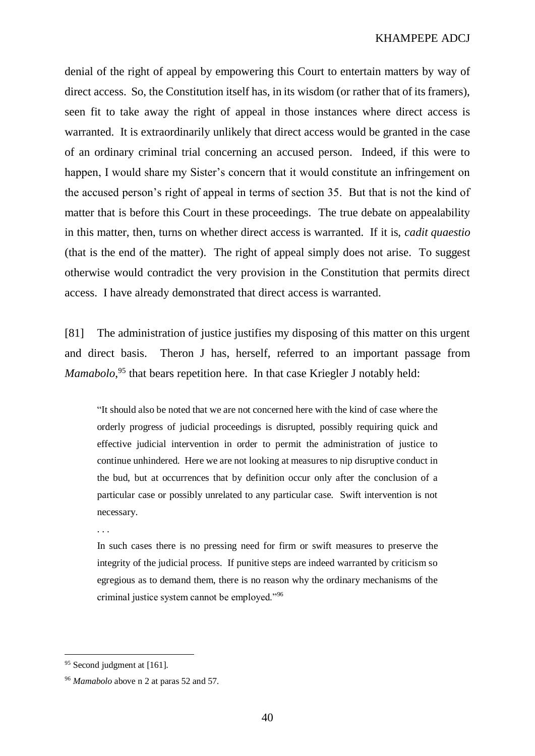denial of the right of appeal by empowering this Court to entertain matters by way of direct access. So, the Constitution itself has, in its wisdom (or rather that of its framers), seen fit to take away the right of appeal in those instances where direct access is warranted. It is extraordinarily unlikely that direct access would be granted in the case of an ordinary criminal trial concerning an accused person. Indeed, if this were to happen, I would share my Sister's concern that it would constitute an infringement on the accused person's right of appeal in terms of section 35. But that is not the kind of matter that is before this Court in these proceedings. The true debate on appealability in this matter, then, turns on whether direct access is warranted. If it is, *cadit quaestio* (that is the end of the matter). The right of appeal simply does not arise. To suggest otherwise would contradict the very provision in the Constitution that permits direct access. I have already demonstrated that direct access is warranted.

[81] The administration of justice justifies my disposing of this matter on this urgent and direct basis. Theron J has, herself, referred to an important passage from Mamabolo,<sup>95</sup> that bears repetition here. In that case Kriegler J notably held:

"It should also be noted that we are not concerned here with the kind of case where the orderly progress of judicial proceedings is disrupted, possibly requiring quick and effective judicial intervention in order to permit the administration of justice to continue unhindered. Here we are not looking at measures to nip disruptive conduct in the bud, but at occurrences that by definition occur only after the conclusion of a particular case or possibly unrelated to any particular case. Swift intervention is not necessary.

. . .

In such cases there is no pressing need for firm or swift measures to preserve the integrity of the judicial process. If punitive steps are indeed warranted by criticism so egregious as to demand them, there is no reason why the ordinary mechanisms of the criminal justice system cannot be employed."<sup>96</sup>

<sup>&</sup>lt;sup>95</sup> Second judgment at [\[161\].](#page-74-0)

<sup>96</sup> *Mamabolo* above [n 2](#page-3-0) at paras 52 and 57.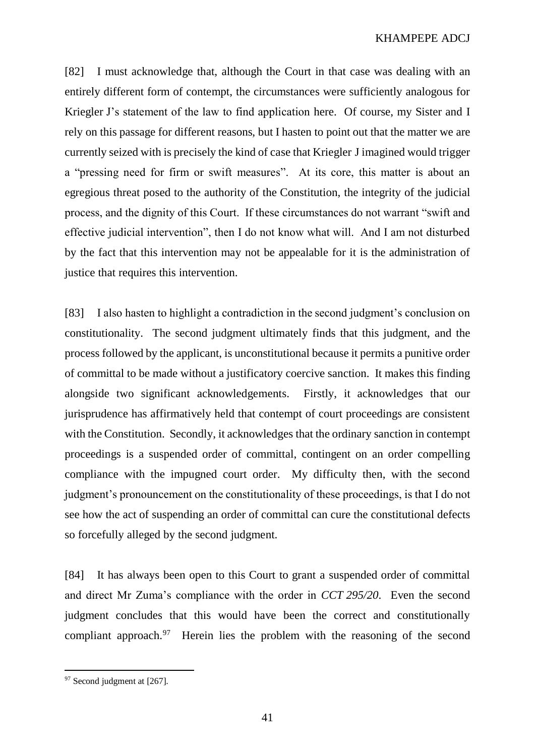[82] I must acknowledge that, although the Court in that case was dealing with an entirely different form of contempt, the circumstances were sufficiently analogous for Kriegler J's statement of the law to find application here. Of course, my Sister and I rely on this passage for different reasons, but I hasten to point out that the matter we are currently seized with is precisely the kind of case that Kriegler J imagined would trigger a "pressing need for firm or swift measures". At its core, this matter is about an egregious threat posed to the authority of the Constitution, the integrity of the judicial process, and the dignity of this Court. If these circumstances do not warrant "swift and effective judicial intervention", then I do not know what will. And I am not disturbed by the fact that this intervention may not be appealable for it is the administration of justice that requires this intervention.

[83] I also hasten to highlight a contradiction in the second judgment's conclusion on constitutionality. The second judgment ultimately finds that this judgment, and the process followed by the applicant, is unconstitutional because it permits a punitive order of committal to be made without a justificatory coercive sanction. It makes this finding alongside two significant acknowledgements. Firstly, it acknowledges that our jurisprudence has affirmatively held that contempt of court proceedings are consistent with the Constitution. Secondly, it acknowledges that the ordinary sanction in contempt proceedings is a suspended order of committal, contingent on an order compelling compliance with the impugned court order. My difficulty then, with the second judgment's pronouncement on the constitutionality of these proceedings, is that I do not see how the act of suspending an order of committal can cure the constitutional defects so forcefully alleged by the second judgment.

[84] It has always been open to this Court to grant a suspended order of committal and direct Mr Zuma's compliance with the order in *CCT 295/20*. Even the second judgment concludes that this would have been the correct and constitutionally compliant approach. $97$  Herein lies the problem with the reasoning of the second

<sup>&</sup>lt;sup>97</sup> Second judgment at [\[267\].](#page-124-0)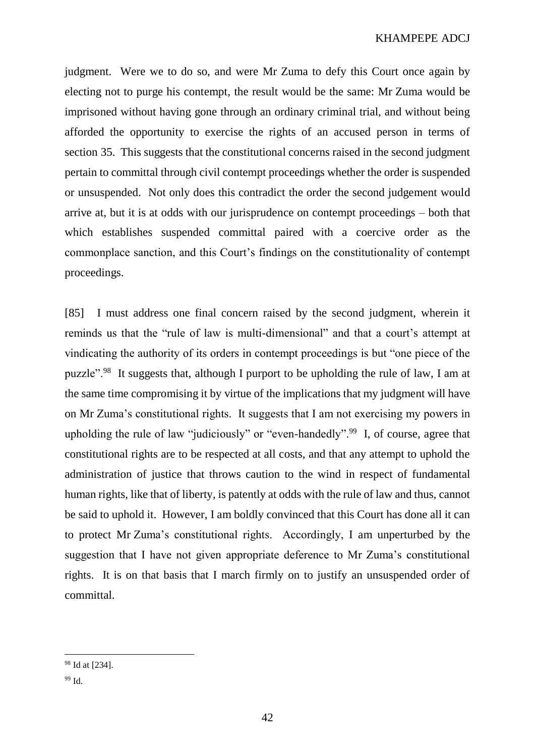judgment. Were we to do so, and were Mr Zuma to defy this Court once again by electing not to purge his contempt, the result would be the same: Mr Zuma would be imprisoned without having gone through an ordinary criminal trial, and without being afforded the opportunity to exercise the rights of an accused person in terms of section 35. This suggests that the constitutional concerns raised in the second judgment pertain to committal through civil contempt proceedings whether the order is suspended or unsuspended. Not only does this contradict the order the second judgement would arrive at, but it is at odds with our jurisprudence on contempt proceedings – both that which establishes suspended committal paired with a coercive order as the commonplace sanction, and this Court's findings on the constitutionality of contempt proceedings.

[85] I must address one final concern raised by the second judgment, wherein it reminds us that the "rule of law is multi-dimensional" and that a court's attempt at vindicating the authority of its orders in contempt proceedings is but "one piece of the puzzle"<sup>98</sup> It suggests that, although I purport to be upholding the rule of law, I am at the same time compromising it by virtue of the implications that my judgment will have on Mr Zuma's constitutional rights. It suggests that I am not exercising my powers in upholding the rule of law "judiciously" or "even-handedly".<sup>99</sup> I, of course, agree that constitutional rights are to be respected at all costs, and that any attempt to uphold the administration of justice that throws caution to the wind in respect of fundamental human rights, like that of liberty, is patently at odds with the rule of law and thus, cannot be said to uphold it. However, I am boldly convinced that this Court has done all it can to protect Mr Zuma's constitutional rights. Accordingly, I am unperturbed by the suggestion that I have not given appropriate deference to Mr Zuma's constitutional rights. It is on that basis that I march firmly on to justify an unsuspended order of committal.

<sup>98</sup> Id a[t \[234\].](#page-108-0)

 $99$  Id.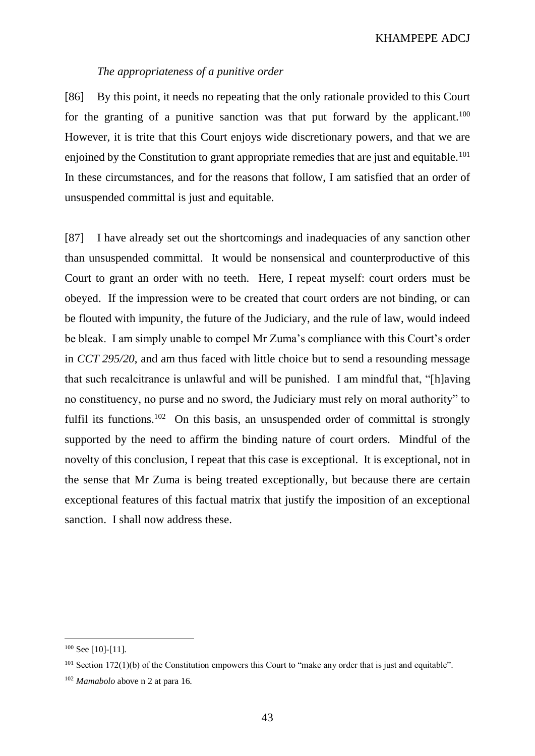# *The appropriateness of a punitive order*

[86] By this point, it needs no repeating that the only rationale provided to this Court for the granting of a punitive sanction was that put forward by the applicant.<sup>100</sup> However, it is trite that this Court enjoys wide discretionary powers, and that we are enjoined by the Constitution to grant appropriate remedies that are just and equitable.<sup>101</sup> In these circumstances, and for the reasons that follow, I am satisfied that an order of unsuspended committal is just and equitable.

[87] I have already set out the shortcomings and inadequacies of any sanction other than unsuspended committal. It would be nonsensical and counterproductive of this Court to grant an order with no teeth. Here, I repeat myself: court orders must be obeyed. If the impression were to be created that court orders are not binding, or can be flouted with impunity, the future of the Judiciary, and the rule of law, would indeed be bleak. I am simply unable to compel Mr Zuma's compliance with this Court's order in *CCT 295/20*, and am thus faced with little choice but to send a resounding message that such recalcitrance is unlawful and will be punished. I am mindful that, "[h]aving no constituency, no purse and no sword, the Judiciary must rely on moral authority" to fulfil its functions.<sup>102</sup> On this basis, an unsuspended order of committal is strongly supported by the need to affirm the binding nature of court orders. Mindful of the novelty of this conclusion, I repeat that this case is exceptional. It is exceptional, not in the sense that Mr Zuma is being treated exceptionally, but because there are certain exceptional features of this factual matrix that justify the imposition of an exceptional sanction. I shall now address these.

<sup>&</sup>lt;sup>100</sup> Se[e \[10\]](#page-7-0)[-\[11\].](#page-7-1)

<sup>101</sup> Section 172(1)(b) of the Constitution empowers this Court to "make any order that is just and equitable".

<sup>102</sup> *Mamabolo* above n [2](#page-3-0) at para 16.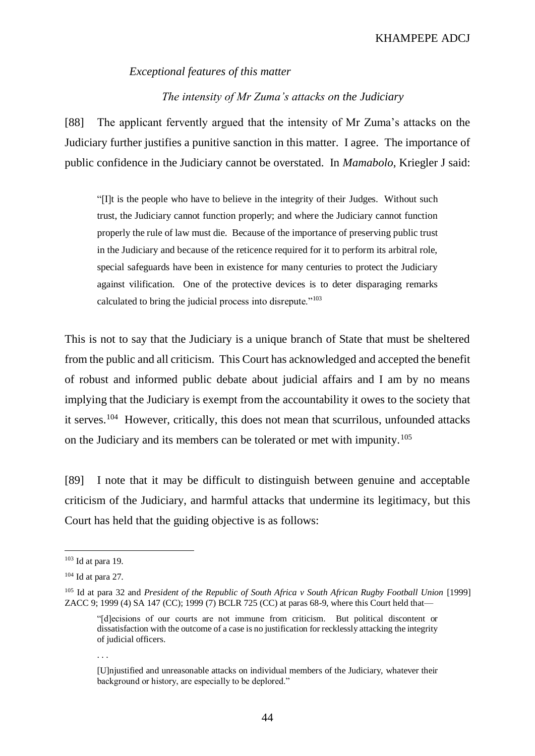# *Exceptional features of this matter*

# *The intensity of Mr Zuma's attacks on the Judiciary*

[88] The applicant fervently argued that the intensity of Mr Zuma's attacks on the Judiciary further justifies a punitive sanction in this matter. I agree. The importance of public confidence in the Judiciary cannot be overstated. In *Mamabolo*, Kriegler J said:

"[I]t is the people who have to believe in the integrity of their Judges. Without such trust, the Judiciary cannot function properly; and where the Judiciary cannot function properly the rule of law must die. Because of the importance of preserving public trust in the Judiciary and because of the reticence required for it to perform its arbitral role, special safeguards have been in existence for many centuries to protect the Judiciary against vilification. One of the protective devices is to deter disparaging remarks calculated to bring the judicial process into disrepute."<sup>103</sup>

This is not to say that the Judiciary is a unique branch of State that must be sheltered from the public and all criticism. This Court has acknowledged and accepted the benefit of robust and informed public debate about judicial affairs and I am by no means implying that the Judiciary is exempt from the accountability it owes to the society that it serves.<sup>104</sup> However, critically, this does not mean that scurrilous, unfounded attacks on the Judiciary and its members can be tolerated or met with impunity.<sup>105</sup>

[89] I note that it may be difficult to distinguish between genuine and acceptable criticism of the Judiciary, and harmful attacks that undermine its legitimacy, but this Court has held that the guiding objective is as follows:

 $\overline{a}$ 

. . .

<sup>103</sup> Id at para 19.

 $104$  Id at para 27.

<sup>105</sup> Id at para 32 and *President of the Republic of South Africa v South African Rugby Football Union* [1999] ZACC 9; 1999 (4) SA 147 (CC); 1999 (7) BCLR 725 (CC) at paras 68-9, where this Court held that—

<sup>&</sup>quot;[d]ecisions of our courts are not immune from criticism. But political discontent or dissatisfaction with the outcome of a case is no justification for recklessly attacking the integrity of judicial officers.

<sup>[</sup>U]njustified and unreasonable attacks on individual members of the Judiciary, whatever their background or history, are especially to be deplored."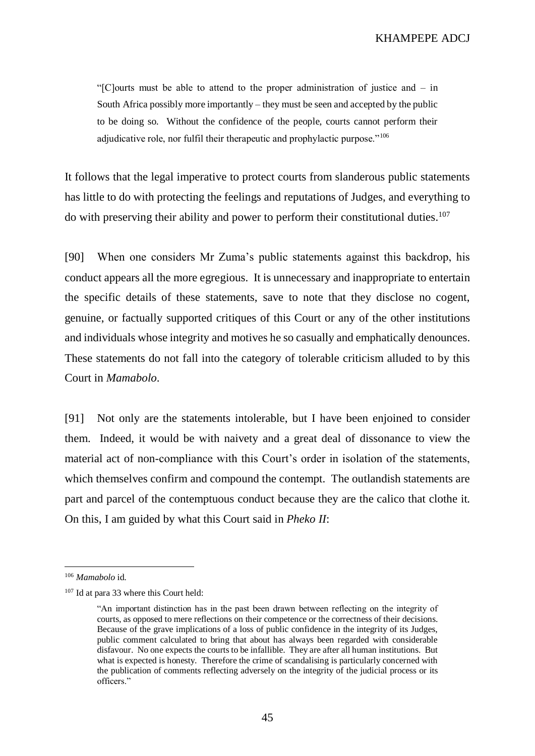"[C]ourts must be able to attend to the proper administration of justice and – in South Africa possibly more importantly – they must be seen and accepted by the public to be doing so. Without the confidence of the people, courts cannot perform their adjudicative role, nor fulfil their therapeutic and prophylactic purpose."<sup>106</sup>

It follows that the legal imperative to protect courts from slanderous public statements has little to do with protecting the feelings and reputations of Judges, and everything to do with preserving their ability and power to perform their constitutional duties. 107

[90] When one considers Mr Zuma's public statements against this backdrop, his conduct appears all the more egregious. It is unnecessary and inappropriate to entertain the specific details of these statements, save to note that they disclose no cogent, genuine, or factually supported critiques of this Court or any of the other institutions and individuals whose integrity and motives he so casually and emphatically denounces. These statements do not fall into the category of tolerable criticism alluded to by this Court in *Mamabolo*.

[91] Not only are the statements intolerable, but I have been enjoined to consider them. Indeed, it would be with naivety and a great deal of dissonance to view the material act of non-compliance with this Court's order in isolation of the statements, which themselves confirm and compound the contempt. The outlandish statements are part and parcel of the contemptuous conduct because they are the calico that clothe it. On this, I am guided by what this Court said in *Pheko II*:

<sup>106</sup> *Mamabolo* id.

<sup>107</sup> Id at para 33 where this Court held:

<sup>&</sup>quot;An important distinction has in the past been drawn between reflecting on the integrity of courts, as opposed to mere reflections on their competence or the correctness of their decisions. Because of the grave implications of a loss of public confidence in the integrity of its Judges, public comment calculated to bring that about has always been regarded with considerable disfavour. No one expects the courts to be infallible. They are after all human institutions. But what is expected is honesty. Therefore the crime of scandalising is particularly concerned with the publication of comments reflecting adversely on the integrity of the judicial process or its officers."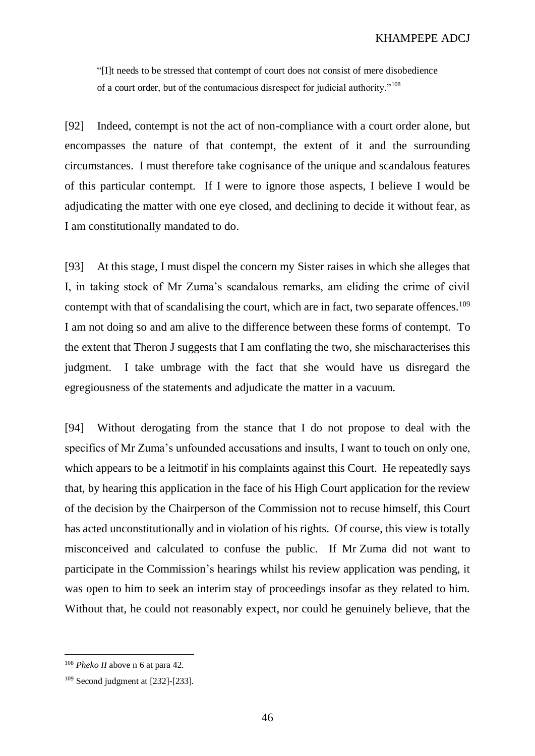"[I]t needs to be stressed that contempt of court does not consist of mere disobedience of a court order, but of the contumacious disrespect for judicial authority."<sup>108</sup>

[92] Indeed, contempt is not the act of non-compliance with a court order alone, but encompasses the nature of that contempt, the extent of it and the surrounding circumstances. I must therefore take cognisance of the unique and scandalous features of this particular contempt. If I were to ignore those aspects, I believe I would be adjudicating the matter with one eye closed, and declining to decide it without fear, as I am constitutionally mandated to do.

[93] At this stage, I must dispel the concern my Sister raises in which she alleges that I, in taking stock of Mr Zuma's scandalous remarks, am eliding the crime of civil contempt with that of scandalising the court, which are in fact, two separate offences.<sup>109</sup> I am not doing so and am alive to the difference between these forms of contempt. To the extent that Theron J suggests that I am conflating the two, she mischaracterises this judgment. I take umbrage with the fact that she would have us disregard the egregiousness of the statements and adjudicate the matter in a vacuum.

[94] Without derogating from the stance that I do not propose to deal with the specifics of Mr Zuma's unfounded accusations and insults, I want to touch on only one, which appears to be a leitmotif in his complaints against this Court. He repeatedly says that, by hearing this application in the face of his High Court application for the review of the decision by the Chairperson of the Commission not to recuse himself, this Court has acted unconstitutionally and in violation of his rights. Of course, this view is totally misconceived and calculated to confuse the public. If Mr Zuma did not want to participate in the Commission's hearings whilst his review application was pending, it was open to him to seek an interim stay of proceedings insofar as they related to him. Without that, he could not reasonably expect, nor could he genuinely believe, that the

<sup>108</sup> *Pheko II* above n [6](#page-5-0) at para 42.

<sup>109</sup> Second judgment a[t \[232\]](#page-107-0)[-\[233\].](#page-108-1)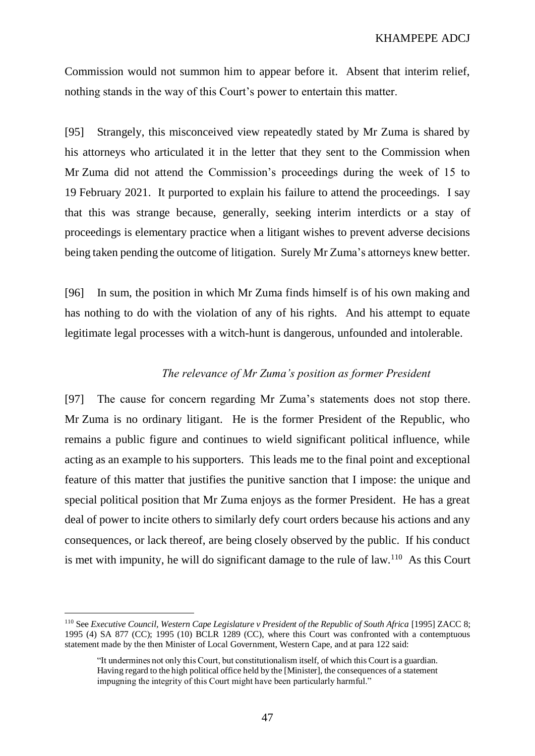Commission would not summon him to appear before it. Absent that interim relief, nothing stands in the way of this Court's power to entertain this matter.

[95] Strangely, this misconceived view repeatedly stated by Mr Zuma is shared by his attorneys who articulated it in the letter that they sent to the Commission when Mr Zuma did not attend the Commission's proceedings during the week of 15 to 19 February 2021. It purported to explain his failure to attend the proceedings. I say that this was strange because, generally, seeking interim interdicts or a stay of proceedings is elementary practice when a litigant wishes to prevent adverse decisions being taken pending the outcome of litigation. Surely Mr Zuma's attorneys knew better.

[96] In sum, the position in which Mr Zuma finds himself is of his own making and has nothing to do with the violation of any of his rights. And his attempt to equate legitimate legal processes with a witch-hunt is dangerous, unfounded and intolerable.

# *The relevance of Mr Zuma's position as former President*

[97] The cause for concern regarding Mr Zuma's statements does not stop there. Mr Zuma is no ordinary litigant. He is the former President of the Republic, who remains a public figure and continues to wield significant political influence, while acting as an example to his supporters. This leads me to the final point and exceptional feature of this matter that justifies the punitive sanction that I impose: the unique and special political position that Mr Zuma enjoys as the former President. He has a great deal of power to incite others to similarly defy court orders because his actions and any consequences, or lack thereof, are being closely observed by the public. If his conduct is met with impunity, he will do significant damage to the rule of  $law<sup>110</sup>$ . As this Court

<sup>110</sup> See *Executive Council, Western Cape Legislature v President of the Republic of South Africa* [1995] ZACC 8; 1995 (4) SA 877 (CC); 1995 (10) BCLR 1289 (CC), where this Court was confronted with a contemptuous statement made by the then Minister of Local Government, Western Cape, and at para 122 said:

<sup>&</sup>quot;It undermines not only this Court, but constitutionalism itself, of which this Court is a guardian. Having regard to the high political office held by the [Minister], the consequences of a statement impugning the integrity of this Court might have been particularly harmful."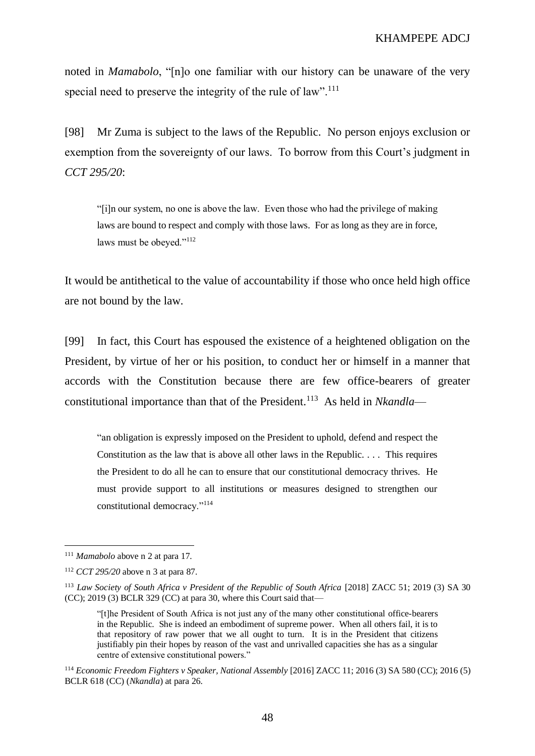noted in *Mamabolo*, "[n]o one familiar with our history can be unaware of the very special need to preserve the integrity of the rule of law".<sup>111</sup>

[98] Mr Zuma is subject to the laws of the Republic. No person enjoys exclusion or exemption from the sovereignty of our laws. To borrow from this Court's judgment in *CCT 295/20*:

"[i]n our system, no one is above the law. Even those who had the privilege of making laws are bound to respect and comply with those laws. For as long as they are in force, laws must be obeyed."<sup>112</sup>

It would be antithetical to the value of accountability if those who once held high office are not bound by the law.

[99] In fact, this Court has espoused the existence of a heightened obligation on the President, by virtue of her or his position, to conduct her or himself in a manner that accords with the Constitution because there are few office-bearers of greater constitutional importance than that of the President.<sup>113</sup> As held in *Nkandla*—

<span id="page-47-0"></span>"an obligation is expressly imposed on the President to uphold, defend and respect the Constitution as the law that is above all other laws in the Republic. . . . This requires the President to do all he can to ensure that our constitutional democracy thrives. He must provide support to all institutions or measures designed to strengthen our constitutional democracy."<sup>114</sup>

<sup>111</sup> *Mamabolo* above n [2](#page-3-0) at para 17.

<sup>112</sup> *CCT 295/20* above n [3](#page-3-1) at para 87.

<sup>113</sup> *Law Society of South Africa v President of the Republic of South Africa* [2018] ZACC 51; 2019 (3) SA 30  $(CC)$ ; 2019 (3) BCLR 329 (CC) at para 30, where this Court said that—

<sup>&</sup>quot;[t]he President of South Africa is not just any of the many other constitutional office-bearers in the Republic. She is indeed an embodiment of supreme power. When all others fail, it is to that repository of raw power that we all ought to turn. It is in the President that citizens justifiably pin their hopes by reason of the vast and unrivalled capacities she has as a singular centre of extensive constitutional powers."

<sup>114</sup> *Economic Freedom Fighters v Speaker, National Assembly* [2016] ZACC 11; 2016 (3) SA 580 (CC); 2016 (5) BCLR 618 (CC) (*Nkandla*) at para 26.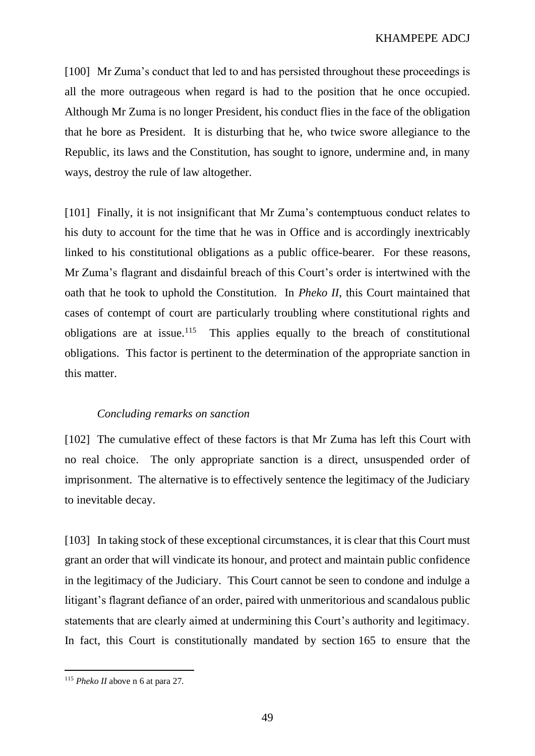[100] Mr Zuma's conduct that led to and has persisted throughout these proceedings is all the more outrageous when regard is had to the position that he once occupied. Although Mr Zuma is no longer President, his conduct flies in the face of the obligation that he bore as President. It is disturbing that he, who twice swore allegiance to the Republic, its laws and the Constitution, has sought to ignore, undermine and, in many ways, destroy the rule of law altogether.

[101] Finally, it is not insignificant that Mr Zuma's contemptuous conduct relates to his duty to account for the time that he was in Office and is accordingly inextricably linked to his constitutional obligations as a public office-bearer. For these reasons, Mr Zuma's flagrant and disdainful breach of this Court's order is intertwined with the oath that he took to uphold the Constitution. In *Pheko II*, this Court maintained that cases of contempt of court are particularly troubling where constitutional rights and obligations are at issue.<sup>115</sup> This applies equally to the breach of constitutional obligations. This factor is pertinent to the determination of the appropriate sanction in this matter.

### *Concluding remarks on sanction*

[102] The cumulative effect of these factors is that Mr Zuma has left this Court with no real choice. The only appropriate sanction is a direct, unsuspended order of imprisonment. The alternative is to effectively sentence the legitimacy of the Judiciary to inevitable decay.

[103] In taking stock of these exceptional circumstances, it is clear that this Court must grant an order that will vindicate its honour, and protect and maintain public confidence in the legitimacy of the Judiciary. This Court cannot be seen to condone and indulge a litigant's flagrant defiance of an order, paired with unmeritorious and scandalous public statements that are clearly aimed at undermining this Court's authority and legitimacy. In fact, this Court is constitutionally mandated by section 165 to ensure that the

<sup>115</sup> *Pheko II* above n [6](#page-5-0) at para 27.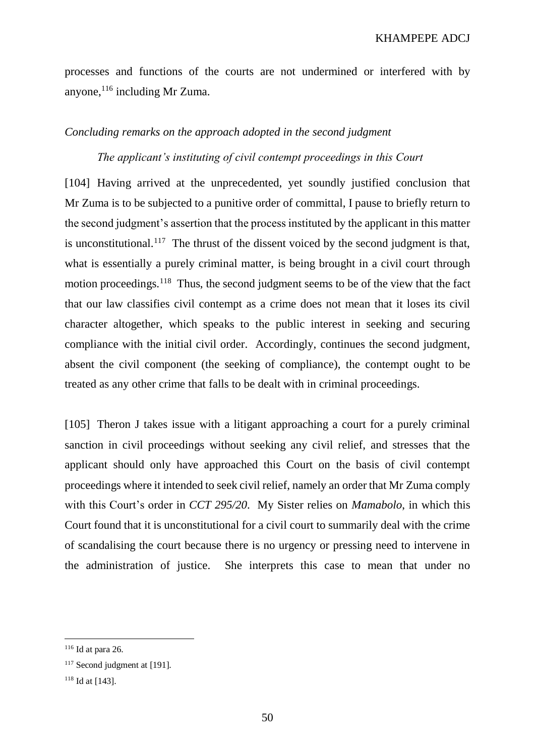processes and functions of the courts are not undermined or interfered with by anyone,<sup>116</sup> including Mr Zuma.

# *Concluding remarks on the approach adopted in the second judgment*

## *The applicant's instituting of civil contempt proceedings in this Court*

[104] Having arrived at the unprecedented, yet soundly justified conclusion that Mr Zuma is to be subjected to a punitive order of committal, I pause to briefly return to the second judgment's assertion that the process instituted by the applicant in this matter is unconstitutional.<sup>117</sup> The thrust of the dissent voiced by the second judgment is that, what is essentially a purely criminal matter, is being brought in a civil court through motion proceedings.<sup>118</sup> Thus, the second judgment seems to be of the view that the fact that our law classifies civil contempt as a crime does not mean that it loses its civil character altogether, which speaks to the public interest in seeking and securing compliance with the initial civil order. Accordingly, continues the second judgment, absent the civil component (the seeking of compliance), the contempt ought to be treated as any other crime that falls to be dealt with in criminal proceedings.

[105] Theron J takes issue with a litigant approaching a court for a purely criminal sanction in civil proceedings without seeking any civil relief, and stresses that the applicant should only have approached this Court on the basis of civil contempt proceedings where it intended to seek civil relief, namely an order that Mr Zuma comply with this Court's order in *CCT 295/20*. My Sister relies on *Mamabolo*, in which this Court found that it is unconstitutional for a civil court to summarily deal with the crime of scandalising the court because there is no urgency or pressing need to intervene in the administration of justice. She interprets this case to mean that under no

 $116$  Id at para 26.

<sup>&</sup>lt;sup>117</sup> Second judgment a[t \[191\].](#page-88-0)

<sup>118</sup> Id at [\[143\].](#page-66-0)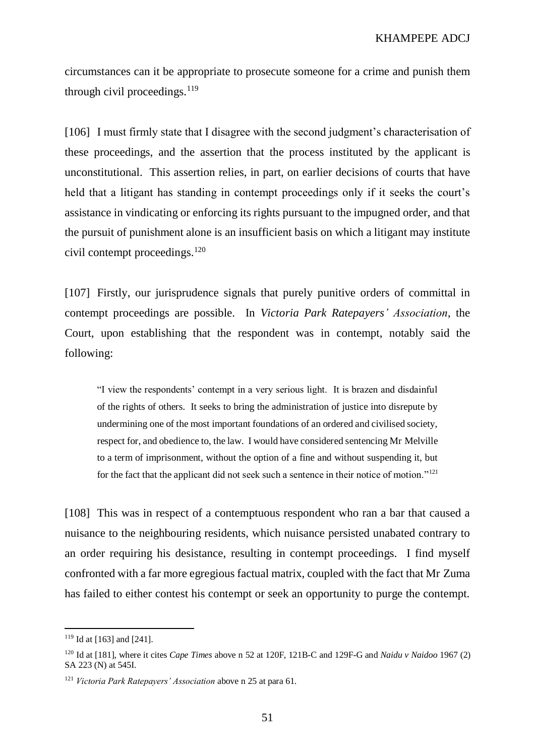circumstances can it be appropriate to prosecute someone for a crime and punish them through civil proceedings. $119$ 

[106] I must firmly state that I disagree with the second judgment's characterisation of these proceedings, and the assertion that the process instituted by the applicant is unconstitutional. This assertion relies, in part, on earlier decisions of courts that have held that a litigant has standing in contempt proceedings only if it seeks the court's assistance in vindicating or enforcing its rights pursuant to the impugned order, and that the pursuit of punishment alone is an insufficient basis on which a litigant may institute civil contempt proceedings.<sup>120</sup>

[107] Firstly, our jurisprudence signals that purely punitive orders of committal in contempt proceedings are possible. In *Victoria Park Ratepayers' Association*, the Court, upon establishing that the respondent was in contempt, notably said the following:

"I view the respondents' contempt in a very serious light. It is brazen and disdainful of the rights of others. It seeks to bring the administration of justice into disrepute by undermining one of the most important foundations of an ordered and civilised society, respect for, and obedience to, the law. I would have considered sentencing Mr Melville to a term of imprisonment, without the option of a fine and without suspending it, but for the fact that the applicant did not seek such a sentence in their notice of motion."<sup>121</sup>

[108] This was in respect of a contemptuous respondent who ran a bar that caused a nuisance to the neighbouring residents, which nuisance persisted unabated contrary to an order requiring his desistance, resulting in contempt proceedings. I find myself confronted with a far more egregious factual matrix, coupled with the fact that Mr Zuma has failed to either contest his contempt or seek an opportunity to purge the contempt.

 $119$  Id at [\[163\]](#page-75-0) an[d \[241\].](#page-111-0)

<sup>120</sup> Id a[t \[181\],](#page-83-0) where it cites *Cape Times* above [n 52](#page-25-0) at 120F, 121B-C and 129F-G and *Naidu v Naidoo* 1967 (2) SA 223 (N) at 545I.

<sup>121</sup> *Victoria Park Ratepayers' Association* above [n 25](#page-14-0) at para 61.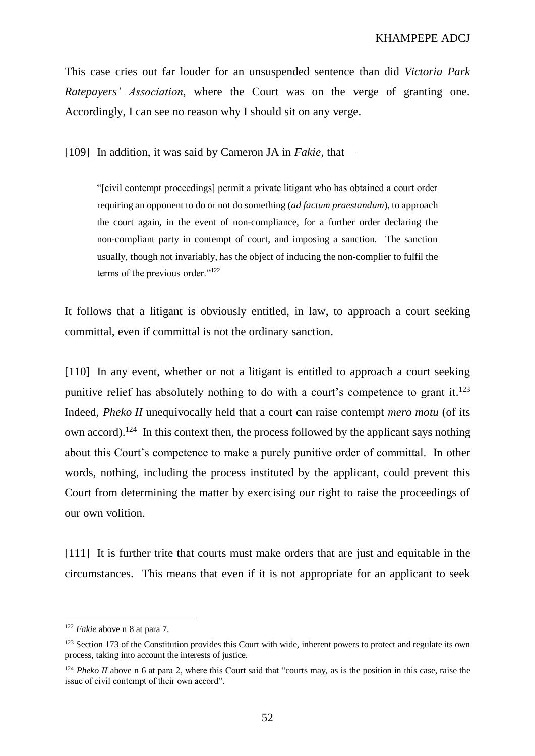This case cries out far louder for an unsuspended sentence than did *Victoria Park Ratepayers' Association*, where the Court was on the verge of granting one. Accordingly, I can see no reason why I should sit on any verge.

[109] In addition, it was said by Cameron JA in *Fakie*, that—

"[civil contempt proceedings] permit a private litigant who has obtained a court order requiring an opponent to do or not do something (*ad factum praestandum*), to approach the court again, in the event of non-compliance, for a further order declaring the non-compliant party in contempt of court, and imposing a sanction. The sanction usually, though not invariably, has the object of inducing the non-complier to fulfil the terms of the previous order."<sup>122</sup>

It follows that a litigant is obviously entitled, in law, to approach a court seeking committal, even if committal is not the ordinary sanction.

[110] In any event, whether or not a litigant is entitled to approach a court seeking punitive relief has absolutely nothing to do with a court's competence to grant it.<sup>123</sup> Indeed, *Pheko II* unequivocally held that a court can raise contempt *mero motu* (of its own accord).<sup>124</sup> In this context then, the process followed by the applicant says nothing about this Court's competence to make a purely punitive order of committal. In other words, nothing, including the process instituted by the applicant, could prevent this Court from determining the matter by exercising our right to raise the proceedings of our own volition.

[111] It is further trite that courts must make orders that are just and equitable in the circumstances. This means that even if it is not appropriate for an applicant to seek

<sup>122</sup> *Fakie* above [n 8](#page-6-0) at para 7.

<sup>&</sup>lt;sup>123</sup> Section 173 of the Constitution provides this Court with wide, inherent powers to protect and regulate its own process, taking into account the interests of justice.

<sup>&</sup>lt;sup>124</sup> *Pheko II* above n [6](#page-5-0) at para 2, where this Court said that "courts may, as is the position in this case, raise the issue of civil contempt of their own accord".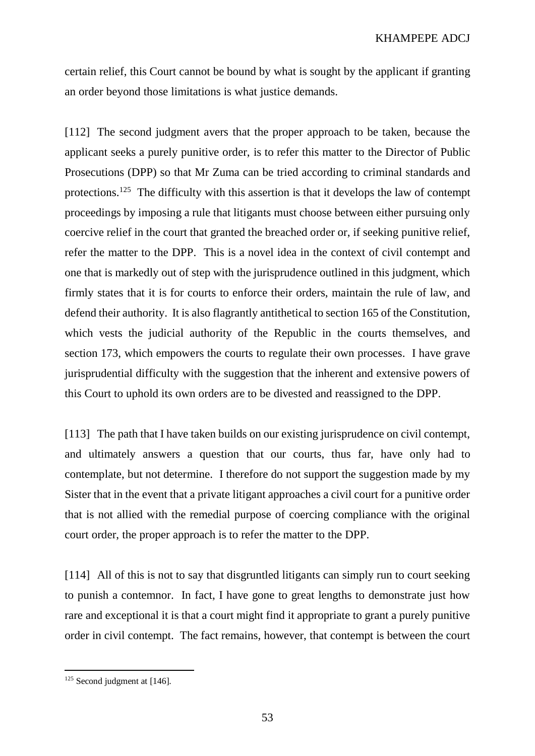certain relief, this Court cannot be bound by what is sought by the applicant if granting an order beyond those limitations is what justice demands.

[112] The second judgment avers that the proper approach to be taken, because the applicant seeks a purely punitive order, is to refer this matter to the Director of Public Prosecutions (DPP) so that Mr Zuma can be tried according to criminal standards and protections.<sup>125</sup> The difficulty with this assertion is that it develops the law of contempt proceedings by imposing a rule that litigants must choose between either pursuing only coercive relief in the court that granted the breached order or, if seeking punitive relief, refer the matter to the DPP. This is a novel idea in the context of civil contempt and one that is markedly out of step with the jurisprudence outlined in this judgment, which firmly states that it is for courts to enforce their orders, maintain the rule of law, and defend their authority. It is also flagrantly antithetical to section 165 of the Constitution, which vests the judicial authority of the Republic in the courts themselves, and section 173, which empowers the courts to regulate their own processes. I have grave jurisprudential difficulty with the suggestion that the inherent and extensive powers of this Court to uphold its own orders are to be divested and reassigned to the DPP.

[113] The path that I have taken builds on our existing jurisprudence on civil contempt, and ultimately answers a question that our courts, thus far, have only had to contemplate, but not determine. I therefore do not support the suggestion made by my Sister that in the event that a private litigant approaches a civil court for a punitive order that is not allied with the remedial purpose of coercing compliance with the original court order, the proper approach is to refer the matter to the DPP.

[114] All of this is not to say that disgruntled litigants can simply run to court seeking to punish a contemnor. In fact, I have gone to great lengths to demonstrate just how rare and exceptional it is that a court might find it appropriate to grant a purely punitive order in civil contempt. The fact remains, however, that contempt is between the court

 $125$  Second judgment a[t \[146\].](#page-67-0)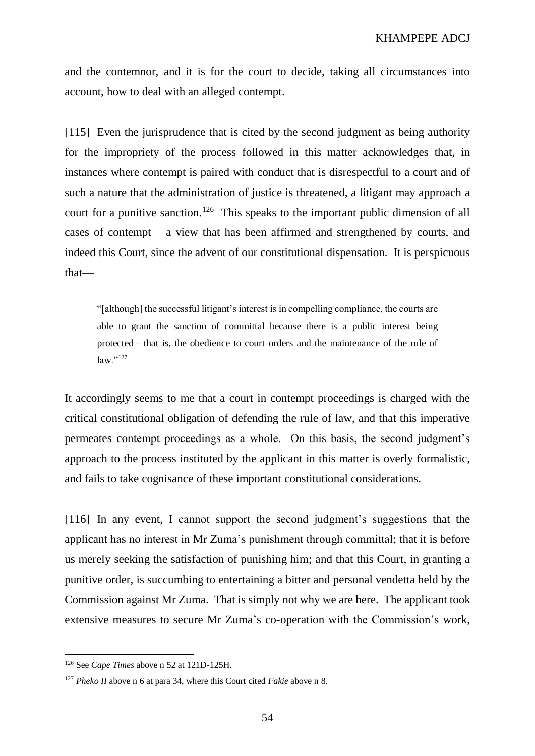and the contemnor, and it is for the court to decide, taking all circumstances into account, how to deal with an alleged contempt.

[115] Even the jurisprudence that is cited by the second judgment as being authority for the impropriety of the process followed in this matter acknowledges that, in instances where contempt is paired with conduct that is disrespectful to a court and of such a nature that the administration of justice is threatened, a litigant may approach a court for a punitive sanction.<sup>126</sup> This speaks to the important public dimension of all cases of contempt – a view that has been affirmed and strengthened by courts, and indeed this Court, since the advent of our constitutional dispensation. It is perspicuous that—

"[although] the successful litigant's interest is in compelling compliance, the courts are able to grant the sanction of committal because there is a public interest being protected – that is, the obedience to court orders and the maintenance of the rule of  $law.$ <sup>127</sup>

It accordingly seems to me that a court in contempt proceedings is charged with the critical constitutional obligation of defending the rule of law, and that this imperative permeates contempt proceedings as a whole. On this basis, the second judgment's approach to the process instituted by the applicant in this matter is overly formalistic, and fails to take cognisance of these important constitutional considerations.

[116] In any event, I cannot support the second judgment's suggestions that the applicant has no interest in Mr Zuma's punishment through committal; that it is before us merely seeking the satisfaction of punishing him; and that this Court, in granting a punitive order, is succumbing to entertaining a bitter and personal vendetta held by the Commission against Mr Zuma. That is simply not why we are here. The applicant took extensive measures to secure Mr Zuma's co-operation with the Commission's work,

<sup>126</sup> See *Cape Times* above n [52](#page-25-0) at 121D-125H.

<sup>127</sup> *Pheko II* above n [6](#page-5-0) at para 34, where this Court cited *Fakie* above n [8.](#page-6-0)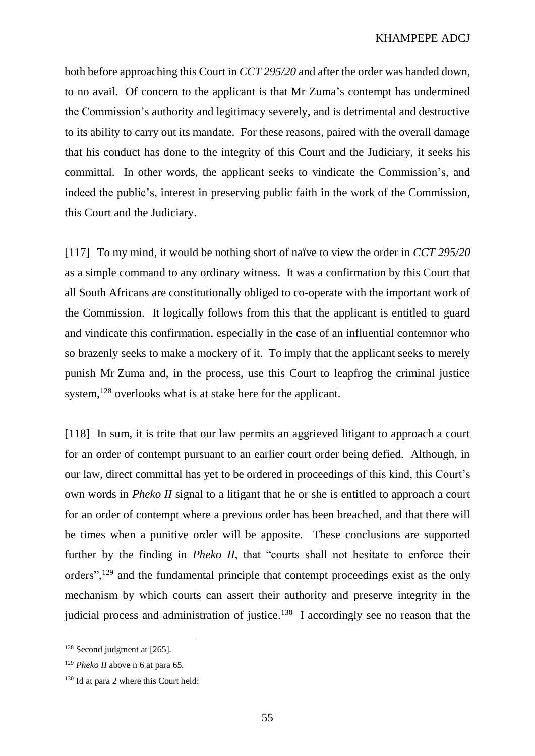both before approaching this Court in *CCT 295/20* and after the order was handed down, to no avail. Of concern to the applicant is that Mr Zuma's contempt has undermined the Commission's authority and legitimacy severely, and is detrimental and destructive to its ability to carry out its mandate. For these reasons, paired with the overall damage that his conduct has done to the integrity of this Court and the Judiciary, it seeks his committal. In other words, the applicant seeks to vindicate the Commission's, and indeed the public's, interest in preserving public faith in the work of the Commission, this Court and the Judiciary.

[117] To my mind, it would be nothing short of naïve to view the order in *CCT 295/20* as a simple command to any ordinary witness. It was a confirmation by this Court that all South Africans are constitutionally obliged to co-operate with the important work of the Commission. It logically follows from this that the applicant is entitled to guard and vindicate this confirmation, especially in the case of an influential contemnor who so brazenly seeks to make a mockery of it. To imply that the applicant seeks to merely punish Mr Zuma and, in the process, use this Court to leapfrog the criminal justice system,<sup>128</sup> overlooks what is at stake here for the applicant.

[118] In sum, it is trite that our law permits an aggrieved litigant to approach a court for an order of contempt pursuant to an earlier court order being defied. Although, in our law, direct committal has yet to be ordered in proceedings of this kind, this Court's own words in *Pheko II* signal to a litigant that he or she is entitled to approach a court for an order of contempt where a previous order has been breached, and that there will be times when a punitive order will be apposite. These conclusions are supported further by the finding in *Pheko II*, that "courts shall not hesitate to enforce their orders",<sup>129</sup> and the fundamental principle that contempt proceedings exist as the only mechanism by which courts can assert their authority and preserve integrity in the judicial process and administration of justice.<sup>130</sup> I accordingly see no reason that the

<sup>128</sup> Second judgment a[t \[265\].](#page-123-0)

<sup>129</sup> *Pheko II* above n [6](#page-5-0) at para 65.

<sup>&</sup>lt;sup>130</sup> Id at para 2 where this Court held: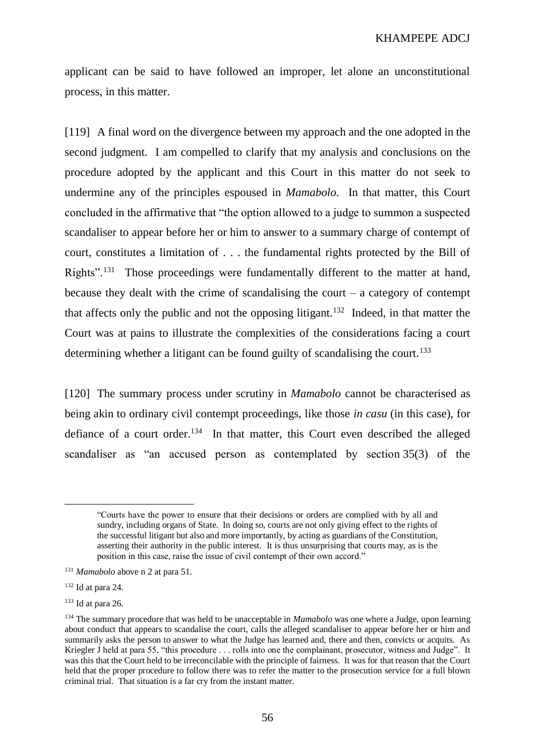applicant can be said to have followed an improper, let alone an unconstitutional process, in this matter.

[119] A final word on the divergence between my approach and the one adopted in the second judgment. I am compelled to clarify that my analysis and conclusions on the procedure adopted by the applicant and this Court in this matter do not seek to undermine any of the principles espoused in *Mamabolo*. In that matter, this Court concluded in the affirmative that "the option allowed to a judge to summon a suspected scandaliser to appear before her or him to answer to a summary charge of contempt of court, constitutes a limitation of . . . the fundamental rights protected by the Bill of Rights".<sup>131</sup> Those proceedings were fundamentally different to the matter at hand, because they dealt with the crime of scandalising the court  $-$  a category of contempt that affects only the public and not the opposing litigant.<sup>132</sup> Indeed, in that matter the Court was at pains to illustrate the complexities of the considerations facing a court determining whether a litigant can be found guilty of scandalising the court.<sup>133</sup>

[120] The summary process under scrutiny in *Mamabolo* cannot be characterised as being akin to ordinary civil contempt proceedings, like those *in casu* (in this case), for defiance of a court order.<sup>134</sup> In that matter, this Court even described the alleged scandaliser as "an accused person as contemplated by section 35(3) of the

<sup>&</sup>quot;Courts have the power to ensure that their decisions or orders are complied with by all and sundry, including organs of State. In doing so, courts are not only giving effect to the rights of the successful litigant but also and more importantly, by acting as guardians of the Constitution, asserting their authority in the public interest. It is thus unsurprising that courts may, as is the position in this case, raise the issue of civil contempt of their own accord."

<sup>131</sup> *Mamabolo* above n [2](#page-3-0) at para 51.

 $132$  Id at para 24.

 $133$  Id at para 26.

<sup>134</sup> The summary procedure that was held to be unacceptable in *Mamabolo* was one where a Judge, upon learning about conduct that appears to scandalise the court, calls the alleged scandaliser to appear before her or him and summarily asks the person to answer to what the Judge has learned and, there and then, convicts or acquits. As Kriegler J held at para 55, "this procedure . . . rolls into one the complainant, prosecutor, witness and Judge". It was this that the Court held to be irreconcilable with the principle of fairness. It was for that reason that the Court held that the proper procedure to follow there was to refer the matter to the prosecution service for a full blown criminal trial. That situation is a far cry from the instant matter.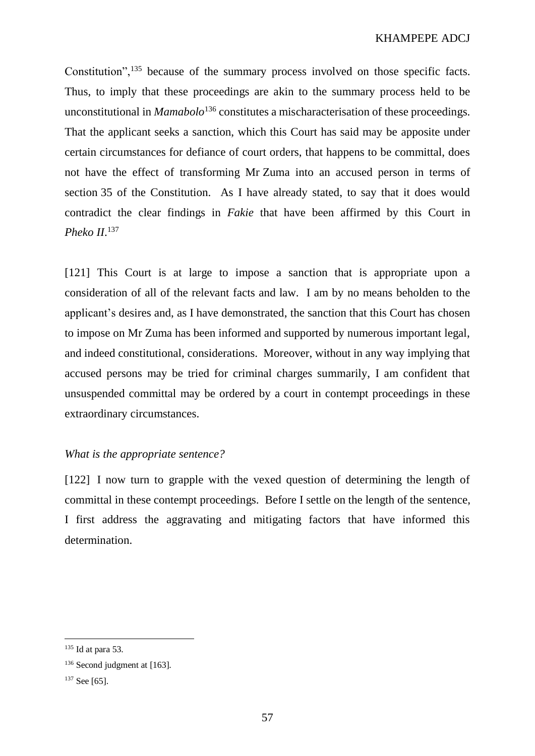Constitution",<sup>135</sup> because of the summary process involved on those specific facts. Thus, to imply that these proceedings are akin to the summary process held to be unconstitutional in *Mamabolo*<sup>136</sup> constitutes a mischaracterisation of these proceedings. That the applicant seeks a sanction, which this Court has said may be apposite under certain circumstances for defiance of court orders, that happens to be committal, does not have the effect of transforming Mr Zuma into an accused person in terms of section 35 of the Constitution. As I have already stated, to say that it does would contradict the clear findings in *Fakie* that have been affirmed by this Court in *Pheko II*. 137

[121] This Court is at large to impose a sanction that is appropriate upon a consideration of all of the relevant facts and law. I am by no means beholden to the applicant's desires and, as I have demonstrated, the sanction that this Court has chosen to impose on Mr Zuma has been informed and supported by numerous important legal, and indeed constitutional, considerations. Moreover, without in any way implying that accused persons may be tried for criminal charges summarily, I am confident that unsuspended committal may be ordered by a court in contempt proceedings in these extraordinary circumstances.

# *What is the appropriate sentence?*

[122] I now turn to grapple with the vexed question of determining the length of committal in these contempt proceedings. Before I settle on the length of the sentence, I first address the aggravating and mitigating factors that have informed this determination.

 $135$  Id at para 53.

<sup>136</sup> Second judgment a[t \[163\].](#page-75-0)

<sup>&</sup>lt;sup>137</sup> Se[e \[65\].](#page-31-0)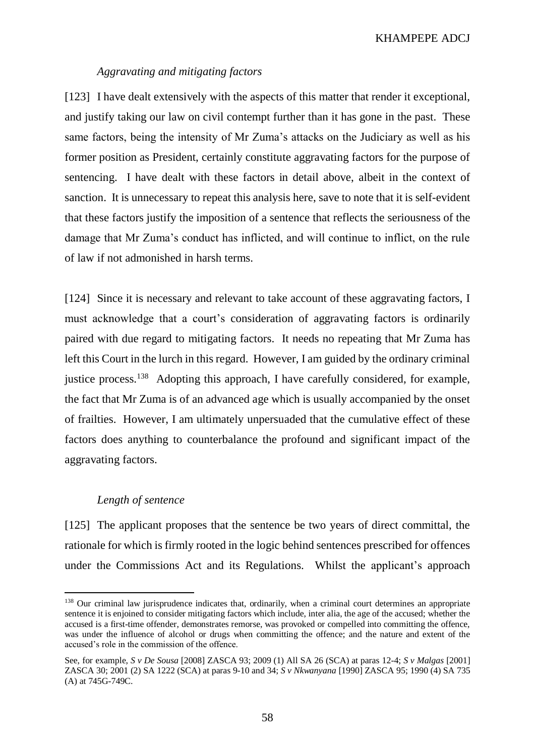### *Aggravating and mitigating factors*

[123] I have dealt extensively with the aspects of this matter that render it exceptional, and justify taking our law on civil contempt further than it has gone in the past. These same factors, being the intensity of Mr Zuma's attacks on the Judiciary as well as his former position as President, certainly constitute aggravating factors for the purpose of sentencing. I have dealt with these factors in detail above, albeit in the context of sanction. It is unnecessary to repeat this analysis here, save to note that it is self-evident that these factors justify the imposition of a sentence that reflects the seriousness of the damage that Mr Zuma's conduct has inflicted, and will continue to inflict, on the rule of law if not admonished in harsh terms.

[124] Since it is necessary and relevant to take account of these aggravating factors, I must acknowledge that a court's consideration of aggravating factors is ordinarily paired with due regard to mitigating factors. It needs no repeating that Mr Zuma has left this Court in the lurch in this regard. However, I am guided by the ordinary criminal justice process.<sup>138</sup> Adopting this approach, I have carefully considered, for example, the fact that Mr Zuma is of an advanced age which is usually accompanied by the onset of frailties. However, I am ultimately unpersuaded that the cumulative effect of these factors does anything to counterbalance the profound and significant impact of the aggravating factors.

## *Length of sentence*

 $\overline{a}$ 

[125] The applicant proposes that the sentence be two years of direct committal, the rationale for which is firmly rooted in the logic behind sentences prescribed for offences under the Commissions Act and its Regulations. Whilst the applicant's approach

<sup>&</sup>lt;sup>138</sup> Our criminal law jurisprudence indicates that, ordinarily, when a criminal court determines an appropriate sentence it is enjoined to consider mitigating factors which include, inter alia, the age of the accused; whether the accused is a first-time offender, demonstrates remorse, was provoked or compelled into committing the offence, was under the influence of alcohol or drugs when committing the offence; and the nature and extent of the accused's role in the commission of the offence.

See, for example, *S v De Sousa* [2008] ZASCA 93; 2009 (1) All SA 26 (SCA) at paras 12-4; *S v Malgas* [2001] ZASCA 30; 2001 (2) SA 1222 (SCA) at paras 9-10 and 34; *S v Nkwanyana* [1990] ZASCA 95; 1990 (4) SA 735 (A) at 745G-749C.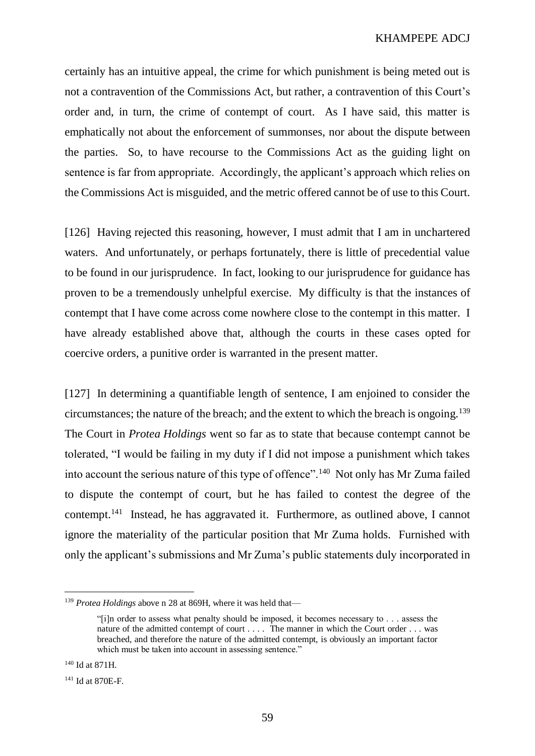certainly has an intuitive appeal, the crime for which punishment is being meted out is not a contravention of the Commissions Act, but rather, a contravention of this Court's order and, in turn, the crime of contempt of court. As I have said, this matter is emphatically not about the enforcement of summonses, nor about the dispute between the parties. So, to have recourse to the Commissions Act as the guiding light on sentence is far from appropriate. Accordingly, the applicant's approach which relies on the Commissions Act is misguided, and the metric offered cannot be of use to this Court.

[126] Having rejected this reasoning, however, I must admit that I am in unchartered waters. And unfortunately, or perhaps fortunately, there is little of precedential value to be found in our jurisprudence. In fact, looking to our jurisprudence for guidance has proven to be a tremendously unhelpful exercise. My difficulty is that the instances of contempt that I have come across come nowhere close to the contempt in this matter. I have already established above that, although the courts in these cases opted for coercive orders, a punitive order is warranted in the present matter.

[127] In determining a quantifiable length of sentence, I am enjoined to consider the circumstances; the nature of the breach; and the extent to which the breach is ongoing.<sup>139</sup> The Court in *Protea Holdings* went so far as to state that because contempt cannot be tolerated, "I would be failing in my duty if I did not impose a punishment which takes into account the serious nature of this type of offence".<sup>140</sup> Not only has Mr Zuma failed to dispute the contempt of court, but he has failed to contest the degree of the contempt.<sup>141</sup> Instead, he has aggravated it. Furthermore, as outlined above, I cannot ignore the materiality of the particular position that Mr Zuma holds. Furnished with only the applicant's submissions and Mr Zuma's public statements duly incorporated in

<sup>139</sup> *Protea Holdings* above n [28](#page-16-0) at 869H, where it was held that—

<sup>&</sup>quot;[i]n order to assess what penalty should be imposed, it becomes necessary to . . . assess the nature of the admitted contempt of court . . . . The manner in which the Court order . . . was breached, and therefore the nature of the admitted contempt, is obviously an important factor which must be taken into account in assessing sentence."

<sup>140</sup> Id at 871H.

<sup>141</sup> Id at 870E-F.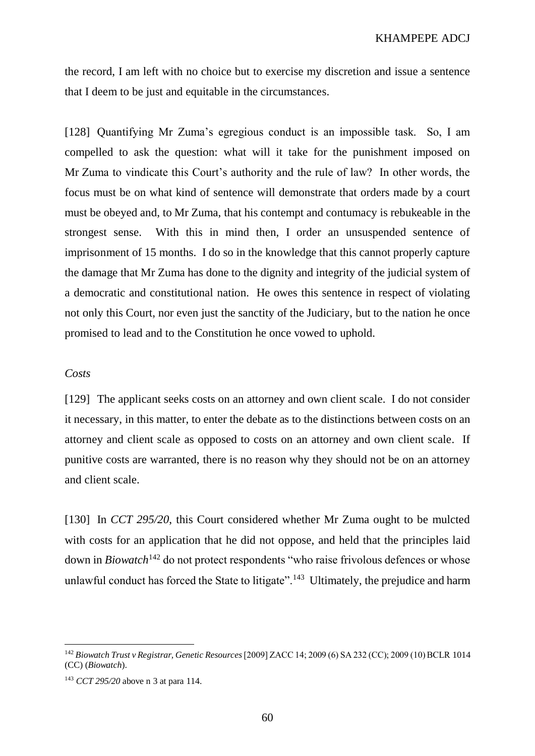the record, I am left with no choice but to exercise my discretion and issue a sentence that I deem to be just and equitable in the circumstances.

[128] Quantifying Mr Zuma's egregious conduct is an impossible task. So, I am compelled to ask the question: what will it take for the punishment imposed on Mr Zuma to vindicate this Court's authority and the rule of law? In other words, the focus must be on what kind of sentence will demonstrate that orders made by a court must be obeyed and, to Mr Zuma, that his contempt and contumacy is rebukeable in the strongest sense. With this in mind then, I order an unsuspended sentence of imprisonment of 15 months. I do so in the knowledge that this cannot properly capture the damage that Mr Zuma has done to the dignity and integrity of the judicial system of a democratic and constitutional nation. He owes this sentence in respect of violating not only this Court, nor even just the sanctity of the Judiciary, but to the nation he once promised to lead and to the Constitution he once vowed to uphold.

## *Costs*

 $\overline{a}$ 

[129] The applicant seeks costs on an attorney and own client scale. I do not consider it necessary, in this matter, to enter the debate as to the distinctions between costs on an attorney and client scale as opposed to costs on an attorney and own client scale. If punitive costs are warranted, there is no reason why they should not be on an attorney and client scale.

[130] In *CCT 295/20*, this Court considered whether Mr Zuma ought to be mulcted with costs for an application that he did not oppose, and held that the principles laid down in *Biowatch*<sup>142</sup> do not protect respondents "who raise frivolous defences or whose unlawful conduct has forced the State to litigate".<sup>143</sup> Ultimately, the prejudice and harm

<sup>142</sup> *Biowatch Trust v Registrar, Genetic Resources*[2009] ZACC 14; 2009 (6) SA 232 (CC); 2009 (10) BCLR 1014 (CC) (*Biowatch*).

<sup>143</sup> *CCT 295/20* above n [3](#page-3-1) at para 114.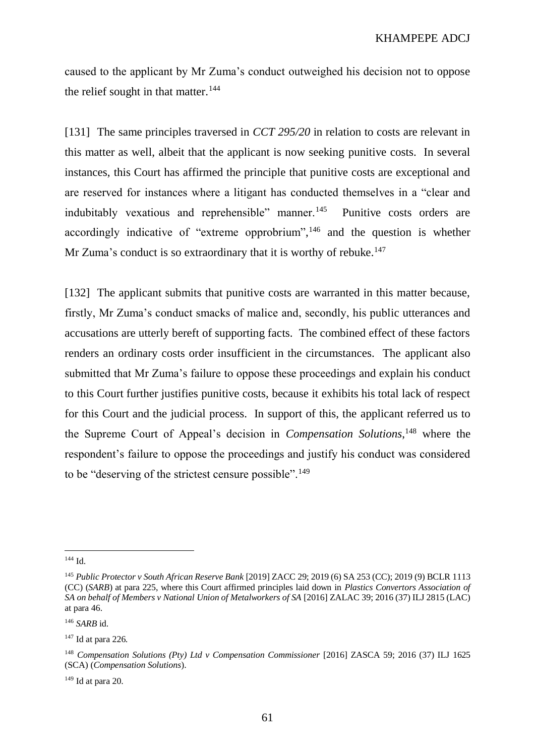caused to the applicant by Mr Zuma's conduct outweighed his decision not to oppose the relief sought in that matter. $144$ 

[131] The same principles traversed in *CCT 295/20* in relation to costs are relevant in this matter as well, albeit that the applicant is now seeking punitive costs. In several instances, this Court has affirmed the principle that punitive costs are exceptional and are reserved for instances where a litigant has conducted themselves in a "clear and indubitably vexatious and reprehensible" manner.<sup>145</sup> Punitive costs orders are accordingly indicative of "extreme opprobrium", <sup>146</sup> and the question is whether Mr Zuma's conduct is so extraordinary that it is worthy of rebuke.<sup>147</sup>

[132] The applicant submits that punitive costs are warranted in this matter because, firstly, Mr Zuma's conduct smacks of malice and, secondly, his public utterances and accusations are utterly bereft of supporting facts. The combined effect of these factors renders an ordinary costs order insufficient in the circumstances. The applicant also submitted that Mr Zuma's failure to oppose these proceedings and explain his conduct to this Court further justifies punitive costs, because it exhibits his total lack of respect for this Court and the judicial process. In support of this, the applicant referred us to the Supreme Court of Appeal's decision in *Compensation Solutions*, <sup>148</sup> where the respondent's failure to oppose the proceedings and justify his conduct was considered to be "deserving of the strictest censure possible".<sup>149</sup>

<span id="page-60-0"></span> $\overline{a}$ 

 $149$  Id at para 20.

<sup>144</sup> Id.

<sup>145</sup> *Public Protector v South African Reserve Bank* [2019] ZACC 29; 2019 (6) SA 253 (CC); 2019 (9) BCLR 1113 (CC) (*SARB*) at para 225, where this Court affirmed principles laid down in *Plastics Convertors Association of SA on behalf of Members v National Union of Metalworkers of SA* [2016] ZALAC 39; 2016 (37) ILJ 2815 (LAC) at para 46.

<sup>146</sup> *SARB* id.

<sup>147</sup> Id at para 226*.*

<sup>&</sup>lt;sup>148</sup> Compensation Solutions (Pty) Ltd v Compensation Commissioner [2016] ZASCA 59; 2016 (37) ILJ 1625 (SCA) (*Compensation Solutions*).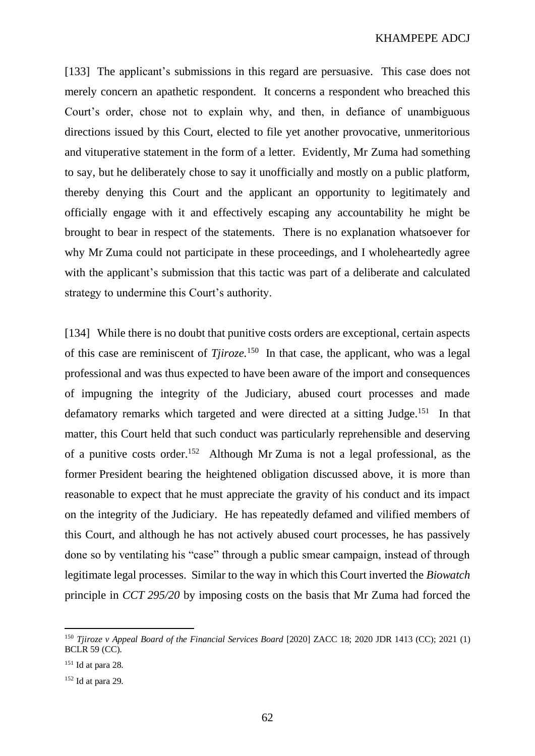[133] The applicant's submissions in this regard are persuasive. This case does not merely concern an apathetic respondent. It concerns a respondent who breached this Court's order, chose not to explain why, and then, in defiance of unambiguous directions issued by this Court, elected to file yet another provocative, unmeritorious and vituperative statement in the form of a letter. Evidently, Mr Zuma had something to say, but he deliberately chose to say it unofficially and mostly on a public platform, thereby denying this Court and the applicant an opportunity to legitimately and officially engage with it and effectively escaping any accountability he might be brought to bear in respect of the statements. There is no explanation whatsoever for why Mr Zuma could not participate in these proceedings, and I wholeheartedly agree with the applicant's submission that this tactic was part of a deliberate and calculated strategy to undermine this Court's authority.

[134] While there is no doubt that punitive costs orders are exceptional, certain aspects of this case are reminiscent of *Tjiroze.*<sup>150</sup> In that case, the applicant, who was a legal professional and was thus expected to have been aware of the import and consequences of impugning the integrity of the Judiciary, abused court processes and made defamatory remarks which targeted and were directed at a sitting Judge.<sup>151</sup> In that matter, this Court held that such conduct was particularly reprehensible and deserving of a punitive costs order.<sup>152</sup> Although Mr Zuma is not a legal professional, as the former President bearing the heightened obligation discussed above, it is more than reasonable to expect that he must appreciate the gravity of his conduct and its impact on the integrity of the Judiciary. He has repeatedly defamed and vilified members of this Court, and although he has not actively abused court processes, he has passively done so by ventilating his "case" through a public smear campaign, instead of through legitimate legal processes. Similar to the way in which this Court inverted the *Biowatch* principle in *CCT 295/20* by imposing costs on the basis that Mr Zuma had forced the

<sup>150</sup> *Tjiroze v Appeal Board of the Financial Services Board* [2020] ZACC 18; 2020 JDR 1413 (CC); 2021 (1) BCLR 59 (CC).

<sup>151</sup> Id at para 28.

 $152$  Id at para 29.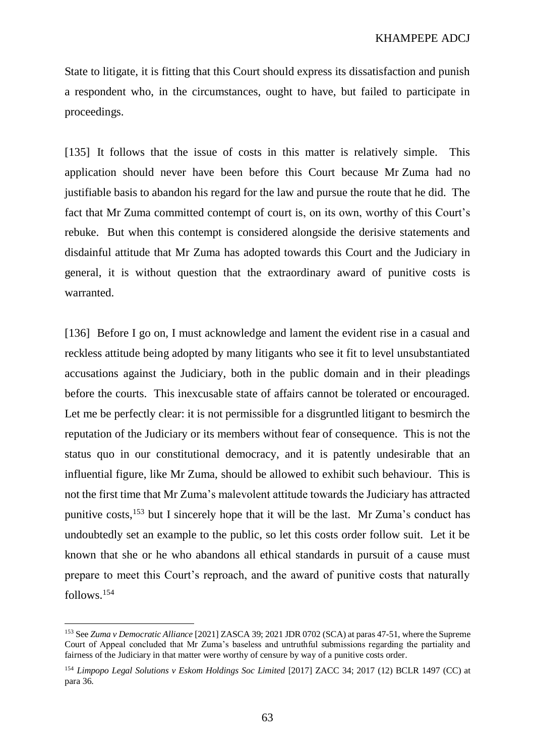State to litigate, it is fitting that this Court should express its dissatisfaction and punish a respondent who, in the circumstances, ought to have, but failed to participate in proceedings.

[135] It follows that the issue of costs in this matter is relatively simple. This application should never have been before this Court because Mr Zuma had no justifiable basis to abandon his regard for the law and pursue the route that he did. The fact that Mr Zuma committed contempt of court is, on its own, worthy of this Court's rebuke. But when this contempt is considered alongside the derisive statements and disdainful attitude that Mr Zuma has adopted towards this Court and the Judiciary in general, it is without question that the extraordinary award of punitive costs is warranted.

[136] Before I go on, I must acknowledge and lament the evident rise in a casual and reckless attitude being adopted by many litigants who see it fit to level unsubstantiated accusations against the Judiciary, both in the public domain and in their pleadings before the courts. This inexcusable state of affairs cannot be tolerated or encouraged. Let me be perfectly clear: it is not permissible for a disgruntled litigant to besmirch the reputation of the Judiciary or its members without fear of consequence. This is not the status quo in our constitutional democracy, and it is patently undesirable that an influential figure, like Mr Zuma, should be allowed to exhibit such behaviour. This is not the first time that Mr Zuma's malevolent attitude towards the Judiciary has attracted punitive costs,  $153$  but I sincerely hope that it will be the last. Mr Zuma's conduct has undoubtedly set an example to the public, so let this costs order follow suit. Let it be known that she or he who abandons all ethical standards in pursuit of a cause must prepare to meet this Court's reproach, and the award of punitive costs that naturally follows.<sup>154</sup>

<sup>153</sup> See *Zuma v Democratic Alliance* [2021] ZASCA 39; 2021 JDR 0702 (SCA) at paras 47-51, where the Supreme Court of Appeal concluded that Mr Zuma's baseless and untruthful submissions regarding the partiality and fairness of the Judiciary in that matter were worthy of censure by way of a punitive costs order.

<sup>154</sup> *Limpopo Legal Solutions v Eskom Holdings Soc Limited* [2017] ZACC 34; 2017 (12) BCLR 1497 (CC) at para 36.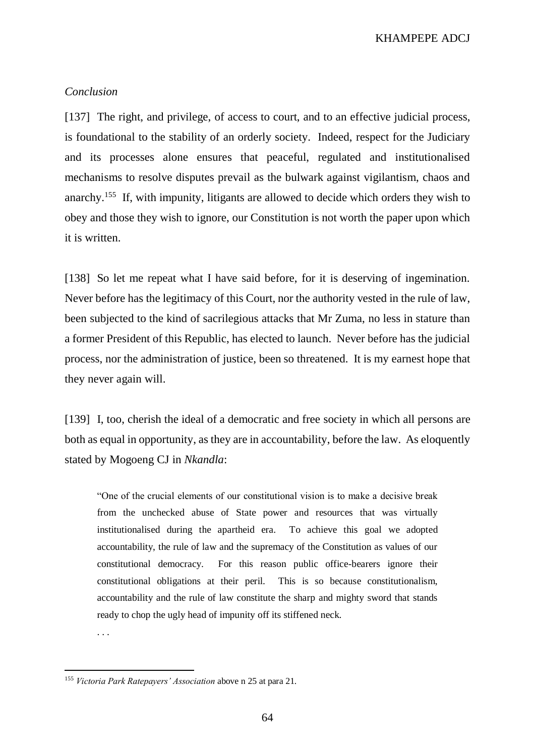#### *Conclusion*

[137] The right, and privilege, of access to court, and to an effective judicial process, is foundational to the stability of an orderly society. Indeed, respect for the Judiciary and its processes alone ensures that peaceful, regulated and institutionalised mechanisms to resolve disputes prevail as the bulwark against vigilantism, chaos and anarchy.<sup>155</sup> If, with impunity, litigants are allowed to decide which orders they wish to obey and those they wish to ignore, our Constitution is not worth the paper upon which it is written.

[138] So let me repeat what I have said before, for it is deserving of ingemination. Never before has the legitimacy of this Court, nor the authority vested in the rule of law, been subjected to the kind of sacrilegious attacks that Mr Zuma, no less in stature than a former President of this Republic, has elected to launch. Never before has the judicial process, nor the administration of justice, been so threatened. It is my earnest hope that they never again will.

[139] I, too, cherish the ideal of a democratic and free society in which all persons are both as equal in opportunity, as they are in accountability, before the law. As eloquently stated by Mogoeng CJ in *Nkandla*:

"One of the crucial elements of our constitutional vision is to make a decisive break from the unchecked abuse of State power and resources that was virtually institutionalised during the apartheid era. To achieve this goal we adopted accountability, the rule of law and the supremacy of the Constitution as values of our constitutional democracy. For this reason public office-bearers ignore their constitutional obligations at their peril. This is so because constitutionalism, accountability and the rule of law constitute the sharp and mighty sword that stands ready to chop the ugly head of impunity off its stiffened neck.

. . .

<sup>155</sup> *Victoria Park Ratepayers' Association* above [n 25](#page-14-0) at para 21.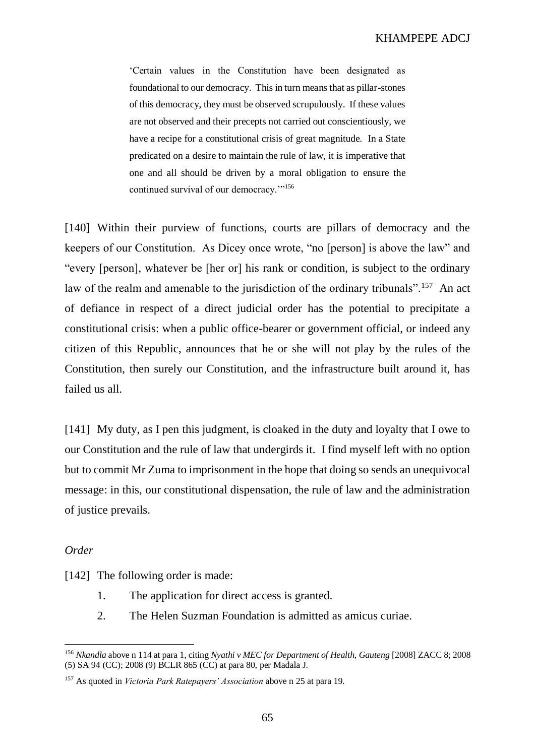'Certain values in the Constitution have been designated as foundational to our democracy. This in turn means that as pillar-stones of this democracy, they must be observed scrupulously. If these values are not observed and their precepts not carried out conscientiously, we have a recipe for a constitutional crisis of great magnitude. In a State predicated on a desire to maintain the rule of law, it is imperative that one and all should be driven by a moral obligation to ensure the continued survival of our democracy."<sup>156</sup>

[140] Within their purview of functions, courts are pillars of democracy and the keepers of our Constitution. As Dicey once wrote, "no [person] is above the law" and "every [person], whatever be [her or] his rank or condition, is subject to the ordinary law of the realm and amenable to the jurisdiction of the ordinary tribunals".<sup>157</sup> An act of defiance in respect of a direct judicial order has the potential to precipitate a constitutional crisis: when a public office-bearer or government official, or indeed any citizen of this Republic, announces that he or she will not play by the rules of the Constitution, then surely our Constitution, and the infrastructure built around it, has failed us all.

[141] My duty, as I pen this judgment, is cloaked in the duty and loyalty that I owe to our Constitution and the rule of law that undergirds it. I find myself left with no option but to commit Mr Zuma to imprisonment in the hope that doing so sends an unequivocal message: in this, our constitutional dispensation, the rule of law and the administration of justice prevails.

## *Order*

- [142] The following order is made:
	- 1. The application for direct access is granted.
	- 2. The Helen Suzman Foundation is admitted as amicus curiae.

<sup>156</sup> *Nkandla* above [n 114](#page-47-0) at para 1, citing *Nyathi v MEC for Department of Health, Gauteng* [2008] ZACC 8; 2008 (5) SA 94 (CC); 2008 (9) BCLR 865 (CC) at para 80, per Madala J.

<sup>157</sup> As quoted in *Victoria Park Ratepayers' Association* above n [25](#page-14-0) at para 19.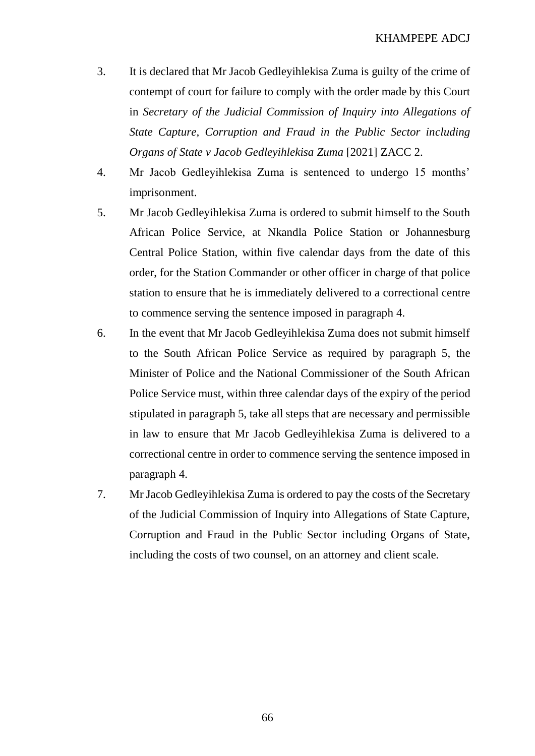- 3. It is declared that Mr Jacob Gedleyihlekisa Zuma is guilty of the crime of contempt of court for failure to comply with the order made by this Court in *Secretary of the Judicial Commission of Inquiry into Allegations of State Capture, Corruption and Fraud in the Public Sector including Organs of State v Jacob Gedleyihlekisa Zuma* [2021] ZACC 2.
- 4. Mr Jacob Gedleyihlekisa Zuma is sentenced to undergo 15 months' imprisonment.
- 5. Mr Jacob Gedleyihlekisa Zuma is ordered to submit himself to the South African Police Service, at Nkandla Police Station or Johannesburg Central Police Station, within five calendar days from the date of this order, for the Station Commander or other officer in charge of that police station to ensure that he is immediately delivered to a correctional centre to commence serving the sentence imposed in paragraph 4.
- 6. In the event that Mr Jacob Gedleyihlekisa Zuma does not submit himself to the South African Police Service as required by paragraph 5, the Minister of Police and the National Commissioner of the South African Police Service must, within three calendar days of the expiry of the period stipulated in paragraph 5, take all steps that are necessary and permissible in law to ensure that Mr Jacob Gedleyihlekisa Zuma is delivered to a correctional centre in order to commence serving the sentence imposed in paragraph 4.
- 7. Mr Jacob Gedleyihlekisa Zuma is ordered to pay the costs of the Secretary of the Judicial Commission of Inquiry into Allegations of State Capture, Corruption and Fraud in the Public Sector including Organs of State, including the costs of two counsel, on an attorney and client scale.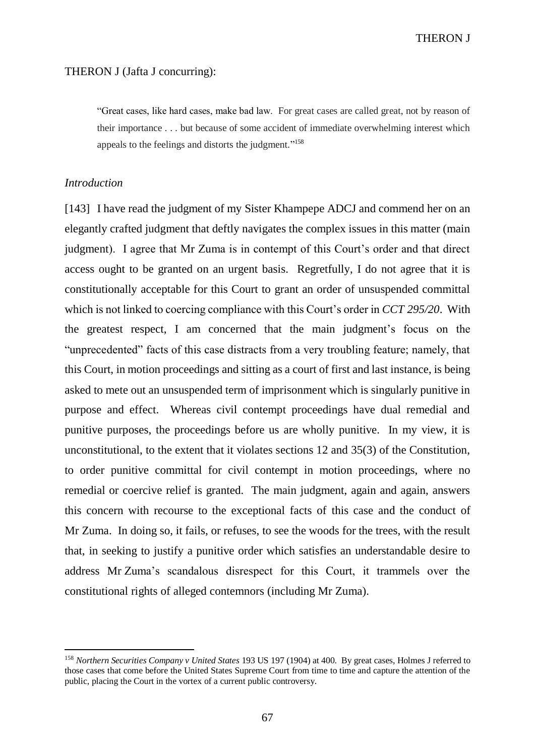THERON J

# THERON J (Jafta J concurring):

"Great cases, like hard cases, make bad law. For great cases are called great, not by reason of their importance . . . but because of some accident of immediate overwhelming interest which appeals to the feelings and distorts the judgment."<sup>158</sup>

# *Introduction*

 $\overline{a}$ 

<span id="page-66-0"></span>[143] I have read the judgment of my Sister Khampepe ADCJ and commend her on an elegantly crafted judgment that deftly navigates the complex issues in this matter (main judgment). I agree that Mr Zuma is in contempt of this Court's order and that direct access ought to be granted on an urgent basis. Regretfully, I do not agree that it is constitutionally acceptable for this Court to grant an order of unsuspended committal which is not linked to coercing compliance with this Court's order in *CCT 295/20*. With the greatest respect, I am concerned that the main judgment's focus on the "unprecedented" facts of this case distracts from a very troubling feature; namely, that this Court, in motion proceedings and sitting as a court of first and last instance, is being asked to mete out an unsuspended term of imprisonment which is singularly punitive in purpose and effect. Whereas civil contempt proceedings have dual remedial and punitive purposes, the proceedings before us are wholly punitive. In my view, it is unconstitutional, to the extent that it violates sections 12 and 35(3) of the Constitution, to order punitive committal for civil contempt in motion proceedings, where no remedial or coercive relief is granted. The main judgment, again and again, answers this concern with recourse to the exceptional facts of this case and the conduct of Mr Zuma. In doing so, it fails, or refuses, to see the woods for the trees, with the result that, in seeking to justify a punitive order which satisfies an understandable desire to address Mr Zuma's scandalous disrespect for this Court, it trammels over the constitutional rights of alleged contemnors (including Mr Zuma).

<sup>158</sup> *Northern Securities Company v United States* 193 US 197 (1904) at 400. By great cases, Holmes J referred to those cases that come before the United States Supreme Court from time to time and capture the attention of the public, placing the Court in the vortex of a current public controversy.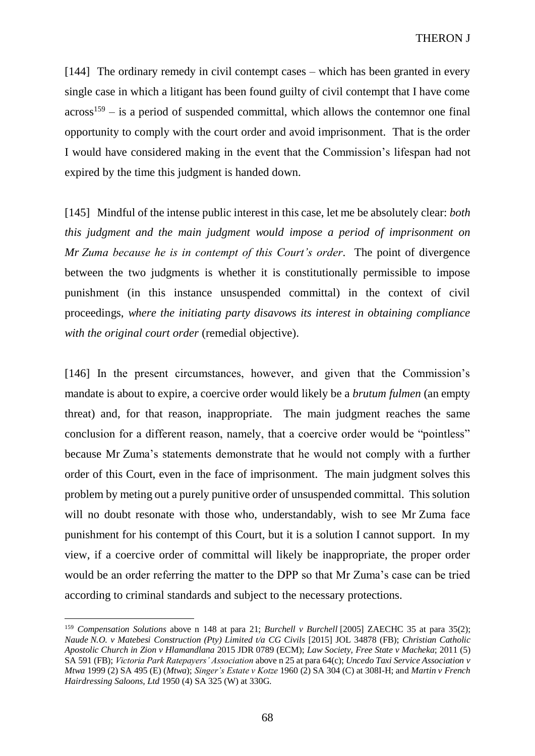<span id="page-67-1"></span>[144] The ordinary remedy in civil contempt cases – which has been granted in every single case in which a litigant has been found guilty of civil contempt that I have come  $across<sup>159</sup> - is a period of suspended committed, which allows the contemporary one final$ opportunity to comply with the court order and avoid imprisonment. That is the order I would have considered making in the event that the Commission's lifespan had not expired by the time this judgment is handed down.

[145] Mindful of the intense public interest in this case, let me be absolutely clear: *both this judgment and the main judgment would impose a period of imprisonment on Mr Zuma because he is in contempt of this Court's order*. The point of divergence between the two judgments is whether it is constitutionally permissible to impose punishment (in this instance unsuspended committal) in the context of civil proceedings, *where the initiating party disavows its interest in obtaining compliance with the original court order* (remedial objective).

<span id="page-67-0"></span>[146] In the present circumstances, however, and given that the Commission's mandate is about to expire, a coercive order would likely be a *brutum fulmen* (an empty threat) and, for that reason, inappropriate. The main judgment reaches the same conclusion for a different reason, namely, that a coercive order would be "pointless" because Mr Zuma's statements demonstrate that he would not comply with a further order of this Court, even in the face of imprisonment. The main judgment solves this problem by meting out a purely punitive order of unsuspended committal. This solution will no doubt resonate with those who, understandably, wish to see Mr Zuma face punishment for his contempt of this Court, but it is a solution I cannot support. In my view, if a coercive order of committal will likely be inappropriate, the proper order would be an order referring the matter to the DPP so that Mr Zuma's case can be tried according to criminal standards and subject to the necessary protections.

<sup>159</sup> *Compensation Solutions* above n [148](#page-60-0) at para 21; *Burchell v Burchell* [2005] ZAECHC 35 at para 35(2); *Naude N.O. v Matebesi Construction (Pty) Limited t/a CG Civils* [2015] JOL 34878 (FB); *Christian Catholic Apostolic Church in Zion v Hlamandlana* 2015 JDR 0789 (ECM); *Law Society, Free State v Macheka*; 2011 (5) SA 591 (FB); *Victoria Park Ratepayers' Association* above [n 25](#page-14-0) at para 64(c); *Uncedo Taxi Service Association v Mtwa* 1999 (2) SA 495 (E) (*Mtwa*); *Singer's Estate v Kotze* 1960 (2) SA 304 (C) at 308I-H; and *Martin v French Hairdressing Saloons, Ltd* 1950 (4) SA 325 (W) at 330G.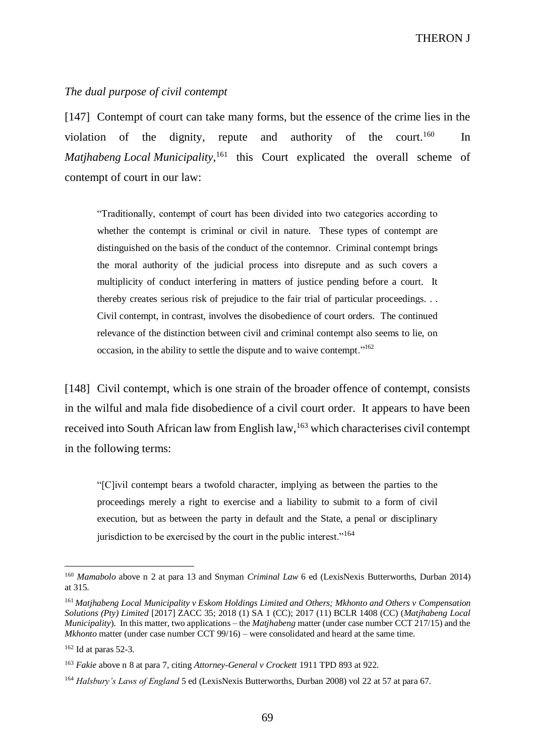THERON J

#### *The dual purpose of civil contempt*

[147] Contempt of court can take many forms, but the essence of the crime lies in the violation of the dignity, repute and authority of the court.<sup>160</sup> In *Matjhabeng Local Municipality*, <sup>161</sup> this Court explicated the overall scheme of contempt of court in our law:

"Traditionally, contempt of court has been divided into two categories according to whether the contempt is criminal or civil in nature. These types of contempt are distinguished on the basis of the conduct of the contemnor. Criminal contempt brings the moral authority of the judicial process into disrepute and as such covers a multiplicity of conduct interfering in matters of justice pending before a court. It thereby creates serious risk of prejudice to the fair trial of particular proceedings. . . Civil contempt, in contrast, involves the disobedience of court orders. The continued relevance of the distinction between civil and criminal contempt also seems to lie, on occasion, in the ability to settle the dispute and to waive contempt."<sup>162</sup>

[148] Civil contempt, which is one strain of the broader offence of contempt, consists in the wilful and mala fide disobedience of a civil court order. It appears to have been received into South African law from English law,<sup>163</sup> which characterises civil contempt in the following terms:

"[C]ivil contempt bears a twofold character, implying as between the parties to the proceedings merely a right to exercise and a liability to submit to a form of civil execution, but as between the party in default and the State, a penal or disciplinary jurisdiction to be exercised by the court in the public interest."<sup>164</sup>

<sup>160</sup> *Mamabolo* above n [2](#page-3-0) at para 13 and Snyman *Criminal Law* 6 ed (LexisNexis Butterworths, Durban 2014) at 315.

<sup>161</sup> *Matjhabeng Local Municipality v Eskom Holdings Limited and Others; Mkhonto and Others v Compensation Solutions (Pty) Limited* [2017] ZACC 35; 2018 (1) SA 1 (CC); 2017 (11) BCLR 1408 (CC) (*Matjhabeng Local Municipality*). In this matter, two applications – the *Matjhabeng* matter (under case number CCT 217/15) and the *Mkhonto* matter (under case number CCT 99/16) – were consolidated and heard at the same time.

 $162$  Id at paras 52-3.

<sup>163</sup> *Fakie* above [n 8](#page-6-0) at para 7, citing *Attorney-General v Crockett* 1911 TPD 893 at 922.

<sup>164</sup> *Halsbury's Laws of England* 5 ed (LexisNexis Butterworths, Durban 2008) vol 22 at 57 at para 67.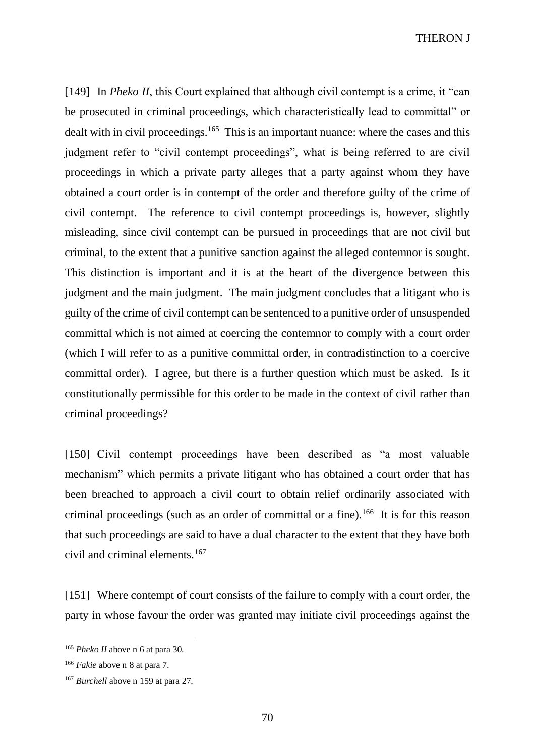THERON J

[149] In *Pheko II*, this Court explained that although civil contempt is a crime, it "can be prosecuted in criminal proceedings, which characteristically lead to committal" or dealt with in civil proceedings.<sup>165</sup> This is an important nuance: where the cases and this judgment refer to "civil contempt proceedings", what is being referred to are civil proceedings in which a private party alleges that a party against whom they have obtained a court order is in contempt of the order and therefore guilty of the crime of civil contempt. The reference to civil contempt proceedings is, however, slightly misleading, since civil contempt can be pursued in proceedings that are not civil but criminal, to the extent that a punitive sanction against the alleged contemnor is sought. This distinction is important and it is at the heart of the divergence between this judgment and the main judgment. The main judgment concludes that a litigant who is guilty of the crime of civil contempt can be sentenced to a punitive order of unsuspended committal which is not aimed at coercing the contemnor to comply with a court order (which I will refer to as a punitive committal order, in contradistinction to a coercive committal order). I agree, but there is a further question which must be asked. Is it constitutionally permissible for this order to be made in the context of civil rather than criminal proceedings?

[150] Civil contempt proceedings have been described as "a most valuable mechanism" which permits a private litigant who has obtained a court order that has been breached to approach a civil court to obtain relief ordinarily associated with criminal proceedings (such as an order of committal or a fine).<sup>166</sup> It is for this reason that such proceedings are said to have a dual character to the extent that they have both civil and criminal elements.<sup>167</sup>

[151] Where contempt of court consists of the failure to comply with a court order, the party in whose favour the order was granted may initiate civil proceedings against the

<sup>165</sup> *Pheko II* above n [6](#page-5-0) at para 30.

<sup>166</sup> *Fakie* above [n 8](#page-6-0) at para 7.

<sup>167</sup> *Burchell* above n [159](#page-67-1) at para 27.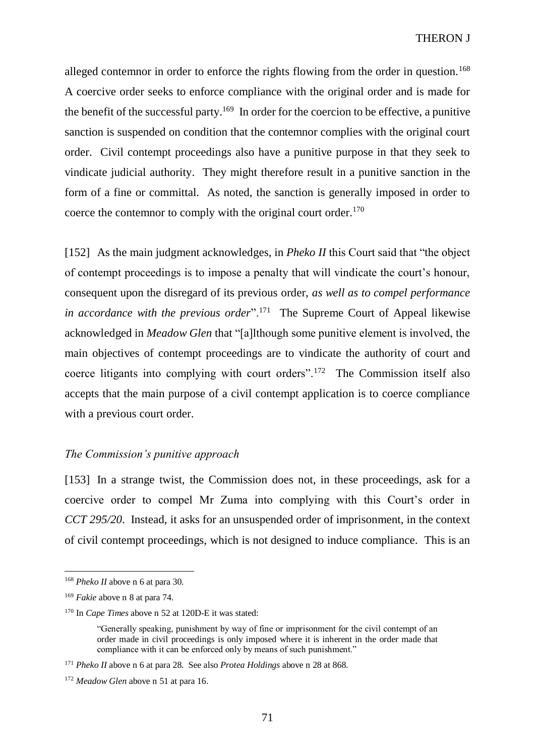alleged contemnor in order to enforce the rights flowing from the order in question.<sup>168</sup> A coercive order seeks to enforce compliance with the original order and is made for the benefit of the successful party.<sup>169</sup> In order for the coercion to be effective, a punitive sanction is suspended on condition that the contemnor complies with the original court order. Civil contempt proceedings also have a punitive purpose in that they seek to vindicate judicial authority. They might therefore result in a punitive sanction in the form of a fine or committal. As noted, the sanction is generally imposed in order to coerce the contemnor to comply with the original court order.<sup>170</sup>

[152] As the main judgment acknowledges, in *Pheko II* this Court said that "the object of contempt proceedings is to impose a penalty that will vindicate the court's honour, consequent upon the disregard of its previous order, *as well as to compel performance in accordance with the previous order*".<sup>171</sup> The Supreme Court of Appeal likewise acknowledged in *Meadow Glen* that "[a]lthough some punitive element is involved, the main objectives of contempt proceedings are to vindicate the authority of court and coerce litigants into complying with court orders".<sup>172</sup> The Commission itself also accepts that the main purpose of a civil contempt application is to coerce compliance with a previous court order.

## *The Commission's punitive approach*

[153] In a strange twist, the Commission does not, in these proceedings, ask for a coercive order to compel Mr Zuma into complying with this Court's order in *CCT 295/20*. Instead, it asks for an unsuspended order of imprisonment, in the context of civil contempt proceedings, which is not designed to induce compliance. This is an

<sup>168</sup> *Pheko II* above n [6](#page-5-0) at para 30.

<sup>169</sup> *Fakie* above [n 8](#page-6-0) at para 74.

<sup>170</sup> In *Cape Times* above n [52](#page-25-0) at 120D-E it was stated:

<sup>&</sup>quot;Generally speaking, punishment by way of fine or imprisonment for the civil contempt of an order made in civil proceedings is only imposed where it is inherent in the order made that compliance with it can be enforced only by means of such punishment."

<sup>171</sup> *Pheko II* above n [6](#page-5-0) at para 28. See also *Protea Holdings* above [n 28](#page-16-0) at 868.

<sup>172</sup> *Meadow Glen* above n [51](#page-25-1) at para 16.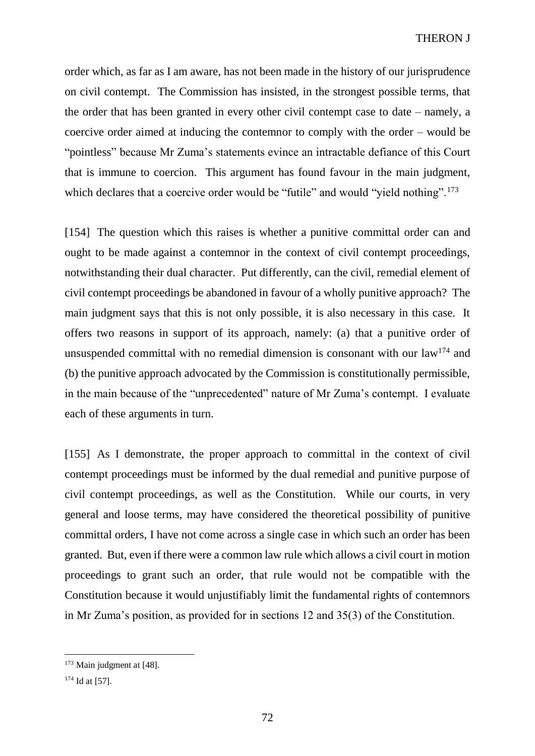order which, as far as I am aware, has not been made in the history of our jurisprudence on civil contempt. The Commission has insisted, in the strongest possible terms, that the order that has been granted in every other civil contempt case to date – namely, a coercive order aimed at inducing the contemnor to comply with the order – would be "pointless" because Mr Zuma's statements evince an intractable defiance of this Court that is immune to coercion. This argument has found favour in the main judgment, which declares that a coercive order would be "futile" and would "yield nothing".<sup>173</sup>

[154] The question which this raises is whether a punitive committal order can and ought to be made against a contemnor in the context of civil contempt proceedings, notwithstanding their dual character. Put differently, can the civil, remedial element of civil contempt proceedings be abandoned in favour of a wholly punitive approach? The main judgment says that this is not only possible, it is also necessary in this case. It offers two reasons in support of its approach, namely: (a) that a punitive order of unsuspended committal with no remedial dimension is consonant with our law<sup>174</sup> and (b) the punitive approach advocated by the Commission is constitutionally permissible, in the main because of the "unprecedented" nature of Mr Zuma's contempt. I evaluate each of these arguments in turn.

[155] As I demonstrate, the proper approach to committal in the context of civil contempt proceedings must be informed by the dual remedial and punitive purpose of civil contempt proceedings, as well as the Constitution. While our courts, in very general and loose terms, may have considered the theoretical possibility of punitive committal orders, I have not come across a single case in which such an order has been granted. But, even if there were a common law rule which allows a civil court in motion proceedings to grant such an order, that rule would not be compatible with the Constitution because it would unjustifiably limit the fundamental rights of contemnors in Mr Zuma's position, as provided for in sections 12 and 35(3) of the Constitution.

<sup>&</sup>lt;sup>173</sup> Main judgment at [\[48\].](#page-22-0)

<sup>&</sup>lt;sup>174</sup> Id at [\[57\].](#page-27-0)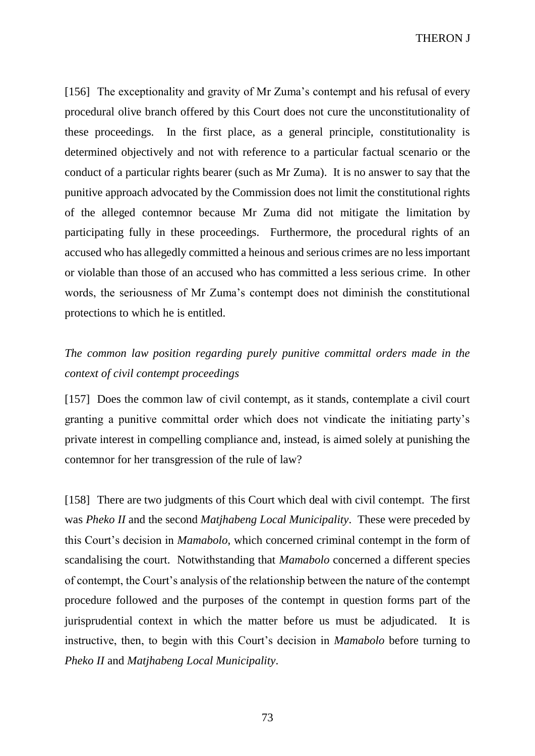THERON J

[156] The exceptionality and gravity of Mr Zuma's contempt and his refusal of every procedural olive branch offered by this Court does not cure the unconstitutionality of these proceedings. In the first place, as a general principle, constitutionality is determined objectively and not with reference to a particular factual scenario or the conduct of a particular rights bearer (such as Mr Zuma). It is no answer to say that the punitive approach advocated by the Commission does not limit the constitutional rights of the alleged contemnor because Mr Zuma did not mitigate the limitation by participating fully in these proceedings. Furthermore, the procedural rights of an accused who has allegedly committed a heinous and serious crimes are no less important or violable than those of an accused who has committed a less serious crime. In other words, the seriousness of Mr Zuma's contempt does not diminish the constitutional protections to which he is entitled.

# *The common law position regarding purely punitive committal orders made in the context of civil contempt proceedings*

[157] Does the common law of civil contempt, as it stands, contemplate a civil court granting a punitive committal order which does not vindicate the initiating party's private interest in compelling compliance and, instead, is aimed solely at punishing the contemnor for her transgression of the rule of law?

[158] There are two judgments of this Court which deal with civil contempt. The first was *Pheko II* and the second *Matjhabeng Local Municipality*. These were preceded by this Court's decision in *Mamabolo*, which concerned criminal contempt in the form of scandalising the court. Notwithstanding that *Mamabolo* concerned a different species of contempt, the Court's analysis of the relationship between the nature of the contempt procedure followed and the purposes of the contempt in question forms part of the jurisprudential context in which the matter before us must be adjudicated. It is instructive, then, to begin with this Court's decision in *Mamabolo* before turning to *Pheko II* and *Matjhabeng Local Municipality*.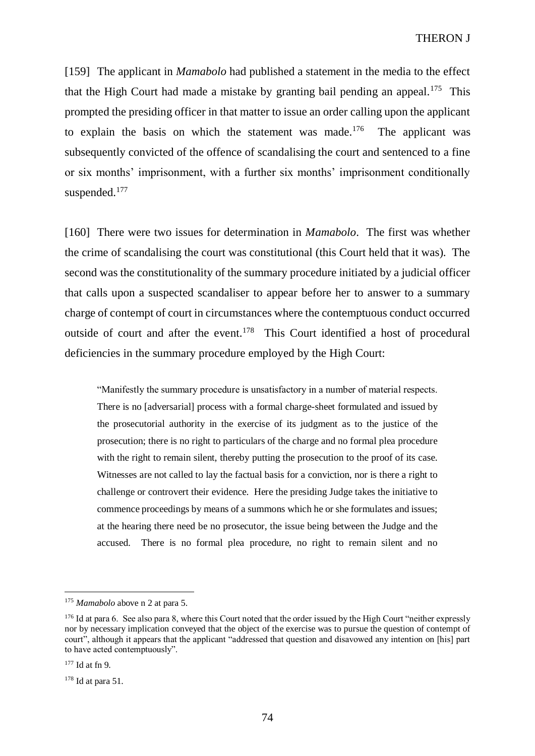[159] The applicant in *Mamabolo* had published a statement in the media to the effect that the High Court had made a mistake by granting bail pending an appeal.<sup>175</sup> This prompted the presiding officer in that matter to issue an order calling upon the applicant to explain the basis on which the statement was made.<sup>176</sup> The applicant was subsequently convicted of the offence of scandalising the court and sentenced to a fine or six months' imprisonment, with a further six months' imprisonment conditionally suspended.<sup>177</sup>

[160] There were two issues for determination in *Mamabolo*. The first was whether the crime of scandalising the court was constitutional (this Court held that it was). The second was the constitutionality of the summary procedure initiated by a judicial officer that calls upon a suspected scandaliser to appear before her to answer to a summary charge of contempt of court in circumstances where the contemptuous conduct occurred outside of court and after the event.<sup>178</sup> This Court identified a host of procedural deficiencies in the summary procedure employed by the High Court:

"Manifestly the summary procedure is unsatisfactory in a number of material respects. There is no [adversarial] process with a formal charge-sheet formulated and issued by the prosecutorial authority in the exercise of its judgment as to the justice of the prosecution; there is no right to particulars of the charge and no formal plea procedure with the right to remain silent, thereby putting the prosecution to the proof of its case. Witnesses are not called to lay the factual basis for a conviction, nor is there a right to challenge or controvert their evidence. Here the presiding Judge takes the initiative to commence proceedings by means of a summons which he or she formulates and issues; at the hearing there need be no prosecutor, the issue being between the Judge and the accused. There is no formal plea procedure, no right to remain silent and no

<sup>175</sup> *Mamabolo* above n [2](#page-3-0) at para 5.

 $176$  Id at para 6. See also para 8, where this Court noted that the order issued by the High Court "neither expressly nor by necessary implication conveyed that the object of the exercise was to pursue the question of contempt of court", although it appears that the applicant "addressed that question and disavowed any intention on [his] part to have acted contemptuously".

 $177$  Id at fn 9.

 $178$  Id at para 51.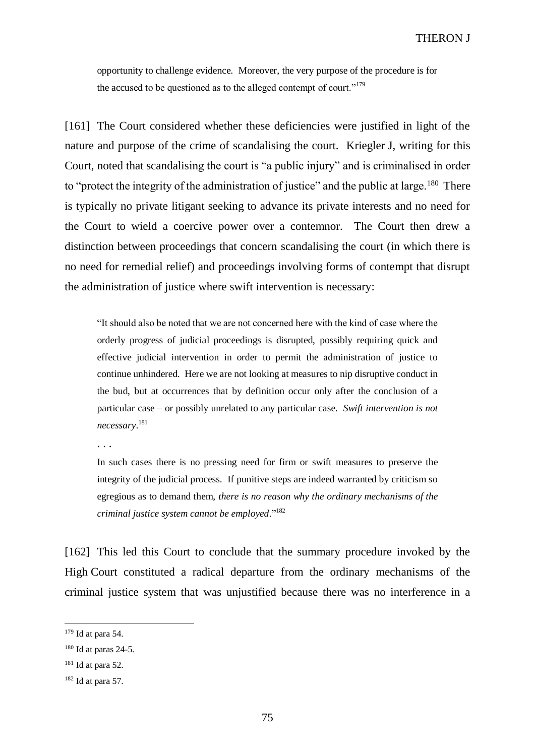opportunity to challenge evidence. Moreover, the very purpose of the procedure is for the accused to be questioned as to the alleged contempt of court."<sup>179</sup>

[161] The Court considered whether these deficiencies were justified in light of the nature and purpose of the crime of scandalising the court. Kriegler J, writing for this Court, noted that scandalising the court is "a public injury" and is criminalised in order to "protect the integrity of the administration of justice" and the public at large.<sup>180</sup> There is typically no private litigant seeking to advance its private interests and no need for the Court to wield a coercive power over a contemnor. The Court then drew a distinction between proceedings that concern scandalising the court (in which there is no need for remedial relief) and proceedings involving forms of contempt that disrupt the administration of justice where swift intervention is necessary:

"It should also be noted that we are not concerned here with the kind of case where the orderly progress of judicial proceedings is disrupted, possibly requiring quick and effective judicial intervention in order to permit the administration of justice to continue unhindered. Here we are not looking at measures to nip disruptive conduct in the bud, but at occurrences that by definition occur only after the conclusion of a particular case – or possibly unrelated to any particular case. *Swift intervention is not necessary*. 181

. . .

In such cases there is no pressing need for firm or swift measures to preserve the integrity of the judicial process. If punitive steps are indeed warranted by criticism so egregious as to demand them, *there is no reason why the ordinary mechanisms of the criminal justice system cannot be employed*."<sup>182</sup>

[162] This led this Court to conclude that the summary procedure invoked by the High Court constituted a radical departure from the ordinary mechanisms of the criminal justice system that was unjustified because there was no interference in a

<sup>179</sup> Id at para 54.

 $180$  Id at paras 24-5.

 $181$  Id at para 52.

 $182$  Id at para 57.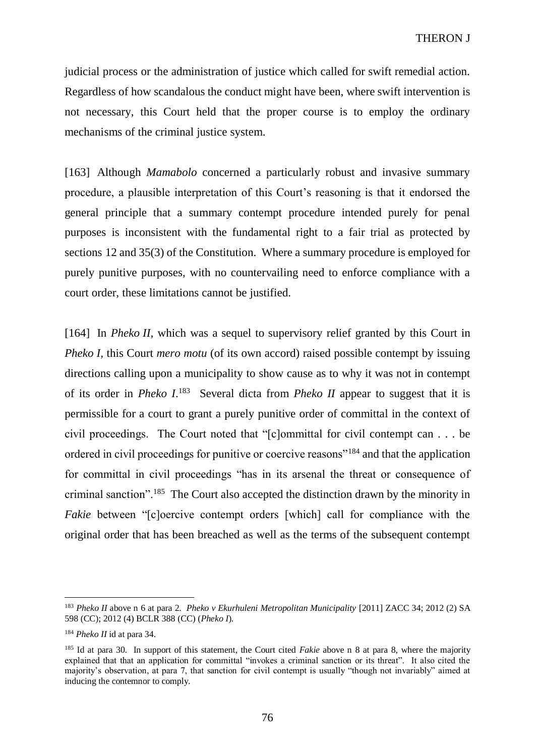judicial process or the administration of justice which called for swift remedial action. Regardless of how scandalous the conduct might have been, where swift intervention is not necessary, this Court held that the proper course is to employ the ordinary mechanisms of the criminal justice system.

[163] Although *Mamabolo* concerned a particularly robust and invasive summary procedure, a plausible interpretation of this Court's reasoning is that it endorsed the general principle that a summary contempt procedure intended purely for penal purposes is inconsistent with the fundamental right to a fair trial as protected by sections 12 and 35(3) of the Constitution. Where a summary procedure is employed for purely punitive purposes, with no countervailing need to enforce compliance with a court order, these limitations cannot be justified.

[164] In *Pheko II*, which was a sequel to supervisory relief granted by this Court in *Pheko I, this Court <i>mero motu* (of its own accord) raised possible contempt by issuing directions calling upon a municipality to show cause as to why it was not in contempt of its order in *Pheko I*.<sup>183</sup> Several dicta from *Pheko II* appear to suggest that it is permissible for a court to grant a purely punitive order of committal in the context of civil proceedings. The Court noted that "[c]ommittal for civil contempt can . . . be ordered in civil proceedings for punitive or coercive reasons"<sup>184</sup> and that the application for committal in civil proceedings "has in its arsenal the threat or consequence of criminal sanction".<sup>185</sup> The Court also accepted the distinction drawn by the minority in *Fakie* between "[c]oercive contempt orders [which] call for compliance with the original order that has been breached as well as the terms of the subsequent contempt

<sup>183</sup> *Pheko II* above n [6](#page-5-0) at para 2. *Pheko v Ekurhuleni Metropolitan Municipality* [2011] ZACC 34; 2012 (2) SA 598 (CC); 2012 (4) BCLR 388 (CC) (*Pheko I*).

<sup>184</sup> *Pheko II* id at para 34.

<sup>185</sup> Id at para 30. In support of this statement, the Court cited *Fakie* above n [8](#page-6-0) at para 8*,* where the majority explained that that an application for committal "invokes a criminal sanction or its threat". It also cited the majority's observation, at para 7, that sanction for civil contempt is usually "though not invariably" aimed at inducing the contemnor to comply.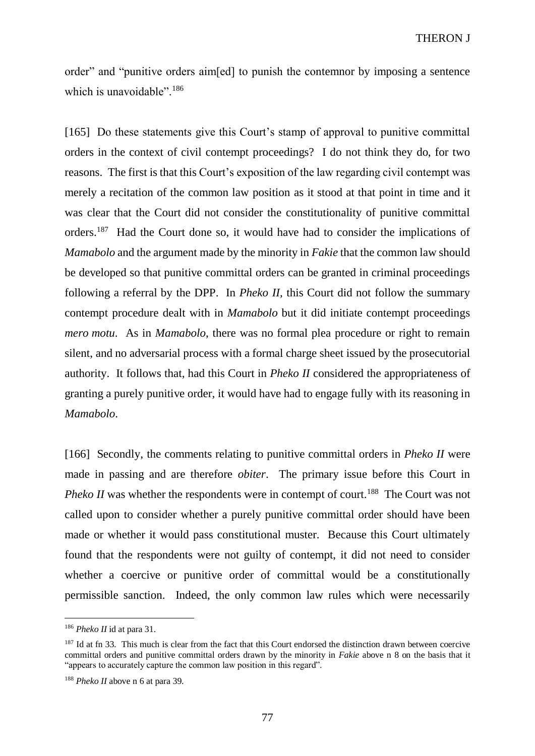order" and "punitive orders aim[ed] to punish the contemnor by imposing a sentence which is unavoidable".<sup>186</sup>

[165] Do these statements give this Court's stamp of approval to punitive committal orders in the context of civil contempt proceedings? I do not think they do, for two reasons. The first is that this Court's exposition of the law regarding civil contempt was merely a recitation of the common law position as it stood at that point in time and it was clear that the Court did not consider the constitutionality of punitive committal orders.<sup>187</sup> Had the Court done so, it would have had to consider the implications of *Mamabolo* and the argument made by the minority in *Fakie* that the common law should be developed so that punitive committal orders can be granted in criminal proceedings following a referral by the DPP. In *Pheko II,* this Court did not follow the summary contempt procedure dealt with in *Mamabolo* but it did initiate contempt proceedings *mero motu*. As in *Mamabolo*, there was no formal plea procedure or right to remain silent, and no adversarial process with a formal charge sheet issued by the prosecutorial authority. It follows that, had this Court in *Pheko II* considered the appropriateness of granting a purely punitive order, it would have had to engage fully with its reasoning in *Mamabolo*.

[166] Secondly, the comments relating to punitive committal orders in *Pheko II* were made in passing and are therefore *obiter*. The primary issue before this Court in Pheko *II* was whether the respondents were in contempt of court.<sup>188</sup> The Court was not called upon to consider whether a purely punitive committal order should have been made or whether it would pass constitutional muster. Because this Court ultimately found that the respondents were not guilty of contempt, it did not need to consider whether a coercive or punitive order of committal would be a constitutionally permissible sanction. Indeed, the only common law rules which were necessarily

<sup>186</sup> *Pheko II* id at para 31.

<sup>&</sup>lt;sup>187</sup> Id at fn 33. This much is clear from the fact that this Court endorsed the distinction drawn between coercive committal orders and punitive committal orders drawn by the minority in *Fakie* above n [8](#page-6-0) on the basis that it "appears to accurately capture the common law position in this regard".

<sup>188</sup> *Pheko II* above n [6](#page-5-0) at para 39.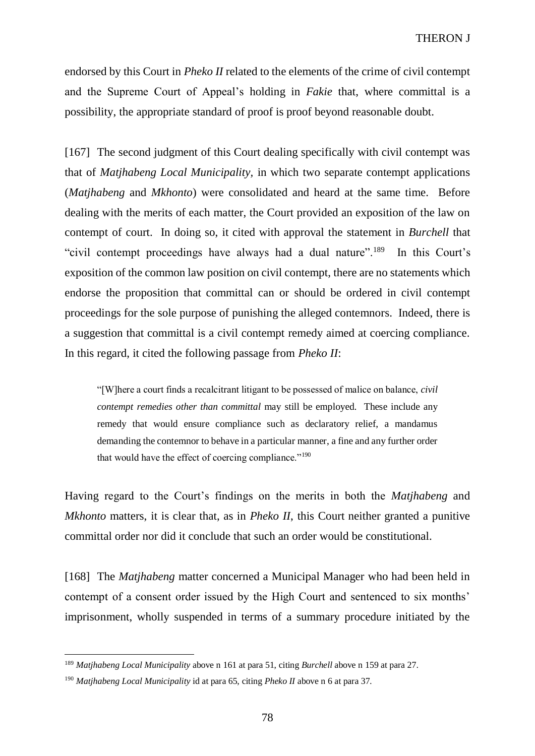endorsed by this Court in *Pheko II* related to the elements of the crime of civil contempt and the Supreme Court of Appeal's holding in *Fakie* that, where committal is a possibility, the appropriate standard of proof is proof beyond reasonable doubt.

[167] The second judgment of this Court dealing specifically with civil contempt was that of *Matjhabeng Local Municipality,* in which two separate contempt applications (*Matjhabeng* and *Mkhonto*) were consolidated and heard at the same time. Before dealing with the merits of each matter, the Court provided an exposition of the law on contempt of court. In doing so, it cited with approval the statement in *Burchell* that "civil contempt proceedings have always had a dual nature".<sup>189</sup> In this Court's exposition of the common law position on civil contempt, there are no statements which endorse the proposition that committal can or should be ordered in civil contempt proceedings for the sole purpose of punishing the alleged contemnors. Indeed, there is a suggestion that committal is a civil contempt remedy aimed at coercing compliance. In this regard, it cited the following passage from *Pheko II*:

"[W]here a court finds a recalcitrant litigant to be possessed of malice on balance, *civil contempt remedies other than committal* may still be employed. These include any remedy that would ensure compliance such as declaratory relief, a mandamus demanding the contemnor to behave in a particular manner, a fine and any further order that would have the effect of coercing compliance."<sup>190</sup>

Having regard to the Court's findings on the merits in both the *Matjhabeng* and *Mkhonto* matters, it is clear that, as in *Pheko II*, this Court neither granted a punitive committal order nor did it conclude that such an order would be constitutional.

[168] The *Matjhabeng* matter concerned a Municipal Manager who had been held in contempt of a consent order issued by the High Court and sentenced to six months' imprisonment, wholly suspended in terms of a summary procedure initiated by the

<sup>189</sup> *Matjhabeng Local Municipality* above n [161](#page-68-0) at para 51, citing *Burchell* above n [159](#page-67-0) at para 27.

<sup>190</sup> *Matjhabeng Local Municipality* id at para 65, citing *Pheko II* above [n 6](#page-5-0) at para 37*.*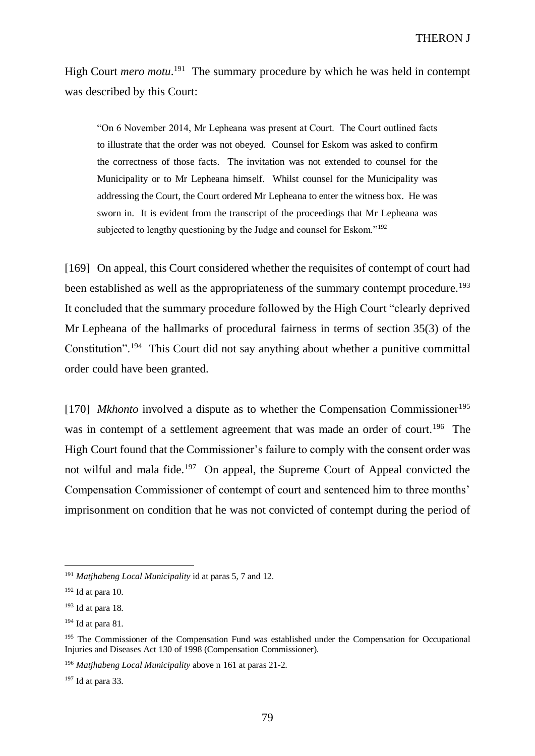High Court *mero motu*.<sup>191</sup> The summary procedure by which he was held in contempt was described by this Court:

"On 6 November 2014, Mr Lepheana was present at Court. The Court outlined facts to illustrate that the order was not obeyed. Counsel for Eskom was asked to confirm the correctness of those facts. The invitation was not extended to counsel for the Municipality or to Mr Lepheana himself. Whilst counsel for the Municipality was addressing the Court, the Court ordered Mr Lepheana to enter the witness box. He was sworn in. It is evident from the transcript of the proceedings that Mr Lepheana was subjected to lengthy questioning by the Judge and counsel for Eskom."<sup>192</sup>

[169] On appeal, this Court considered whether the requisites of contempt of court had been established as well as the appropriateness of the summary contempt procedure.<sup>193</sup> It concluded that the summary procedure followed by the High Court "clearly deprived Mr Lepheana of the hallmarks of procedural fairness in terms of section 35(3) of the Constitution".<sup>194</sup> This Court did not say anything about whether a punitive committal order could have been granted.

[170] *Mkhonto* involved a dispute as to whether the Compensation Commissioner<sup>195</sup> was in contempt of a settlement agreement that was made an order of court.<sup>196</sup> The High Court found that the Commissioner's failure to comply with the consent order was not wilful and mala fide.<sup>197</sup> On appeal, the Supreme Court of Appeal convicted the Compensation Commissioner of contempt of court and sentenced him to three months' imprisonment on condition that he was not convicted of contempt during the period of

 $\overline{a}$ 

 $197$  Id at para 33.

<sup>191</sup> *Matjhabeng Local Municipality* id at paras 5, 7 and 12.

 $192$  Id at para 10.

 $193$  Id at para 18.

 $194$  Id at para 81.

<sup>&</sup>lt;sup>195</sup> The Commissioner of the Compensation Fund was established under the Compensation for Occupational Injuries and Diseases Act 130 of 1998 (Compensation Commissioner).

<sup>196</sup> *Matjhabeng Local Municipality* above n [161](#page-68-0) at paras 21-2.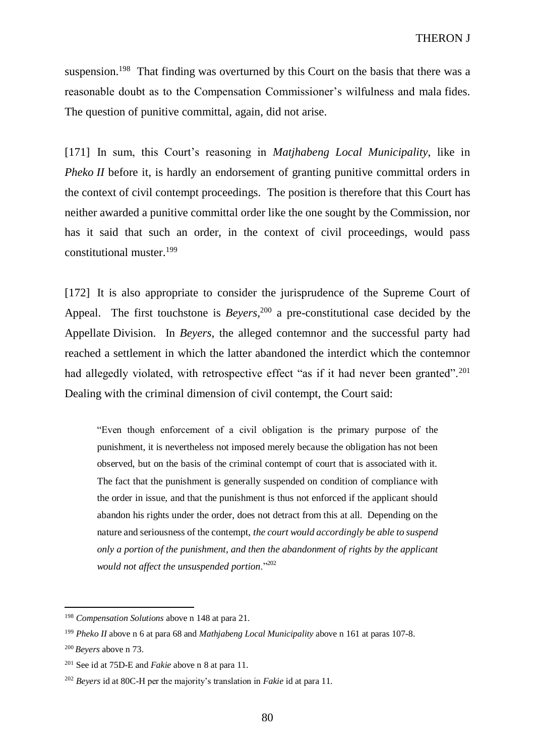suspension.<sup>198</sup> That finding was overturned by this Court on the basis that there was a reasonable doubt as to the Compensation Commissioner's wilfulness and mala fides. The question of punitive committal, again, did not arise.

[171] In sum, this Court's reasoning in *Matjhabeng Local Municipality*, like in *Pheko II* before it, is hardly an endorsement of granting punitive committal orders in the context of civil contempt proceedings. The position is therefore that this Court has neither awarded a punitive committal order like the one sought by the Commission, nor has it said that such an order, in the context of civil proceedings, would pass constitutional muster.<sup>199</sup>

[172] It is also appropriate to consider the jurisprudence of the Supreme Court of Appeal. The first touchstone is *Beyers*, <sup>200</sup> a pre-constitutional case decided by the Appellate Division. In *Beyers*, the alleged contemnor and the successful party had reached a settlement in which the latter abandoned the interdict which the contemnor had allegedly violated, with retrospective effect "as if it had never been granted".<sup>201</sup> Dealing with the criminal dimension of civil contempt, the Court said:

"Even though enforcement of a civil obligation is the primary purpose of the punishment, it is nevertheless not imposed merely because the obligation has not been observed, but on the basis of the criminal contempt of court that is associated with it. The fact that the punishment is generally suspended on condition of compliance with the order in issue, and that the punishment is thus not enforced if the applicant should abandon his rights under the order, does not detract from this at all. Depending on the nature and seriousness of the contempt, *the court would accordingly be able to suspend only a portion of the punishment, and then the abandonment of rights by the applicant would not affect the unsuspended portion*."<sup>202</sup>

<sup>198</sup> *Compensation Solutions* above [n 148](#page-60-0) at para 21.

<sup>199</sup> *Pheko II* above n [6](#page-5-0) at para 68 and *Mathjabeng Local Municipality* above [n 161](#page-68-0) at paras 107-8.

<sup>200</sup> *Beyers* above n [73.](#page-31-0)

<sup>201</sup> See id at 75D-E and *Fakie* above [n 8](#page-6-0) at para 11.

<sup>202</sup> *Beyers* id at 80C-H per the majority's translation in *Fakie* id at para 11.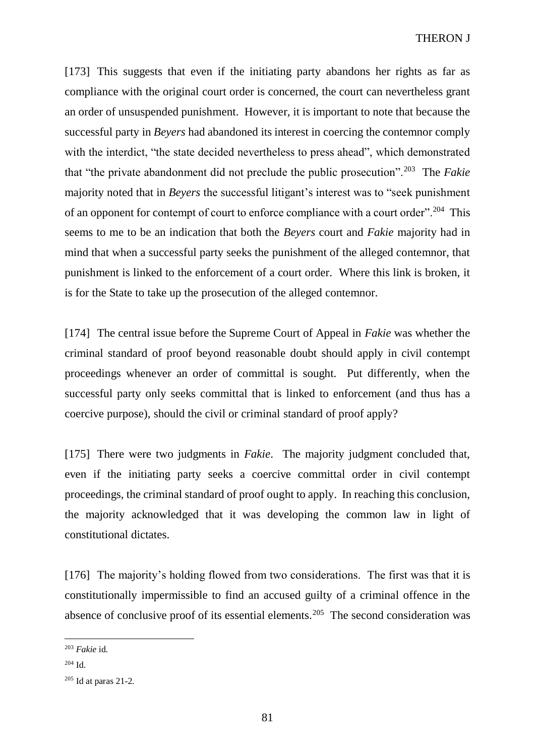[173] This suggests that even if the initiating party abandons her rights as far as compliance with the original court order is concerned, the court can nevertheless grant an order of unsuspended punishment. However, it is important to note that because the successful party in *Beyers* had abandoned its interest in coercing the contemnor comply with the interdict, "the state decided nevertheless to press ahead", which demonstrated that "the private abandonment did not preclude the public prosecution".<sup>203</sup> The *Fakie*  majority noted that in *Beyers* the successful litigant's interest was to "seek punishment of an opponent for contempt of court to enforce compliance with a court order".<sup>204</sup> This seems to me to be an indication that both the *Beyers* court and *Fakie* majority had in mind that when a successful party seeks the punishment of the alleged contemnor, that punishment is linked to the enforcement of a court order. Where this link is broken, it is for the State to take up the prosecution of the alleged contemnor.

[174] The central issue before the Supreme Court of Appeal in *Fakie* was whether the criminal standard of proof beyond reasonable doubt should apply in civil contempt proceedings whenever an order of committal is sought. Put differently, when the successful party only seeks committal that is linked to enforcement (and thus has a coercive purpose), should the civil or criminal standard of proof apply?

[175] There were two judgments in *Fakie*. The majority judgment concluded that, even if the initiating party seeks a coercive committal order in civil contempt proceedings, the criminal standard of proof ought to apply. In reaching this conclusion, the majority acknowledged that it was developing the common law in light of constitutional dictates.

[176] The majority's holding flowed from two considerations. The first was that it is constitutionally impermissible to find an accused guilty of a criminal offence in the absence of conclusive proof of its essential elements.<sup>205</sup> The second consideration was

<sup>203</sup> *Fakie* id.

<sup>204</sup> Id.

 $205$  Id at paras 21-2.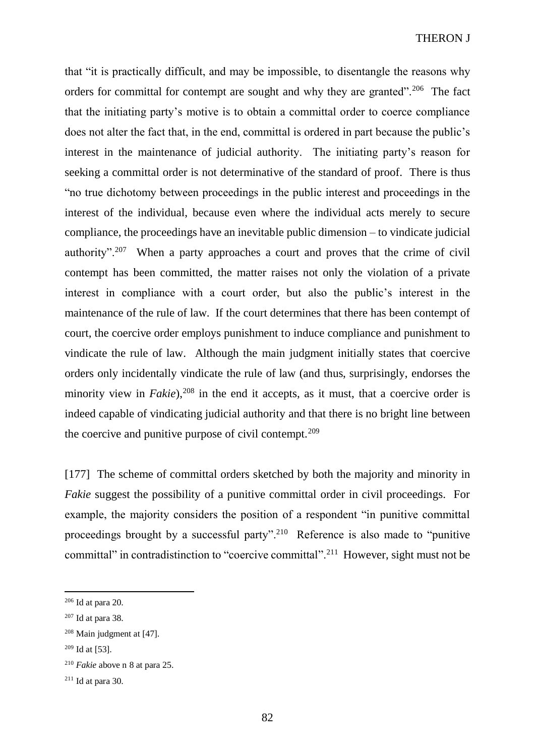that "it is practically difficult, and may be impossible, to disentangle the reasons why orders for committal for contempt are sought and why they are granted".<sup>206</sup> The fact that the initiating party's motive is to obtain a committal order to coerce compliance does not alter the fact that, in the end, committal is ordered in part because the public's interest in the maintenance of judicial authority. The initiating party's reason for seeking a committal order is not determinative of the standard of proof. There is thus "no true dichotomy between proceedings in the public interest and proceedings in the interest of the individual, because even where the individual acts merely to secure compliance, the proceedings have an inevitable public dimension – to vindicate judicial authority".<sup>207</sup> When a party approaches a court and proves that the crime of civil contempt has been committed, the matter raises not only the violation of a private interest in compliance with a court order, but also the public's interest in the maintenance of the rule of law. If the court determines that there has been contempt of court, the coercive order employs punishment to induce compliance and punishment to vindicate the rule of law. Although the main judgment initially states that coercive orders only incidentally vindicate the rule of law (and thus, surprisingly, endorses the minority view in *Fakie*),<sup>208</sup> in the end it accepts, as it must, that a coercive order is indeed capable of vindicating judicial authority and that there is no bright line between the coercive and punitive purpose of civil contempt.<sup>209</sup>

[177] The scheme of committal orders sketched by both the majority and minority in *Fakie* suggest the possibility of a punitive committal order in civil proceedings. For example, the majority considers the position of a respondent "in punitive committal proceedings brought by a successful party".<sup>210</sup> Reference is also made to "punitive committal" in contradistinction to "coercive committal".<sup>211</sup> However, sight must not be

<sup>206</sup> Id at para 20.

 $207$  Id at para 38.

<sup>208</sup> Main judgment at [\[47\].](#page-21-0)

 $209$  Id at [\[53\].](#page-24-0)

<sup>210</sup> *Fakie* above [n 8](#page-6-0) at para 25.

 $211$  Id at para 30.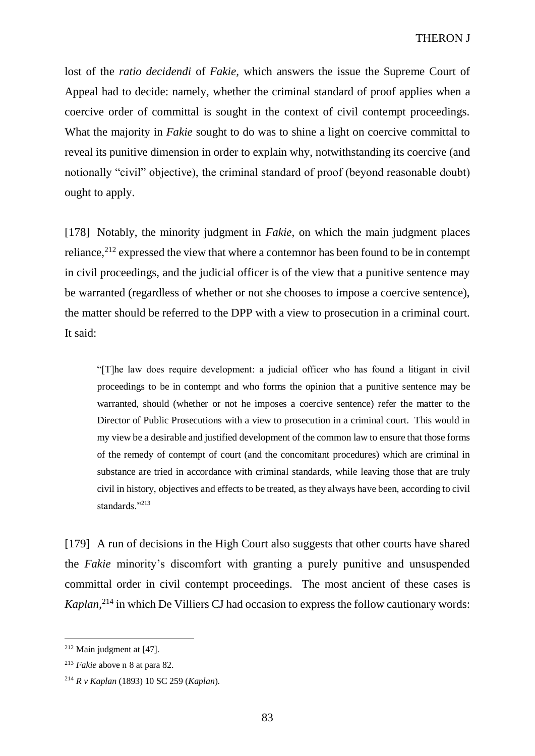lost of the *ratio decidendi* of *Fakie,* which answers the issue the Supreme Court of Appeal had to decide: namely, whether the criminal standard of proof applies when a coercive order of committal is sought in the context of civil contempt proceedings. What the majority in *Fakie* sought to do was to shine a light on coercive committal to reveal its punitive dimension in order to explain why, notwithstanding its coercive (and notionally "civil" objective), the criminal standard of proof (beyond reasonable doubt) ought to apply.

[178] Notably, the minority judgment in *Fakie*, on which the main judgment places reliance,<sup>212</sup> expressed the view that where a contemnor has been found to be in contempt in civil proceedings, and the judicial officer is of the view that a punitive sentence may be warranted (regardless of whether or not she chooses to impose a coercive sentence), the matter should be referred to the DPP with a view to prosecution in a criminal court. It said:

"[T]he law does require development: a judicial officer who has found a litigant in civil proceedings to be in contempt and who forms the opinion that a punitive sentence may be warranted, should (whether or not he imposes a coercive sentence) refer the matter to the Director of Public Prosecutions with a view to prosecution in a criminal court. This would in my view be a desirable and justified development of the common law to ensure that those forms of the remedy of contempt of court (and the concomitant procedures) which are criminal in substance are tried in accordance with criminal standards, while leaving those that are truly civil in history, objectives and effects to be treated, as they always have been, according to civil standards."<sup>213</sup>

[179] A run of decisions in the High Court also suggests that other courts have shared the *Fakie* minority's discomfort with granting a purely punitive and unsuspended committal order in civil contempt proceedings. The most ancient of these cases is Kaplan,<sup>214</sup> in which De Villiers CJ had occasion to express the follow cautionary words:

<sup>212</sup> Main judgment at [\[47\].](#page-21-0)

<sup>213</sup> *Fakie* above [n 8](#page-6-0) at para 82.

<sup>214</sup> *R v Kaplan* (1893) 10 SC 259 (*Kaplan*).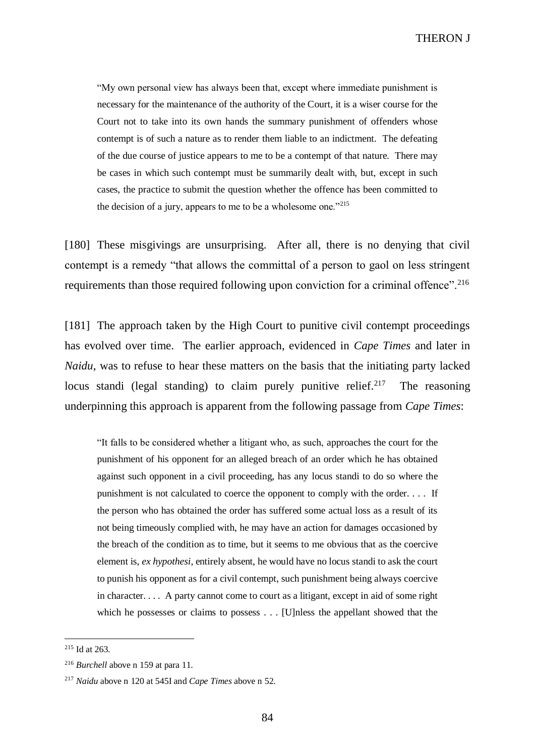THERON J

"My own personal view has always been that, except where immediate punishment is necessary for the maintenance of the authority of the Court, it is a wiser course for the Court not to take into its own hands the summary punishment of offenders whose contempt is of such a nature as to render them liable to an indictment. The defeating of the due course of justice appears to me to be a contempt of that nature. There may be cases in which such contempt must be summarily dealt with, but, except in such cases, the practice to submit the question whether the offence has been committed to the decision of a jury, appears to me to be a wholesome one."<sup>215</sup>

[180] These misgivings are unsurprising. After all, there is no denying that civil contempt is a remedy "that allows the committal of a person to gaol on less stringent requirements than those required following upon conviction for a criminal offence".<sup>216</sup>

[181] The approach taken by the High Court to punitive civil contempt proceedings has evolved over time. The earlier approach, evidenced in *Cape Times* and later in *Naidu*, was to refuse to hear these matters on the basis that the initiating party lacked locus standi (legal standing) to claim purely punitive relief. $2^{17}$  The reasoning underpinning this approach is apparent from the following passage from *Cape Times*:

"It falls to be considered whether a litigant who, as such, approaches the court for the punishment of his opponent for an alleged breach of an order which he has obtained against such opponent in a civil proceeding, has any locus standi to do so where the punishment is not calculated to coerce the opponent to comply with the order. . . . If the person who has obtained the order has suffered some actual loss as a result of its not being timeously complied with, he may have an action for damages occasioned by the breach of the condition as to time, but it seems to me obvious that as the coercive element is, *ex hypothesi*, entirely absent, he would have no locus standi to ask the court to punish his opponent as for a civil contempt, such punishment being always coercive in character. . . . A party cannot come to court as a litigant, except in aid of some right which he possesses or claims to possess . . . [U]nless the appellant showed that the

 $215$  Id at 263.

<sup>216</sup> *Burchell* above n [159](#page-67-0) at para 11.

<sup>217</sup> *Naidu* above n [120](#page-50-0) at 545I and *Cape Times* above n [52.](#page-25-0)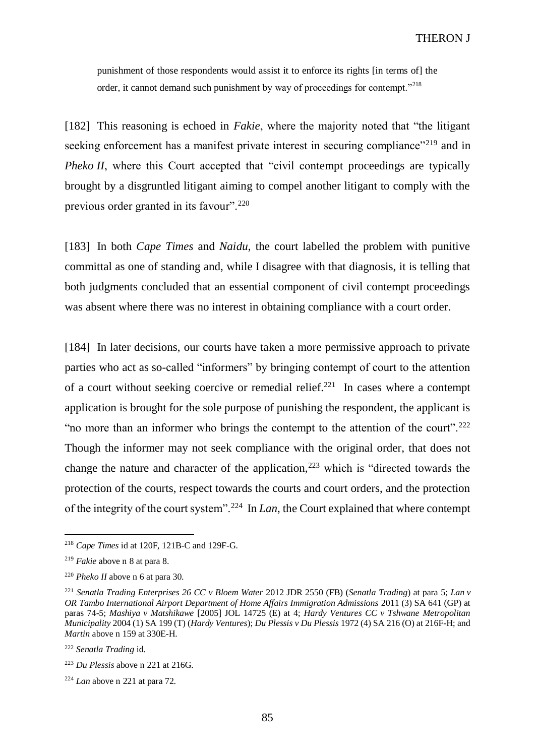punishment of those respondents would assist it to enforce its rights [in terms of] the order, it cannot demand such punishment by way of proceedings for contempt."<sup>218</sup>

[182] This reasoning is echoed in *Fakie*, where the majority noted that "the litigant seeking enforcement has a manifest private interest in securing compliance"<sup>219</sup> and in *Pheko II*, where this Court accepted that "civil contempt proceedings are typically brought by a disgruntled litigant aiming to compel another litigant to comply with the previous order granted in its favour".<sup>220</sup>

[183] In both *Cape Times* and *Naidu*, the court labelled the problem with punitive committal as one of standing and, while I disagree with that diagnosis, it is telling that both judgments concluded that an essential component of civil contempt proceedings was absent where there was no interest in obtaining compliance with a court order.

<span id="page-84-0"></span>[184] In later decisions, our courts have taken a more permissive approach to private parties who act as so-called "informers" by bringing contempt of court to the attention of a court without seeking coercive or remedial relief.<sup>221</sup> In cases where a contempt application is brought for the sole purpose of punishing the respondent, the applicant is "no more than an informer who brings the contempt to the attention of the court".<sup>222</sup> Though the informer may not seek compliance with the original order, that does not change the nature and character of the application, $223$  which is "directed towards the protection of the courts, respect towards the courts and court orders, and the protection of the integrity of the court system".<sup>224</sup> In *Lan*, the Court explained that where contempt

<sup>218</sup> *Cape Times* id at 120F, 121B-C and 129F-G.

<sup>219</sup> *Fakie* above [n 8](#page-6-0) at para 8.

<sup>220</sup> *Pheko II* above n [6](#page-5-0) at para 30.

<sup>221</sup> *Senatla Trading Enterprises 26 CC v Bloem Water* 2012 JDR 2550 (FB) (*Senatla Trading*) at para 5; *Lan v OR Tambo International Airport Department of Home Affairs Immigration Admissions* 2011 (3) SA 641 (GP) at paras 74-5; *Mashiya v Matshikawe* [2005] JOL 14725 (E) at 4; *Hardy Ventures CC v Tshwane Metropolitan Municipality* 2004 (1) SA 199 (T) (*Hardy Ventures*); *Du Plessis v Du Plessis* 1972 (4) SA 216 (O) at 216F-H; and *Martin* above n [159](#page-67-0) at 330E-H.

<sup>222</sup> *Senatla Trading* id.

<sup>223</sup> *Du Plessis* above n [221](#page-84-0) at 216G.

<sup>224</sup> *Lan* above n [221](#page-84-0) at para 72.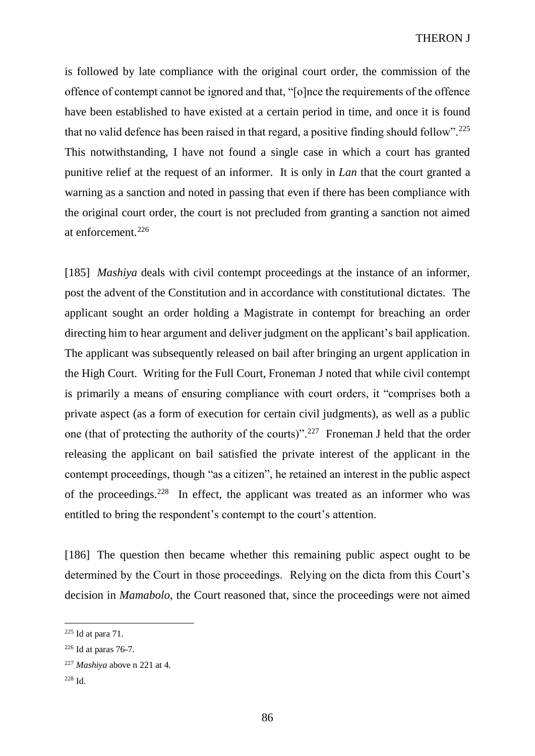is followed by late compliance with the original court order, the commission of the offence of contempt cannot be ignored and that, "[o]nce the requirements of the offence have been established to have existed at a certain period in time, and once it is found that no valid defence has been raised in that regard, a positive finding should follow".<sup>225</sup> This notwithstanding, I have not found a single case in which a court has granted punitive relief at the request of an informer. It is only in *Lan* that the court granted a warning as a sanction and noted in passing that even if there has been compliance with the original court order, the court is not precluded from granting a sanction not aimed at enforcement.<sup>226</sup>

[185] *Mashiya* deals with civil contempt proceedings at the instance of an informer, post the advent of the Constitution and in accordance with constitutional dictates. The applicant sought an order holding a Magistrate in contempt for breaching an order directing him to hear argument and deliver judgment on the applicant's bail application. The applicant was subsequently released on bail after bringing an urgent application in the High Court. Writing for the Full Court, Froneman J noted that while civil contempt is primarily a means of ensuring compliance with court orders, it "comprises both a private aspect (as a form of execution for certain civil judgments), as well as a public one (that of protecting the authority of the courts)".<sup>227</sup> Froneman J held that the order releasing the applicant on bail satisfied the private interest of the applicant in the contempt proceedings, though "as a citizen", he retained an interest in the public aspect of the proceedings.<sup>228</sup> In effect, the applicant was treated as an informer who was entitled to bring the respondent's contempt to the court's attention.

[186] The question then became whether this remaining public aspect ought to be determined by the Court in those proceedings. Relying on the dicta from this Court's decision in *Mamabolo*, the Court reasoned that, since the proceedings were not aimed

 $225$  Id at para 71.

 $226$  Id at paras 76-7.

<sup>227</sup> *Mashiya* above n [221](#page-84-0) at 4.

<sup>228</sup> Id.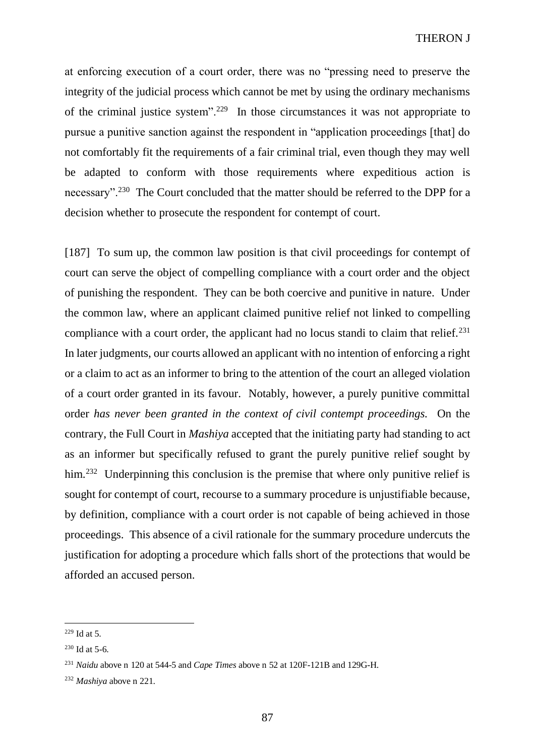at enforcing execution of a court order, there was no "pressing need to preserve the integrity of the judicial process which cannot be met by using the ordinary mechanisms of the criminal justice system".<sup>229</sup> In those circumstances it was not appropriate to pursue a punitive sanction against the respondent in "application proceedings [that] do not comfortably fit the requirements of a fair criminal trial, even though they may well be adapted to conform with those requirements where expeditious action is necessary".<sup>230</sup> The Court concluded that the matter should be referred to the DPP for a decision whether to prosecute the respondent for contempt of court.

[187] To sum up, the common law position is that civil proceedings for contempt of court can serve the object of compelling compliance with a court order and the object of punishing the respondent. They can be both coercive and punitive in nature. Under the common law, where an applicant claimed punitive relief not linked to compelling compliance with a court order, the applicant had no locus standi to claim that relief. $231$ In later judgments, our courts allowed an applicant with no intention of enforcing a right or a claim to act as an informer to bring to the attention of the court an alleged violation of a court order granted in its favour. Notably, however, a purely punitive committal order *has never been granted in the context of civil contempt proceedings.* On the contrary, the Full Court in *Mashiya* accepted that the initiating party had standing to act as an informer but specifically refused to grant the purely punitive relief sought by him.<sup>232</sup> Underpinning this conclusion is the premise that where only punitive relief is sought for contempt of court, recourse to a summary procedure is unjustifiable because, by definition, compliance with a court order is not capable of being achieved in those proceedings. This absence of a civil rationale for the summary procedure undercuts the justification for adopting a procedure which falls short of the protections that would be afforded an accused person.

 $\overline{a}$  $229$  Id at 5.

 $230$  Id at 5-6.

<sup>231</sup> *Naidu* above n [120](#page-50-0) at 544-5 and *Cape Times* above n [52](#page-25-0) at 120F-121B and 129G-H.

<sup>232</sup> *Mashiya* above n [221.](#page-84-0)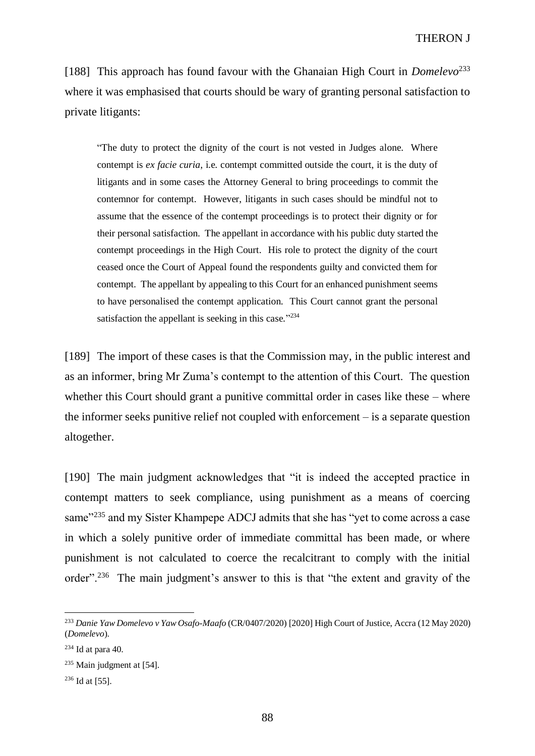[188] This approach has found favour with the Ghanaian High Court in *Domelevo*<sup>233</sup> where it was emphasised that courts should be wary of granting personal satisfaction to private litigants:

"The duty to protect the dignity of the court is not vested in Judges alone. Where contempt is *ex facie curia*, i.e. contempt committed outside the court, it is the duty of litigants and in some cases the Attorney General to bring proceedings to commit the contemnor for contempt. However, litigants in such cases should be mindful not to assume that the essence of the contempt proceedings is to protect their dignity or for their personal satisfaction. The appellant in accordance with his public duty started the contempt proceedings in the High Court. His role to protect the dignity of the court ceased once the Court of Appeal found the respondents guilty and convicted them for contempt. The appellant by appealing to this Court for an enhanced punishment seems to have personalised the contempt application. This Court cannot grant the personal satisfaction the appellant is seeking in this case." $2^{234}$ 

[189] The import of these cases is that the Commission may, in the public interest and as an informer, bring Mr Zuma's contempt to the attention of this Court. The question whether this Court should grant a punitive committal order in cases like these – where the informer seeks punitive relief not coupled with enforcement – is a separate question altogether.

[190] The main judgment acknowledges that "it is indeed the accepted practice in contempt matters to seek compliance, using punishment as a means of coercing same<sup>"235</sup> and my Sister Khampepe ADCJ admits that she has "yet to come across a case in which a solely punitive order of immediate committal has been made, or where punishment is not calculated to coerce the recalcitrant to comply with the initial order".<sup>236</sup> The main judgment's answer to this is that "the extent and gravity of the

<sup>233</sup> *Danie Yaw Domelevo v Yaw Osafo-Maafo* (CR/0407/2020) [2020] High Court of Justice, Accra (12 May 2020) (*Domelevo*).

 $234$  Id at para 40.

<sup>235</sup> Main judgment at [\[54\].](#page-25-1)

 $236$  Id at [\[55\].](#page-26-0)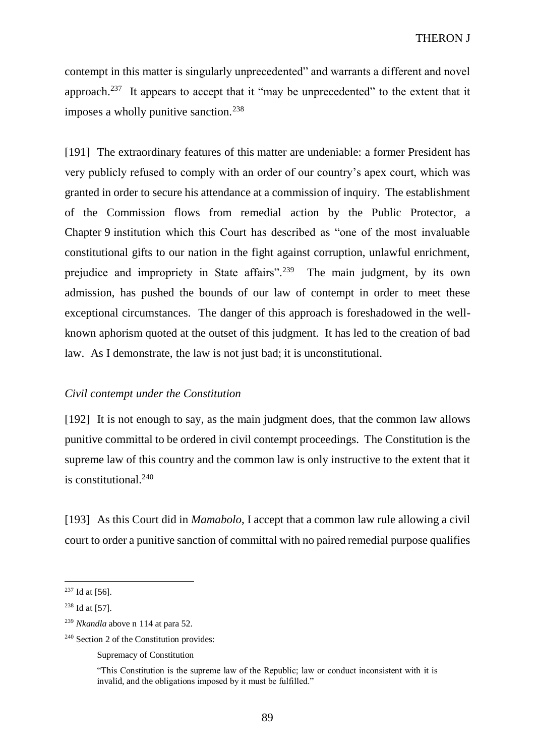contempt in this matter is singularly unprecedented" and warrants a different and novel approach.<sup>237</sup> It appears to accept that it "may be unprecedented" to the extent that it imposes a wholly punitive sanction.<sup>238</sup>

[191] The extraordinary features of this matter are undeniable: a former President has very publicly refused to comply with an order of our country's apex court, which was granted in order to secure his attendance at a commission of inquiry. The establishment of the Commission flows from remedial action by the Public Protector, a Chapter 9 institution which this Court has described as "one of the most invaluable constitutional gifts to our nation in the fight against corruption, unlawful enrichment, prejudice and impropriety in State affairs".<sup>239</sup> The main judgment, by its own admission, has pushed the bounds of our law of contempt in order to meet these exceptional circumstances. The danger of this approach is foreshadowed in the wellknown aphorism quoted at the outset of this judgment. It has led to the creation of bad law. As I demonstrate, the law is not just bad; it is unconstitutional.

## *Civil contempt under the Constitution*

[192] It is not enough to say, as the main judgment does, that the common law allows punitive committal to be ordered in civil contempt proceedings. The Constitution is the supreme law of this country and the common law is only instructive to the extent that it is constitutional.<sup>240</sup>

[193] As this Court did in *Mamabolo*, I accept that a common law rule allowing a civil court to order a punitive sanction of committal with no paired remedial purpose qualifies

<sup>237</sup> Id at [\[56\].](#page-26-1)

<sup>238</sup> Id at [\[57\].](#page-27-0)

<sup>239</sup> *Nkandla* above [n 114](#page-47-0) at para 52.

<sup>&</sup>lt;sup>240</sup> Section 2 of the Constitution provides:

Supremacy of Constitution

<sup>&</sup>quot;This Constitution is the supreme law of the Republic; law or conduct inconsistent with it is invalid, and the obligations imposed by it must be fulfilled."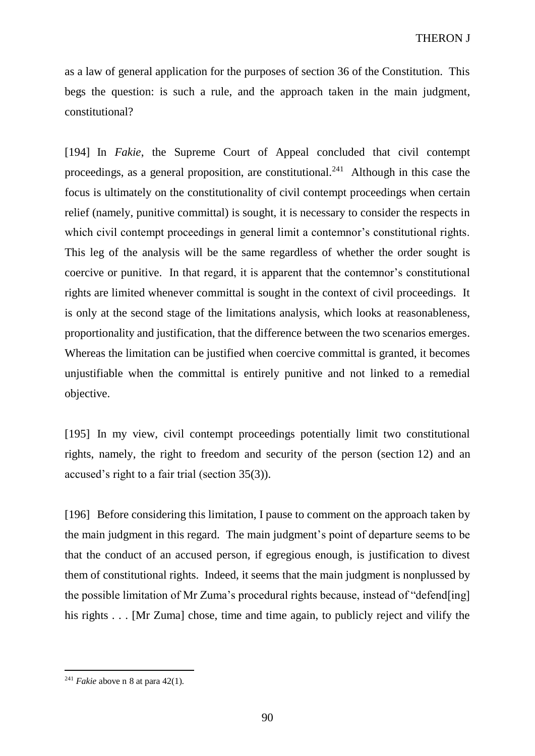as a law of general application for the purposes of section 36 of the Constitution. This begs the question: is such a rule, and the approach taken in the main judgment, constitutional?

[194] In *Fakie*, the Supreme Court of Appeal concluded that civil contempt proceedings, as a general proposition, are constitutional.<sup>241</sup> Although in this case the focus is ultimately on the constitutionality of civil contempt proceedings when certain relief (namely, punitive committal) is sought, it is necessary to consider the respects in which civil contempt proceedings in general limit a contemnor's constitutional rights. This leg of the analysis will be the same regardless of whether the order sought is coercive or punitive. In that regard, it is apparent that the contemnor's constitutional rights are limited whenever committal is sought in the context of civil proceedings. It is only at the second stage of the limitations analysis, which looks at reasonableness, proportionality and justification, that the difference between the two scenarios emerges. Whereas the limitation can be justified when coercive committal is granted, it becomes unjustifiable when the committal is entirely punitive and not linked to a remedial objective.

[195] In my view, civil contempt proceedings potentially limit two constitutional rights, namely, the right to freedom and security of the person (section 12) and an accused's right to a fair trial (section 35(3)).

[196] Before considering this limitation, I pause to comment on the approach taken by the main judgment in this regard. The main judgment's point of departure seems to be that the conduct of an accused person, if egregious enough, is justification to divest them of constitutional rights. Indeed, it seems that the main judgment is nonplussed by the possible limitation of Mr Zuma's procedural rights because, instead of "defend[ing] his rights . . . [Mr Zuma] chose, time and time again, to publicly reject and vilify the

<sup>&</sup>lt;sup>241</sup> *Fakie* above [n 8](#page-6-0) at para  $42(1)$ .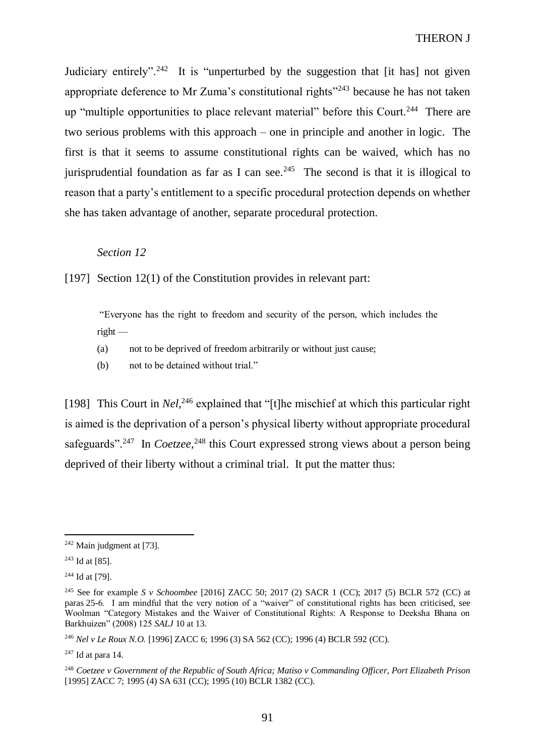Judiciary entirely".<sup>242</sup> It is "unperturbed by the suggestion that [it has] not given appropriate deference to Mr Zuma's constitutional rights<sup>"243</sup> because he has not taken up "multiple opportunities to place relevant material" before this Court.<sup>244</sup> There are two serious problems with this approach – one in principle and another in logic. The first is that it seems to assume constitutional rights can be waived, which has no jurisprudential foundation as far as I can see.<sup>245</sup> The second is that it is illogical to reason that a party's entitlement to a specific procedural protection depends on whether she has taken advantage of another, separate procedural protection.

#### *Section 12*

[197] Section 12(1) of the Constitution provides in relevant part:

"Everyone has the right to freedom and security of the person, which includes the right —

- (a) not to be deprived of freedom arbitrarily or without just cause;
- <span id="page-90-0"></span>(b) not to be detained without trial."

[198] This Court in *Nel*<sup>246</sup> explained that "[t]he mischief at which this particular right is aimed is the deprivation of a person's physical liberty without appropriate procedural safeguards".<sup>247</sup> In *Coetzee*,<sup>248</sup> this Court expressed strong views about a person being deprived of their liberty without a criminal trial. It put the matter thus:

 $\overline{a}$ 

 $247$  Id at para 14.

 $242$  Main judgment at [\[73\].](#page-36-0)

<sup>243</sup> Id at [\[85\].](#page-41-0)

<sup>244</sup> Id at [\[79\].](#page-38-0)

<sup>245</sup> See for example *S v Schoombee* [2016] ZACC 50; 2017 (2) SACR 1 (CC); 2017 (5) BCLR 572 (CC) at paras 25-6. I am mindful that the very notion of a "waiver" of constitutional rights has been criticised, see Woolman "Category Mistakes and the Waiver of Constitutional Rights: A Response to Deeksha Bhana on Barkhuizen" (2008) 125 *SALJ* 10 at 13.

<sup>246</sup> *Nel v Le Roux N.O.* [1996] ZACC 6; 1996 (3) SA 562 (CC); 1996 (4) BCLR 592 (CC).

<sup>248</sup> *Coetzee v Government of the Republic of South Africa; Matiso v Commanding Officer, Port Elizabeth Prison*  [1995] ZACC 7; 1995 (4) SA 631 (CC); 1995 (10) BCLR 1382 (CC).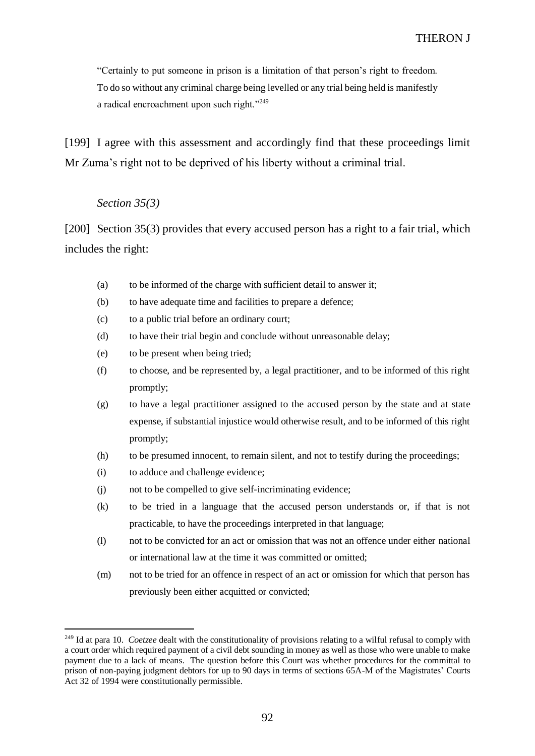"Certainly to put someone in prison is a limitation of that person's right to freedom. To do so without any criminal charge being levelled or any trial being held is manifestly a radical encroachment upon such right."<sup>249</sup>

[199] I agree with this assessment and accordingly find that these proceedings limit Mr Zuma's right not to be deprived of his liberty without a criminal trial.

# *Section 35(3)*

[200] Section 35(3) provides that every accused person has a right to a fair trial, which includes the right:

- (a) to be informed of the charge with sufficient detail to answer it;
- (b) to have adequate time and facilities to prepare a defence;
- (c) to a public trial before an ordinary court;
- (d) to have their trial begin and conclude without unreasonable delay;
- (e) to be present when being tried;
- (f) to choose, and be represented by, a legal practitioner, and to be informed of this right promptly;
- (g) to have a legal practitioner assigned to the accused person by the state and at state expense, if substantial injustice would otherwise result, and to be informed of this right promptly;
- (h) to be presumed innocent, to remain silent, and not to testify during the proceedings;
- (i) to adduce and challenge evidence;

- (j) not to be compelled to give self-incriminating evidence;
- (k) to be tried in a language that the accused person understands or, if that is not practicable, to have the proceedings interpreted in that language;
- (l) not to be convicted for an act or omission that was not an offence under either national or international law at the time it was committed or omitted;
- (m) not to be tried for an offence in respect of an act or omission for which that person has previously been either acquitted or convicted;

<sup>&</sup>lt;sup>249</sup> Id at para 10. *Coetzee* dealt with the constitutionality of provisions relating to a wilful refusal to comply with a court order which required payment of a civil debt sounding in money as well as those who were unable to make payment due to a lack of means. The question before this Court was whether procedures for the committal to prison of non-paying judgment debtors for up to 90 days in terms of sections 65A-M of the Magistrates' Courts Act 32 of 1994 were constitutionally permissible.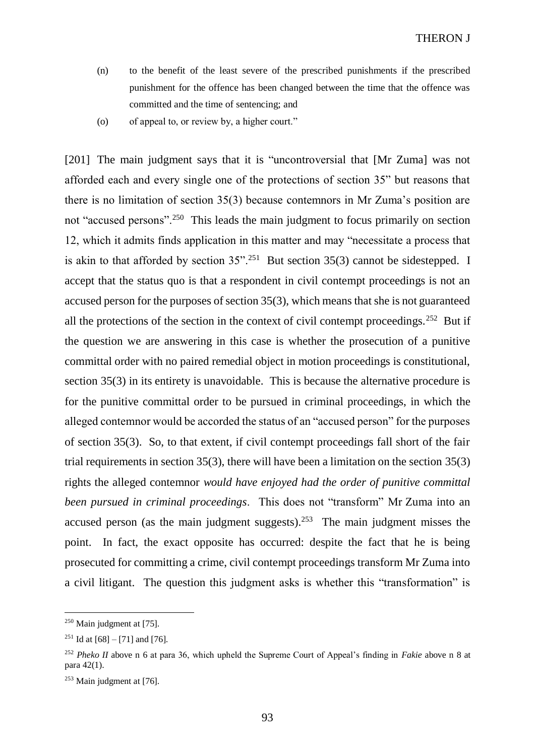- (n) to the benefit of the least severe of the prescribed punishments if the prescribed punishment for the offence has been changed between the time that the offence was committed and the time of sentencing; and
- (o) of appeal to, or review by, a higher court."

[201] The main judgment says that it is "uncontroversial that [Mr Zuma] was not afforded each and every single one of the protections of section 35" but reasons that there is no limitation of section 35(3) because contemnors in Mr Zuma's position are not "accused persons".<sup>250</sup> This leads the main judgment to focus primarily on section 12, which it admits finds application in this matter and may "necessitate a process that is akin to that afforded by section  $35$ ".<sup>251</sup> But section  $35(3)$  cannot be sidestepped. I accept that the status quo is that a respondent in civil contempt proceedings is not an accused person for the purposes of section 35(3), which means that she is not guaranteed all the protections of the section in the context of civil contempt proceedings.<sup>252</sup> But if the question we are answering in this case is whether the prosecution of a punitive committal order with no paired remedial object in motion proceedings is constitutional, section 35(3) in its entirety is unavoidable. This is because the alternative procedure is for the punitive committal order to be pursued in criminal proceedings, in which the alleged contemnor would be accorded the status of an "accused person" for the purposes of section 35(3). So, to that extent, if civil contempt proceedings fall short of the fair trial requirements in section 35(3), there will have been a limitation on the section 35(3) rights the alleged contemnor *would have enjoyed had the order of punitive committal been pursued in criminal proceedings*. This does not "transform" Mr Zuma into an accused person (as the main judgment suggests). $253$  The main judgment misses the point. In fact, the exact opposite has occurred: despite the fact that he is being prosecuted for committing a crime, civil contempt proceedings transform Mr Zuma into a civil litigant. The question this judgment asks is whether this "transformation" is

 $250$  Main judgment at [\[75\].](#page-37-0)

<sup>&</sup>lt;sup>251</sup> Id at [\[68\]](#page-33-0) – [\[71\]](#page-35-0) and [\[76\].](#page-37-1)

<sup>252</sup> *Pheko II* above n [6](#page-5-0) at para 36, which upheld the Supreme Court of Appeal's finding in *Fakie* above n [8](#page-6-0) at para 42(1).

 $253$  Main judgment at [\[76\].](#page-37-1)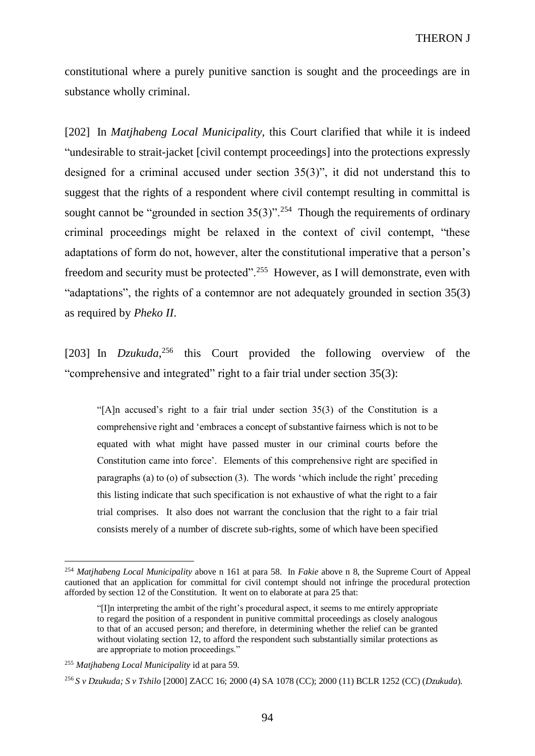constitutional where a purely punitive sanction is sought and the proceedings are in substance wholly criminal.

[202] In *Matjhabeng Local Municipality*, this Court clarified that while it is indeed "undesirable to strait-jacket [civil contempt proceedings] into the protections expressly designed for a criminal accused under section 35(3)", it did not understand this to suggest that the rights of a respondent where civil contempt resulting in committal is sought cannot be "grounded in section  $35(3)$ ".<sup>254</sup> Though the requirements of ordinary criminal proceedings might be relaxed in the context of civil contempt, "these adaptations of form do not, however, alter the constitutional imperative that a person's freedom and security must be protected".<sup>255</sup> However, as I will demonstrate, even with "adaptations", the rights of a contemnor are not adequately grounded in section 35(3) as required by *Pheko II*.

[203] In *Dzukuda*,<sup>256</sup> this Court provided the following overview of the "comprehensive and integrated" right to a fair trial under section 35(3):

<span id="page-93-0"></span>"[A]n accused's right to a fair trial under section 35(3) of the Constitution is a comprehensive right and 'embraces a concept of substantive fairness which is not to be equated with what might have passed muster in our criminal courts before the Constitution came into force'. Elements of this comprehensive right are specified in paragraphs (a) to (o) of subsection  $(3)$ . The words 'which include the right' preceding this listing indicate that such specification is not exhaustive of what the right to a fair trial comprises. It also does not warrant the conclusion that the right to a fair trial consists merely of a number of discrete sub-rights, some of which have been specified

<sup>254</sup> *Matjhabeng Local Municipality* above n [161](#page-68-0) at para 58. In *Fakie* above n [8,](#page-6-0) the Supreme Court of Appeal cautioned that an application for committal for civil contempt should not infringe the procedural protection afforded by section 12 of the Constitution. It went on to elaborate at para 25 that:

<sup>&</sup>quot;[I]n interpreting the ambit of the right's procedural aspect, it seems to me entirely appropriate to regard the position of a respondent in punitive committal proceedings as closely analogous to that of an accused person; and therefore, in determining whether the relief can be granted without violating section 12, to afford the respondent such substantially similar protections as are appropriate to motion proceedings."

<sup>255</sup> *Matjhabeng Local Municipality* id at para 59.

<sup>256</sup> *S v Dzukuda; S v Tshilo* [2000] ZACC 16; 2000 (4) SA 1078 (CC); 2000 (11) BCLR 1252 (CC) (*Dzukuda*).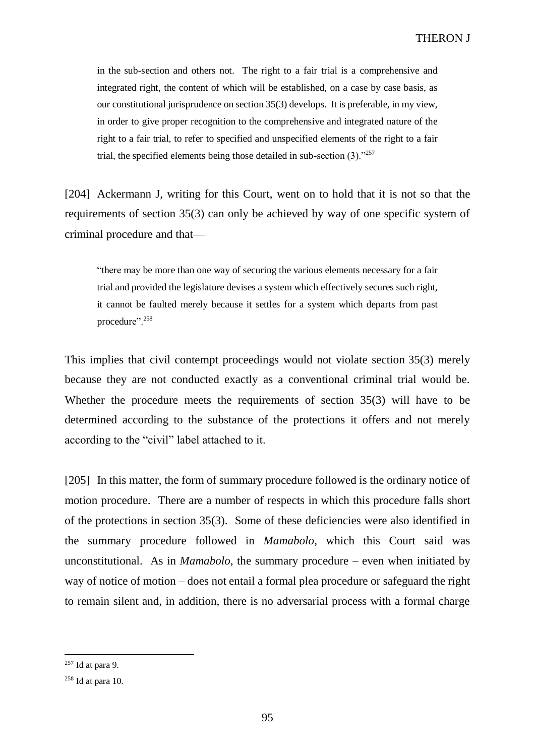in the sub-section and others not. The right to a fair trial is a comprehensive and integrated right, the content of which will be established, on a case by case basis, as our constitutional jurisprudence on section 35(3) develops. It is preferable, in my view, in order to give proper recognition to the comprehensive and integrated nature of the right to a fair trial, to refer to specified and unspecified elements of the right to a fair trial, the specified elements being those detailed in sub-section  $(3)$ ."<sup>257</sup>

[204] Ackermann J, writing for this Court, went on to hold that it is not so that the requirements of section 35(3) can only be achieved by way of one specific system of criminal procedure and that—

"there may be more than one way of securing the various elements necessary for a fair trial and provided the legislature devises a system which effectively secures such right, it cannot be faulted merely because it settles for a system which departs from past procedure".<sup>258</sup>

This implies that civil contempt proceedings would not violate section 35(3) merely because they are not conducted exactly as a conventional criminal trial would be. Whether the procedure meets the requirements of section 35(3) will have to be determined according to the substance of the protections it offers and not merely according to the "civil" label attached to it.

[205] In this matter, the form of summary procedure followed is the ordinary notice of motion procedure. There are a number of respects in which this procedure falls short of the protections in section 35(3). Some of these deficiencies were also identified in the summary procedure followed in *Mamabolo*, which this Court said was unconstitutional. As in *Mamabolo*, the summary procedure – even when initiated by way of notice of motion – does not entail a formal plea procedure or safeguard the right to remain silent and, in addition, there is no adversarial process with a formal charge

 $257$  Id at para 9.

 $258$  Id at para 10.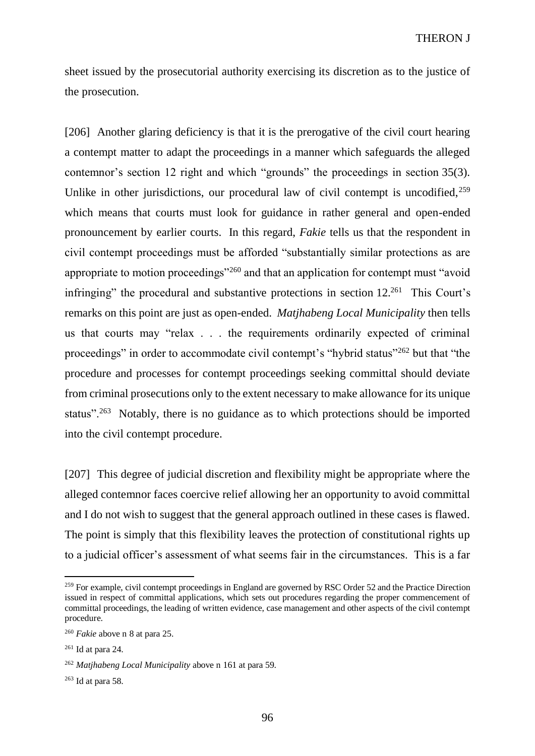sheet issued by the prosecutorial authority exercising its discretion as to the justice of the prosecution.

[206] Another glaring deficiency is that it is the prerogative of the civil court hearing a contempt matter to adapt the proceedings in a manner which safeguards the alleged contemnor's section 12 right and which "grounds" the proceedings in section 35(3). Unlike in other jurisdictions, our procedural law of civil contempt is uncodified.<sup>259</sup> which means that courts must look for guidance in rather general and open-ended pronouncement by earlier courts. In this regard, *Fakie* tells us that the respondent in civil contempt proceedings must be afforded "substantially similar protections as are appropriate to motion proceedings"<sup>260</sup> and that an application for contempt must "avoid infringing" the procedural and substantive protections in section 12.<sup>261</sup> This Court's remarks on this point are just as open-ended. *Matjhabeng Local Municipality* then tells us that courts may "relax . . . the requirements ordinarily expected of criminal proceedings" in order to accommodate civil contempt's "hybrid status"<sup>262</sup> but that "the procedure and processes for contempt proceedings seeking committal should deviate from criminal prosecutions only to the extent necessary to make allowance for its unique status".<sup>263</sup> Notably, there is no guidance as to which protections should be imported into the civil contempt procedure.

[207] This degree of judicial discretion and flexibility might be appropriate where the alleged contemnor faces coercive relief allowing her an opportunity to avoid committal and I do not wish to suggest that the general approach outlined in these cases is flawed. The point is simply that this flexibility leaves the protection of constitutional rights up to a judicial officer's assessment of what seems fair in the circumstances. This is a far

<sup>&</sup>lt;sup>259</sup> For example, civil contempt proceedings in England are governed by RSC Order 52 and the Practice Direction issued in respect of committal applications, which sets out procedures regarding the proper commencement of committal proceedings, the leading of written evidence, case management and other aspects of the civil contempt procedure.

<sup>260</sup> *Fakie* above [n 8](#page-6-0) at para 25.

 $261$  Id at para 24.

<sup>262</sup> *Matjhabeng Local Municipality* above n [161](#page-68-0) at para 59.

 $263$  Id at para 58.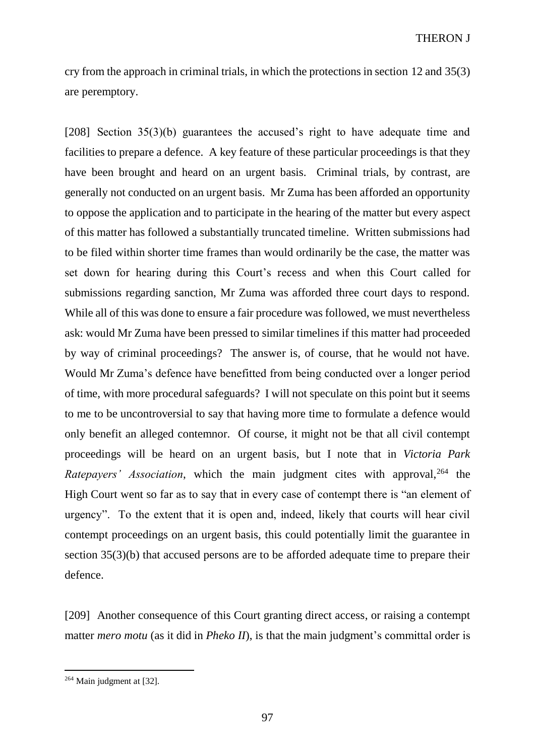cry from the approach in criminal trials, in which the protections in section 12 and 35(3) are peremptory.

[208] Section 35(3)(b) guarantees the accused's right to have adequate time and facilities to prepare a defence. A key feature of these particular proceedings is that they have been brought and heard on an urgent basis. Criminal trials, by contrast, are generally not conducted on an urgent basis. Mr Zuma has been afforded an opportunity to oppose the application and to participate in the hearing of the matter but every aspect of this matter has followed a substantially truncated timeline. Written submissions had to be filed within shorter time frames than would ordinarily be the case, the matter was set down for hearing during this Court's recess and when this Court called for submissions regarding sanction, Mr Zuma was afforded three court days to respond. While all of this was done to ensure a fair procedure was followed, we must nevertheless ask: would Mr Zuma have been pressed to similar timelines if this matter had proceeded by way of criminal proceedings? The answer is, of course, that he would not have. Would Mr Zuma's defence have benefitted from being conducted over a longer period of time, with more procedural safeguards? I will not speculate on this point but it seems to me to be uncontroversial to say that having more time to formulate a defence would only benefit an alleged contemnor. Of course, it might not be that all civil contempt proceedings will be heard on an urgent basis, but I note that in *Victoria Park Ratepayers' Association*, which the main judgment cites with approval, <sup>264</sup> the High Court went so far as to say that in every case of contempt there is "an element of urgency". To the extent that it is open and, indeed, likely that courts will hear civil contempt proceedings on an urgent basis, this could potentially limit the guarantee in section 35(3)(b) that accused persons are to be afforded adequate time to prepare their defence.

[209] Another consequence of this Court granting direct access, or raising a contempt matter *mero motu* (as it did in *Pheko II*), is that the main judgment's committal order is

<sup>264</sup> Main judgment at [\[32\].](#page-16-0)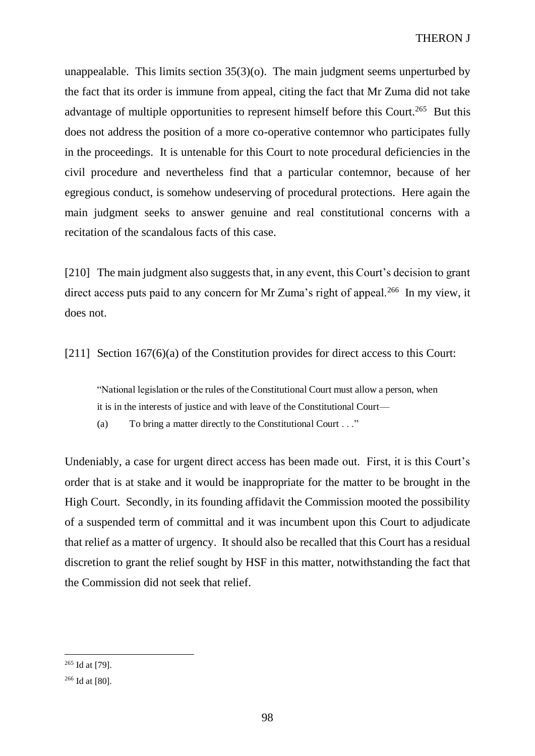unappealable. This limits section 35(3)(o). The main judgment seems unperturbed by the fact that its order is immune from appeal, citing the fact that Mr Zuma did not take advantage of multiple opportunities to represent himself before this Court.<sup>265</sup> But this does not address the position of a more co-operative contemnor who participates fully in the proceedings. It is untenable for this Court to note procedural deficiencies in the civil procedure and nevertheless find that a particular contemnor, because of her egregious conduct, is somehow undeserving of procedural protections. Here again the main judgment seeks to answer genuine and real constitutional concerns with a recitation of the scandalous facts of this case.

[210] The main judgment also suggests that, in any event, this Court's decision to grant direct access puts paid to any concern for Mr Zuma's right of appeal.<sup>266</sup> In my view, it does not.

[211] Section 167(6)(a) of the Constitution provides for direct access to this Court:

"National legislation or the rules of the Constitutional Court must allow a person, when it is in the interests of justice and with leave of the Constitutional Court—

(a) To bring a matter directly to the Constitutional Court . . ."

Undeniably, a case for urgent direct access has been made out. First, it is this Court's order that is at stake and it would be inappropriate for the matter to be brought in the High Court. Secondly, in its founding affidavit the Commission mooted the possibility of a suspended term of committal and it was incumbent upon this Court to adjudicate that relief as a matter of urgency. It should also be recalled that this Court has a residual discretion to grant the relief sought by HSF in this matter, notwithstanding the fact that the Commission did not seek that relief.

<sup>&</sup>lt;sup>265</sup> Id at [\[79\].](#page-38-0)

<sup>266</sup> Id at [\[80\].](#page-38-1)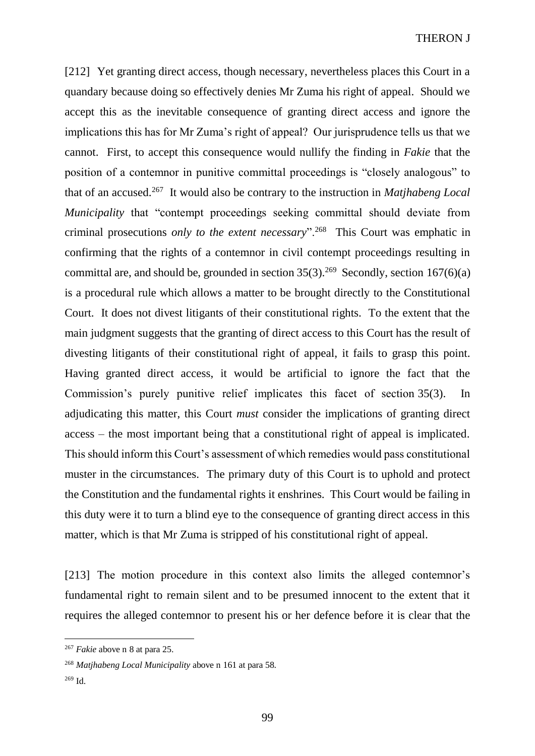[212] Yet granting direct access, though necessary, nevertheless places this Court in a quandary because doing so effectively denies Mr Zuma his right of appeal. Should we accept this as the inevitable consequence of granting direct access and ignore the implications this has for Mr Zuma's right of appeal? Our jurisprudence tells us that we cannot. First, to accept this consequence would nullify the finding in *Fakie* that the position of a contemnor in punitive committal proceedings is "closely analogous" to that of an accused.<sup>267</sup> It would also be contrary to the instruction in *Matjhabeng Local Municipality* that "contempt proceedings seeking committal should deviate from criminal prosecutions *only to the extent necessary*".<sup>268</sup> This Court was emphatic in confirming that the rights of a contemnor in civil contempt proceedings resulting in committal are, and should be, grounded in section  $35(3)$ .<sup>269</sup> Secondly, section 167(6)(a) is a procedural rule which allows a matter to be brought directly to the Constitutional Court. It does not divest litigants of their constitutional rights. To the extent that the main judgment suggests that the granting of direct access to this Court has the result of divesting litigants of their constitutional right of appeal, it fails to grasp this point. Having granted direct access, it would be artificial to ignore the fact that the Commission's purely punitive relief implicates this facet of section 35(3). In adjudicating this matter, this Court *must* consider the implications of granting direct access – the most important being that a constitutional right of appeal is implicated. This should inform this Court's assessment of which remedies would pass constitutional muster in the circumstances. The primary duty of this Court is to uphold and protect the Constitution and the fundamental rights it enshrines. This Court would be failing in this duty were it to turn a blind eye to the consequence of granting direct access in this matter, which is that Mr Zuma is stripped of his constitutional right of appeal.

[213] The motion procedure in this context also limits the alleged contemnor's fundamental right to remain silent and to be presumed innocent to the extent that it requires the alleged contemnor to present his or her defence before it is clear that the

<sup>267</sup> *Fakie* above [n 8](#page-6-0) at para 25.

<sup>268</sup> *Matjhabeng Local Municipality* above n [161](#page-68-0) at para 58.

<sup>269</sup> Id.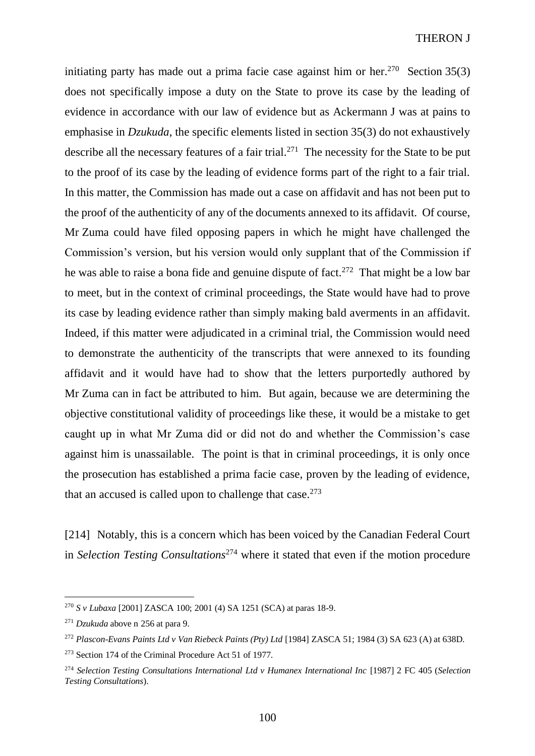initiating party has made out a prima facie case against him or her.<sup>270</sup> Section 35(3) does not specifically impose a duty on the State to prove its case by the leading of evidence in accordance with our law of evidence but as Ackermann J was at pains to emphasise in *Dzukuda*, the specific elements listed in section 35(3) do not exhaustively describe all the necessary features of a fair trial.<sup>271</sup> The necessity for the State to be put to the proof of its case by the leading of evidence forms part of the right to a fair trial. In this matter, the Commission has made out a case on affidavit and has not been put to the proof of the authenticity of any of the documents annexed to its affidavit. Of course, Mr Zuma could have filed opposing papers in which he might have challenged the Commission's version, but his version would only supplant that of the Commission if he was able to raise a bona fide and genuine dispute of fact.<sup>272</sup> That might be a low bar to meet, but in the context of criminal proceedings, the State would have had to prove its case by leading evidence rather than simply making bald averments in an affidavit. Indeed, if this matter were adjudicated in a criminal trial, the Commission would need to demonstrate the authenticity of the transcripts that were annexed to its founding affidavit and it would have had to show that the letters purportedly authored by Mr Zuma can in fact be attributed to him. But again, because we are determining the objective constitutional validity of proceedings like these, it would be a mistake to get caught up in what Mr Zuma did or did not do and whether the Commission's case against him is unassailable. The point is that in criminal proceedings, it is only once the prosecution has established a prima facie case, proven by the leading of evidence, that an accused is called upon to challenge that case. $273$ 

[214] Notably, this is a concern which has been voiced by the Canadian Federal Court in *Selection Testing Consultations*<sup>274</sup> where it stated that even if the motion procedure

<sup>270</sup> *S v Lubaxa* [2001] ZASCA 100; 2001 (4) SA 1251 (SCA) at paras 18-9.

<sup>271</sup> *Dzukuda* above n [256](#page-93-0) at para 9.

<sup>&</sup>lt;sup>272</sup> Plascon-Evans Paints Ltd v Van Riebeck Paints (Pty) Ltd [1984] ZASCA 51; 1984 (3) SA 623 (A) at 638D.

<sup>273</sup> Section 174 of the Criminal Procedure Act 51 of 1977.

<sup>274</sup> *Selection Testing Consultations International Ltd v Humanex International Inc* [1987] 2 FC 405 (*Selection Testing Consultations*).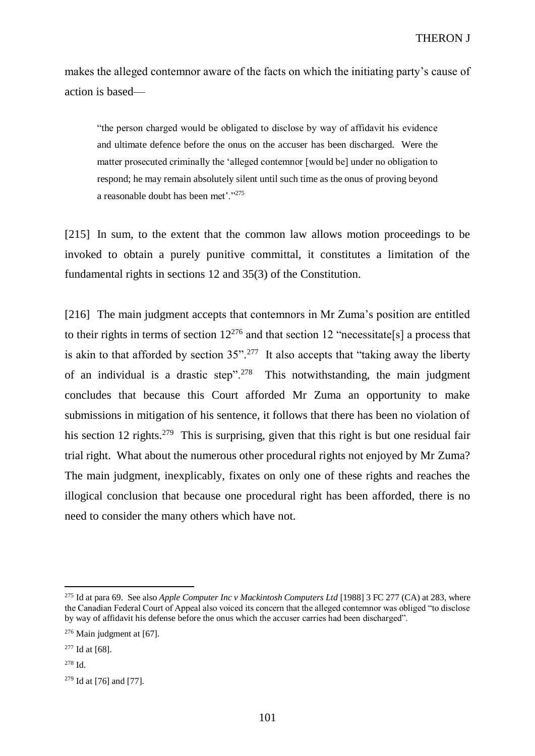makes the alleged contemnor aware of the facts on which the initiating party's cause of action is based—

"the person charged would be obligated to disclose by way of affidavit his evidence and ultimate defence before the onus on the accuser has been discharged. Were the matter prosecuted criminally the 'alleged contemnor [would be] under no obligation to respond; he may remain absolutely silent until such time as the onus of proving beyond a reasonable doubt has been met'."<sup>275</sup>

[215] In sum, to the extent that the common law allows motion proceedings to be invoked to obtain a purely punitive committal, it constitutes a limitation of the fundamental rights in sections 12 and 35(3) of the Constitution.

[216] The main judgment accepts that contemnors in Mr Zuma's position are entitled to their rights in terms of section  $12^{276}$  and that section 12 "necessitate[s] a process that is akin to that afforded by section  $35$ ".<sup>277</sup> It also accepts that "taking away the liberty of an individual is a drastic step".<sup>278</sup> This notwithstanding, the main judgment concludes that because this Court afforded Mr Zuma an opportunity to make submissions in mitigation of his sentence, it follows that there has been no violation of his section 12 rights.<sup>279</sup> This is surprising, given that this right is but one residual fair trial right. What about the numerous other procedural rights not enjoyed by Mr Zuma? The main judgment, inexplicably, fixates on only one of these rights and reaches the illogical conclusion that because one procedural right has been afforded, there is no need to consider the many others which have not.

<sup>275</sup> Id at para 69. See also *Apple Computer Inc v Mackintosh Computers Ltd* [1988] 3 FC 277 (CA) at 283, where the Canadian Federal Court of Appeal also voiced its concern that the alleged contemnor was obliged "to disclose by way of affidavit his defense before the onus which the accuser carries had been discharged".

 $276$  Main judgment at [\[67\].](#page-32-0)

 $277$  Id at [\[68\].](#page-33-0)

<sup>278</sup> Id.

 $279$  Id at [\[76\]](#page-37-1) an[d \[77\].](#page-37-2)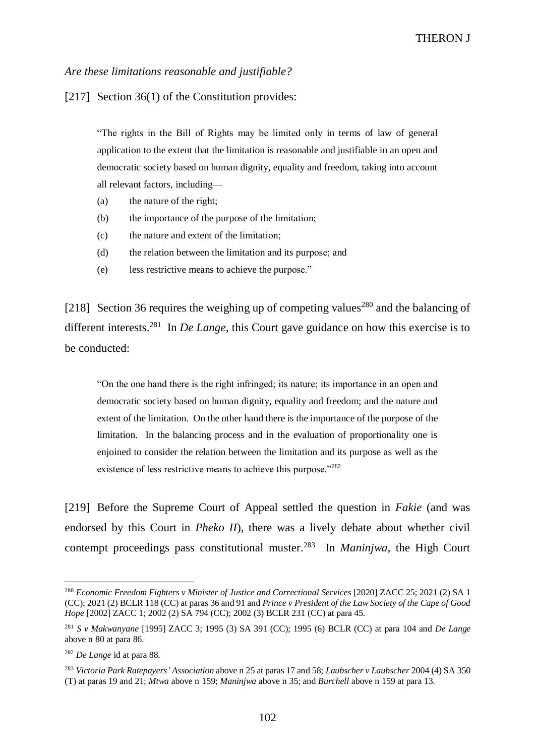#### *Are these limitations reasonable and justifiable?*

#### [217] Section 36(1) of the Constitution provides:

"The rights in the Bill of Rights may be limited only in terms of law of general application to the extent that the limitation is reasonable and justifiable in an open and democratic society based on human dignity, equality and freedom, taking into account all relevant factors, including—

- (a) the nature of the right;
- (b) the importance of the purpose of the limitation;
- (c) the nature and extent of the limitation;
- (d) the relation between the limitation and its purpose; and
- (e) less restrictive means to achieve the purpose."

[218] Section 36 requires the weighing up of competing values<sup>280</sup> and the balancing of different interests.<sup>281</sup> In *De Lange*, this Court gave guidance on how this exercise is to be conducted:

"On the one hand there is the right infringed; its nature; its importance in an open and democratic society based on human dignity, equality and freedom; and the nature and extent of the limitation. On the other hand there is the importance of the purpose of the limitation. In the balancing process and in the evaluation of proportionality one is enjoined to consider the relation between the limitation and its purpose as well as the existence of less restrictive means to achieve this purpose."<sup>282</sup>

[219] Before the Supreme Court of Appeal settled the question in *Fakie* (and was endorsed by this Court in *Pheko II*), there was a lively debate about whether civil contempt proceedings pass constitutional muster.<sup>283</sup> In *Maninjwa*, the High Court

<sup>280</sup> *Economic Freedom Fighters v Minister of Justice and Correctional Services* [2020] ZACC 25; 2021 (2) SA 1 (CC); 2021 (2) BCLR 118 (CC) at paras 36 and 91 and *Prince v President of the Law Society of the Cape of Good Hope* [2002] ZACC 1; 2002 (2) SA 794 (CC); 2002 (3) BCLR 231 (CC) at para 45.

<sup>281</sup> *S v Makwanyane* [1995] ZACC 3; 1995 (3) SA 391 (CC); 1995 (6) BCLR (CC) at para 104 and *De Lange*  above n [80](#page-33-1) at para 86.

<sup>282</sup> *De Lange* id at para 88.

<sup>283</sup> *Victoria Park Ratepayers' Association* above [n 25](#page-14-0) at paras 17 and 58; *Laubscher v Laubscher* 2004 (4) SA 350 (T) at paras 19 and 21; *Mtwa* above n [159;](#page-67-0) *Maninjwa* above [n 35;](#page-18-0) and *Burchell* above [n 159](#page-67-0) at para 13.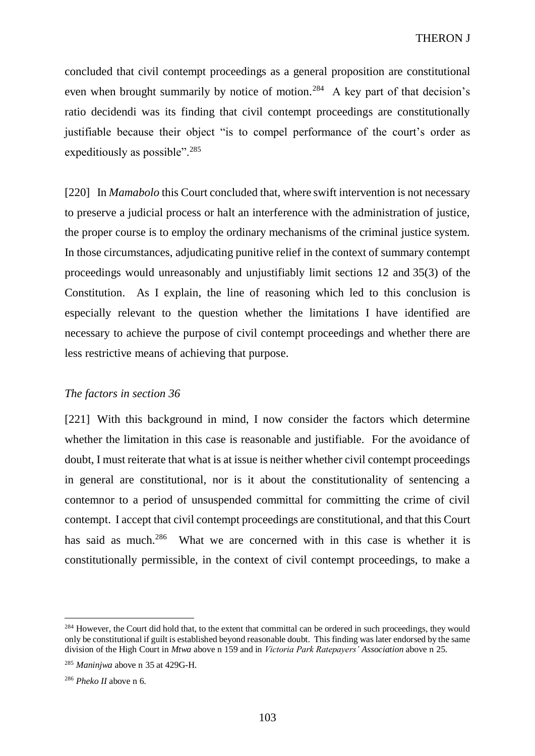concluded that civil contempt proceedings as a general proposition are constitutional even when brought summarily by notice of motion.<sup>284</sup> A key part of that decision's ratio decidendi was its finding that civil contempt proceedings are constitutionally justifiable because their object "is to compel performance of the court's order as expeditiously as possible".<sup>285</sup>

[220] In *Mamabolo* this Court concluded that, where swift intervention is not necessary to preserve a judicial process or halt an interference with the administration of justice, the proper course is to employ the ordinary mechanisms of the criminal justice system. In those circumstances, adjudicating punitive relief in the context of summary contempt proceedings would unreasonably and unjustifiably limit sections 12 and 35(3) of the Constitution. As I explain, the line of reasoning which led to this conclusion is especially relevant to the question whether the limitations I have identified are necessary to achieve the purpose of civil contempt proceedings and whether there are less restrictive means of achieving that purpose.

#### *The factors in section 36*

[221] With this background in mind, I now consider the factors which determine whether the limitation in this case is reasonable and justifiable. For the avoidance of doubt, I must reiterate that what is at issue is neither whether civil contempt proceedings in general are constitutional, nor is it about the constitutionality of sentencing a contemnor to a period of unsuspended committal for committing the crime of civil contempt. I accept that civil contempt proceedings are constitutional, and that this Court has said as much.<sup>286</sup> What we are concerned with in this case is whether it is constitutionally permissible, in the context of civil contempt proceedings, to make a

<sup>&</sup>lt;sup>284</sup> However, the Court did hold that, to the extent that committal can be ordered in such proceedings, they would only be constitutional if guilt is established beyond reasonable doubt. This finding was later endorsed by the same division of the High Court in *Mtwa* above [n 159](#page-67-0) and in *Victoria Park Ratepayers' Association* above n [25.](#page-14-0)

<sup>285</sup> *Maninjwa* above n [35](#page-18-0) at 429G-H.

<sup>286</sup> *Pheko II* above n [6.](#page-5-0)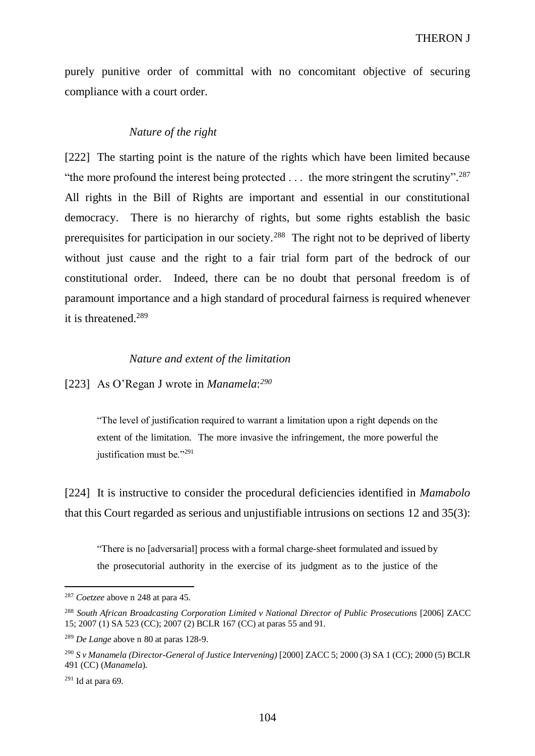purely punitive order of committal with no concomitant objective of securing compliance with a court order.

#### *Nature of the right*

[222] The starting point is the nature of the rights which have been limited because "the more profound the interest being protected  $\dots$  the more stringent the scrutiny".<sup>287</sup> All rights in the Bill of Rights are important and essential in our constitutional democracy. There is no hierarchy of rights, but some rights establish the basic prerequisites for participation in our society.<sup>288</sup> The right not to be deprived of liberty without just cause and the right to a fair trial form part of the bedrock of our constitutional order. Indeed, there can be no doubt that personal freedom is of paramount importance and a high standard of procedural fairness is required whenever it is threatened.<sup>289</sup>

#### *Nature and extent of the limitation*

[223] As O'Regan J wrote in *Manamela*: *290*

"The level of justification required to warrant a limitation upon a right depends on the extent of the limitation. The more invasive the infringement, the more powerful the justification must be."<sup>291</sup>

[224] It is instructive to consider the procedural deficiencies identified in *Mamabolo*  that this Court regarded as serious and unjustifiable intrusions on sections 12 and 35(3):

"There is no [adversarial] process with a formal charge-sheet formulated and issued by the prosecutorial authority in the exercise of its judgment as to the justice of the

 $291$  Id at para 69.

<sup>287</sup> *Coetzee* above [n 248](#page-90-0) at para 45.

<sup>&</sup>lt;sup>288</sup> *South African Broadcasting Corporation Limited v National Director of Public Prosecutions* [2006] ZACC 15; 2007 (1) SA 523 (CC); 2007 (2) BCLR 167 (CC) at paras 55 and 91.

<sup>289</sup> *De Lange* above n [80](#page-33-1) at paras 128-9.

<sup>290</sup> *S v Manamela (Director-General of Justice Intervening)* [2000] ZACC 5; 2000 (3) SA 1 (CC); 2000 (5) BCLR 491 (CC) (*Manamela*).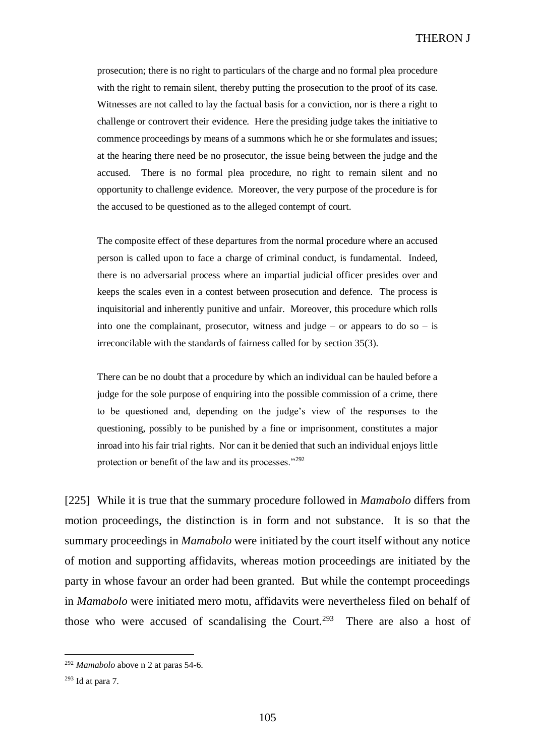prosecution; there is no right to particulars of the charge and no formal plea procedure with the right to remain silent, thereby putting the prosecution to the proof of its case. Witnesses are not called to lay the factual basis for a conviction, nor is there a right to challenge or controvert their evidence. Here the presiding judge takes the initiative to commence proceedings by means of a summons which he or she formulates and issues; at the hearing there need be no prosecutor, the issue being between the judge and the accused. There is no formal plea procedure, no right to remain silent and no opportunity to challenge evidence. Moreover, the very purpose of the procedure is for the accused to be questioned as to the alleged contempt of court.

The composite effect of these departures from the normal procedure where an accused person is called upon to face a charge of criminal conduct, is fundamental. Indeed, there is no adversarial process where an impartial judicial officer presides over and keeps the scales even in a contest between prosecution and defence. The process is inquisitorial and inherently punitive and unfair. Moreover, this procedure which rolls into one the complainant, prosecutor, witness and judge – or appears to do so – is irreconcilable with the standards of fairness called for by section 35(3).

There can be no doubt that a procedure by which an individual can be hauled before a judge for the sole purpose of enquiring into the possible commission of a crime, there to be questioned and, depending on the judge's view of the responses to the questioning, possibly to be punished by a fine or imprisonment, constitutes a major inroad into his fair trial rights. Nor can it be denied that such an individual enjoys little protection or benefit of the law and its processes."<sup>292</sup>

[225] While it is true that the summary procedure followed in *Mamabolo* differs from motion proceedings, the distinction is in form and not substance. It is so that the summary proceedings in *Mamabolo* were initiated by the court itself without any notice of motion and supporting affidavits, whereas motion proceedings are initiated by the party in whose favour an order had been granted. But while the contempt proceedings in *Mamabolo* were initiated mero motu, affidavits were nevertheless filed on behalf of those who were accused of scandalising the Court.<sup>293</sup> There are also a host of

<sup>292</sup> *Mamabolo* above n [2](#page-3-0) at paras 54-6.

 $293$  Id at para 7.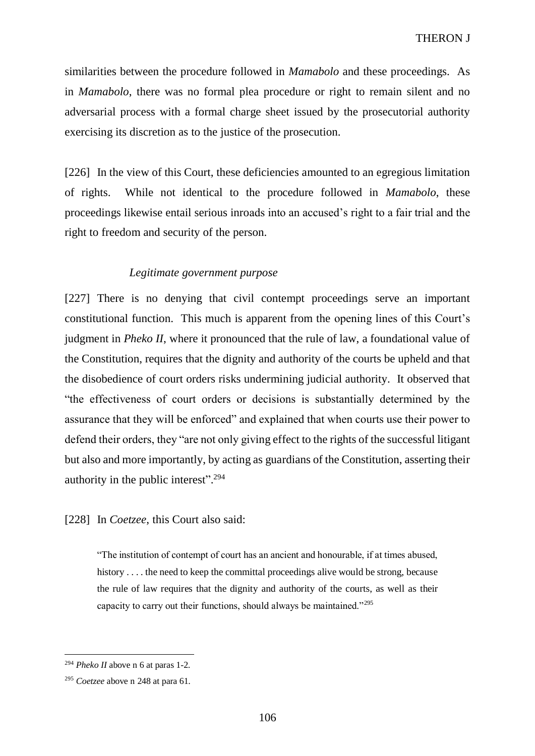similarities between the procedure followed in *Mamabolo* and these proceedings. As in *Mamabolo*, there was no formal plea procedure or right to remain silent and no adversarial process with a formal charge sheet issued by the prosecutorial authority exercising its discretion as to the justice of the prosecution.

[226] In the view of this Court, these deficiencies amounted to an egregious limitation of rights. While not identical to the procedure followed in *Mamabolo*, these proceedings likewise entail serious inroads into an accused's right to a fair trial and the right to freedom and security of the person.

# *Legitimate government purpose*

[227] There is no denying that civil contempt proceedings serve an important constitutional function. This much is apparent from the opening lines of this Court's judgment in *Pheko II*, where it pronounced that the rule of law, a foundational value of the Constitution, requires that the dignity and authority of the courts be upheld and that the disobedience of court orders risks undermining judicial authority. It observed that "the effectiveness of court orders or decisions is substantially determined by the assurance that they will be enforced" and explained that when courts use their power to defend their orders, they "are not only giving effect to the rights of the successful litigant but also and more importantly, by acting as guardians of the Constitution, asserting their authority in the public interest". 294

[228] In *Coetzee*, this Court also said:

"The institution of contempt of court has an ancient and honourable, if at times abused, history . . . . the need to keep the committal proceedings alive would be strong, because the rule of law requires that the dignity and authority of the courts, as well as their capacity to carry out their functions, should always be maintained."<sup>295</sup>

<sup>294</sup> *Pheko II* above n [6](#page-5-0) at paras 1-2.

<sup>295</sup> *Coetzee* above [n 248](#page-90-0) at para 61.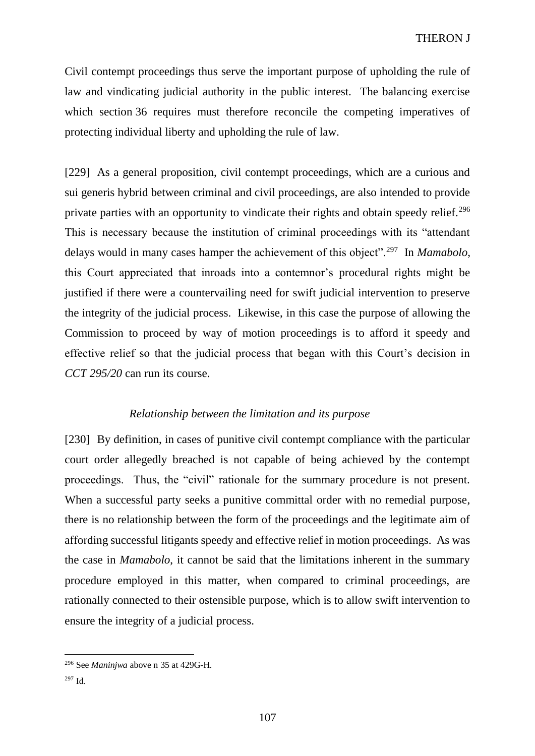Civil contempt proceedings thus serve the important purpose of upholding the rule of law and vindicating judicial authority in the public interest. The balancing exercise which section 36 requires must therefore reconcile the competing imperatives of protecting individual liberty and upholding the rule of law.

[229] As a general proposition, civil contempt proceedings, which are a curious and sui generis hybrid between criminal and civil proceedings, are also intended to provide private parties with an opportunity to vindicate their rights and obtain speedy relief.<sup>296</sup> This is necessary because the institution of criminal proceedings with its "attendant delays would in many cases hamper the achievement of this object".<sup>297</sup> In *Mamabolo*, this Court appreciated that inroads into a contemnor's procedural rights might be justified if there were a countervailing need for swift judicial intervention to preserve the integrity of the judicial process. Likewise, in this case the purpose of allowing the Commission to proceed by way of motion proceedings is to afford it speedy and effective relief so that the judicial process that began with this Court's decision in *CCT 295/20* can run its course.

# *Relationship between the limitation and its purpose*

[230] By definition, in cases of punitive civil contempt compliance with the particular court order allegedly breached is not capable of being achieved by the contempt proceedings. Thus, the "civil" rationale for the summary procedure is not present. When a successful party seeks a punitive committal order with no remedial purpose, there is no relationship between the form of the proceedings and the legitimate aim of affording successful litigants speedy and effective relief in motion proceedings. As was the case in *Mamabolo*, it cannot be said that the limitations inherent in the summary procedure employed in this matter, when compared to criminal proceedings, are rationally connected to their ostensible purpose, which is to allow swift intervention to ensure the integrity of a judicial process.

<sup>296</sup> See *Maninjwa* above n [35](#page-18-0) at 429G-H.

<sup>297</sup> Id.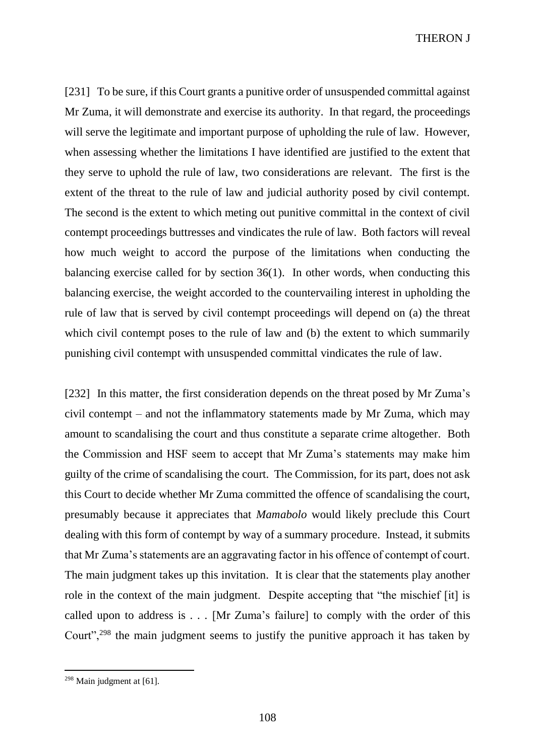THERON J

[231] To be sure, if this Court grants a punitive order of unsuspended committal against Mr Zuma, it will demonstrate and exercise its authority. In that regard, the proceedings will serve the legitimate and important purpose of upholding the rule of law. However, when assessing whether the limitations I have identified are justified to the extent that they serve to uphold the rule of law, two considerations are relevant. The first is the extent of the threat to the rule of law and judicial authority posed by civil contempt. The second is the extent to which meting out punitive committal in the context of civil contempt proceedings buttresses and vindicates the rule of law. Both factors will reveal how much weight to accord the purpose of the limitations when conducting the balancing exercise called for by section 36(1). In other words, when conducting this balancing exercise, the weight accorded to the countervailing interest in upholding the rule of law that is served by civil contempt proceedings will depend on (a) the threat which civil contempt poses to the rule of law and (b) the extent to which summarily punishing civil contempt with unsuspended committal vindicates the rule of law.

[232] In this matter, the first consideration depends on the threat posed by Mr Zuma's civil contempt – and not the inflammatory statements made by Mr Zuma, which may amount to scandalising the court and thus constitute a separate crime altogether. Both the Commission and HSF seem to accept that Mr Zuma's statements may make him guilty of the crime of scandalising the court. The Commission, for its part, does not ask this Court to decide whether Mr Zuma committed the offence of scandalising the court, presumably because it appreciates that *Mamabolo* would likely preclude this Court dealing with this form of contempt by way of a summary procedure. Instead, it submits that Mr Zuma's statements are an aggravating factor in his offence of contempt of court. The main judgment takes up this invitation. It is clear that the statements play another role in the context of the main judgment. Despite accepting that "the mischief [it] is called upon to address is . . . [Mr Zuma's failure] to comply with the order of this Court",<sup>298</sup> the main judgment seems to justify the punitive approach it has taken by

 $298$  Main judgment at [\[61\].](#page-29-0)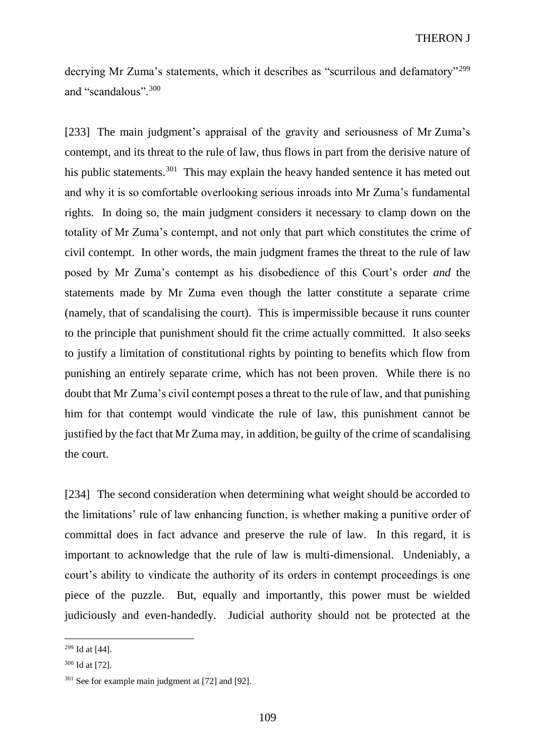decrying Mr Zuma's statements, which it describes as "scurrilous and defamatory"<sup>299</sup> and "scandalous".<sup>300</sup>

[233] The main judgment's appraisal of the gravity and seriousness of Mr Zuma's contempt, and its threat to the rule of law, thus flows in part from the derisive nature of his public statements.<sup>301</sup> This may explain the heavy handed sentence it has meted out and why it is so comfortable overlooking serious inroads into Mr Zuma's fundamental rights. In doing so, the main judgment considers it necessary to clamp down on the totality of Mr Zuma's contempt, and not only that part which constitutes the crime of civil contempt. In other words, the main judgment frames the threat to the rule of law posed by Mr Zuma's contempt as his disobedience of this Court's order *and* the statements made by Mr Zuma even though the latter constitute a separate crime (namely, that of scandalising the court). This is impermissible because it runs counter to the principle that punishment should fit the crime actually committed. It also seeks to justify a limitation of constitutional rights by pointing to benefits which flow from punishing an entirely separate crime, which has not been proven. While there is no doubt that Mr Zuma's civil contempt poses a threat to the rule of law, and that punishing him for that contempt would vindicate the rule of law, this punishment cannot be justified by the fact that Mr Zuma may, in addition, be guilty of the crime of scandalising the court.

[234] The second consideration when determining what weight should be accorded to the limitations' rule of law enhancing function, is whether making a punitive order of committal does in fact advance and preserve the rule of law. In this regard, it is important to acknowledge that the rule of law is multi-dimensional. Undeniably, a court's ability to vindicate the authority of its orders in contempt proceedings is one piece of the puzzle. But, equally and importantly, this power must be wielded judiciously and even-handedly. Judicial authority should not be protected at the

<sup>299</sup> Id at [\[44\].](#page-21-0)

<sup>300</sup> Id at [\[72\].](#page-36-0)

<sup>&</sup>lt;sup>301</sup> See for example main judgment at [\[72\]](#page-36-0) an[d \[92\].](#page-45-0)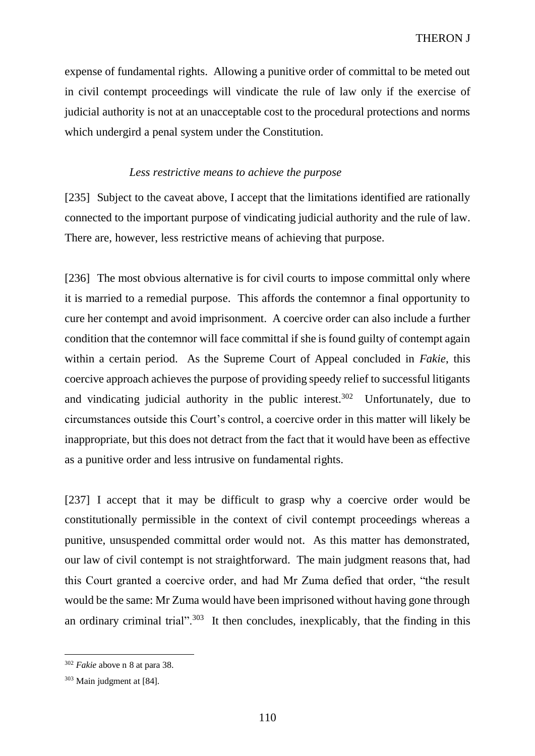expense of fundamental rights. Allowing a punitive order of committal to be meted out in civil contempt proceedings will vindicate the rule of law only if the exercise of judicial authority is not at an unacceptable cost to the procedural protections and norms which undergird a penal system under the Constitution.

#### *Less restrictive means to achieve the purpose*

[235] Subject to the caveat above, I accept that the limitations identified are rationally connected to the important purpose of vindicating judicial authority and the rule of law. There are, however, less restrictive means of achieving that purpose.

[236] The most obvious alternative is for civil courts to impose committal only where it is married to a remedial purpose. This affords the contemnor a final opportunity to cure her contempt and avoid imprisonment. A coercive order can also include a further condition that the contemnor will face committal if she is found guilty of contempt again within a certain period. As the Supreme Court of Appeal concluded in *Fakie*, this coercive approach achieves the purpose of providing speedy relief to successful litigants and vindicating judicial authority in the public interest.<sup>302</sup> Unfortunately, due to circumstances outside this Court's control, a coercive order in this matter will likely be inappropriate, but this does not detract from the fact that it would have been as effective as a punitive order and less intrusive on fundamental rights.

[237] I accept that it may be difficult to grasp why a coercive order would be constitutionally permissible in the context of civil contempt proceedings whereas a punitive, unsuspended committal order would not. As this matter has demonstrated, our law of civil contempt is not straightforward. The main judgment reasons that, had this Court granted a coercive order, and had Mr Zuma defied that order, "the result would be the same: Mr Zuma would have been imprisoned without having gone through an ordinary criminal trial".<sup>303</sup> It then concludes, inexplicably, that the finding in this

<sup>302</sup> *Fakie* above [n 8](#page-6-0) at para 38.

<sup>303</sup> Main judgment at [\[84\].](#page-40-0)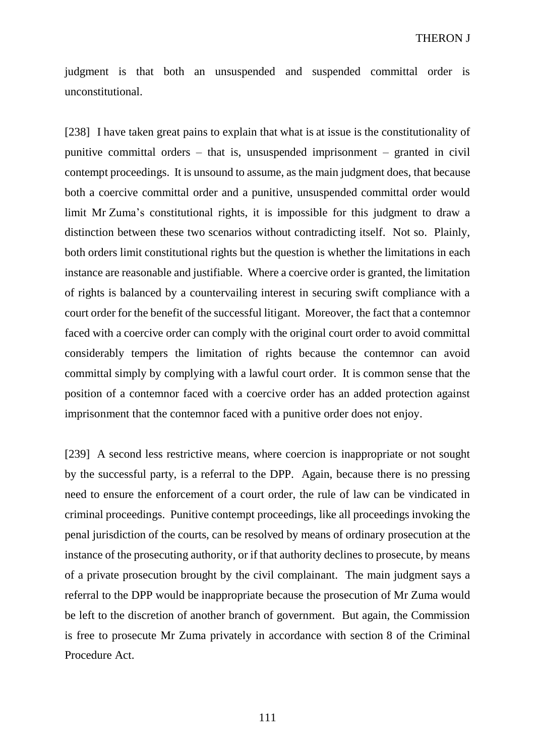judgment is that both an unsuspended and suspended committal order is unconstitutional.

[238] I have taken great pains to explain that what is at issue is the constitutionality of punitive committal orders – that is, unsuspended imprisonment – granted in civil contempt proceedings. It is unsound to assume, as the main judgment does, that because both a coercive committal order and a punitive, unsuspended committal order would limit Mr Zuma's constitutional rights, it is impossible for this judgment to draw a distinction between these two scenarios without contradicting itself. Not so. Plainly, both orders limit constitutional rights but the question is whether the limitations in each instance are reasonable and justifiable. Where a coercive order is granted, the limitation of rights is balanced by a countervailing interest in securing swift compliance with a court order for the benefit of the successful litigant. Moreover, the fact that a contemnor faced with a coercive order can comply with the original court order to avoid committal considerably tempers the limitation of rights because the contemnor can avoid committal simply by complying with a lawful court order. It is common sense that the position of a contemnor faced with a coercive order has an added protection against imprisonment that the contemnor faced with a punitive order does not enjoy.

[239] A second less restrictive means, where coercion is inappropriate or not sought by the successful party, is a referral to the DPP. Again, because there is no pressing need to ensure the enforcement of a court order, the rule of law can be vindicated in criminal proceedings. Punitive contempt proceedings, like all proceedings invoking the penal jurisdiction of the courts, can be resolved by means of ordinary prosecution at the instance of the prosecuting authority, or if that authority declines to prosecute, by means of a private prosecution brought by the civil complainant. The main judgment says a referral to the DPP would be inappropriate because the prosecution of Mr Zuma would be left to the discretion of another branch of government. But again, the Commission is free to prosecute Mr Zuma privately in accordance with section 8 of the Criminal Procedure Act.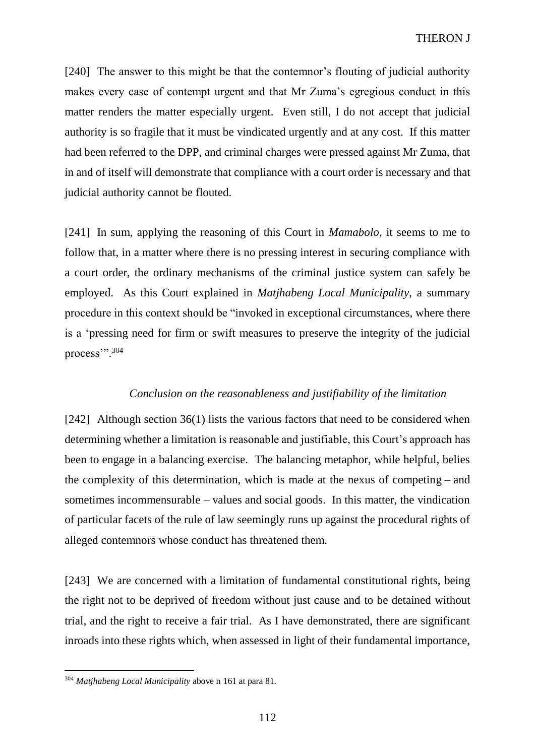[240] The answer to this might be that the contemnor's flouting of judicial authority makes every case of contempt urgent and that Mr Zuma's egregious conduct in this matter renders the matter especially urgent. Even still, I do not accept that judicial authority is so fragile that it must be vindicated urgently and at any cost. If this matter had been referred to the DPP, and criminal charges were pressed against Mr Zuma, that in and of itself will demonstrate that compliance with a court order is necessary and that judicial authority cannot be flouted.

[241] In sum, applying the reasoning of this Court in *Mamabolo*, it seems to me to follow that, in a matter where there is no pressing interest in securing compliance with a court order, the ordinary mechanisms of the criminal justice system can safely be employed. As this Court explained in *Matjhabeng Local Municipality*, a summary procedure in this context should be "invoked in exceptional circumstances, where there is a 'pressing need for firm or swift measures to preserve the integrity of the judicial process".<sup>304</sup>

# *Conclusion on the reasonableness and justifiability of the limitation*

[242] Although section 36(1) lists the various factors that need to be considered when determining whether a limitation is reasonable and justifiable, this Court's approach has been to engage in a balancing exercise. The balancing metaphor, while helpful, belies the complexity of this determination, which is made at the nexus of competing – and sometimes incommensurable – values and social goods. In this matter, the vindication of particular facets of the rule of law seemingly runs up against the procedural rights of alleged contemnors whose conduct has threatened them.

[243] We are concerned with a limitation of fundamental constitutional rights, being the right not to be deprived of freedom without just cause and to be detained without trial, and the right to receive a fair trial. As I have demonstrated, there are significant inroads into these rights which, when assessed in light of their fundamental importance,

<sup>304</sup> *Matjhabeng Local Municipality* above n [161](#page-68-0) at para 81.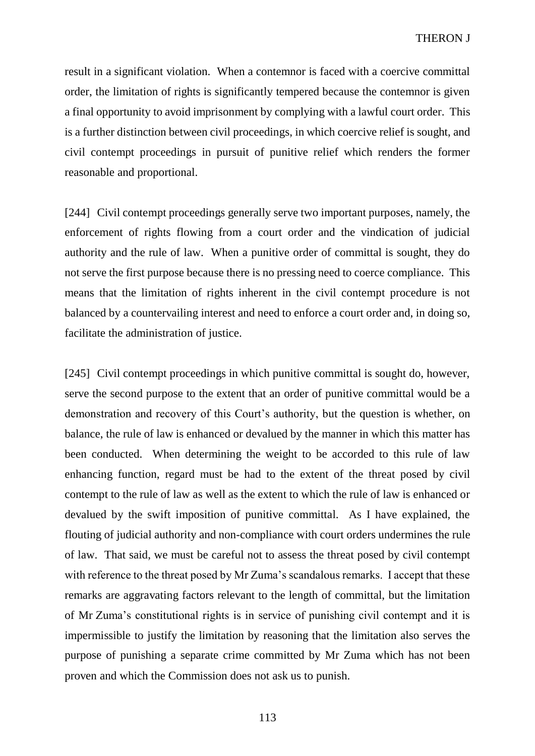result in a significant violation. When a contemnor is faced with a coercive committal order, the limitation of rights is significantly tempered because the contemnor is given a final opportunity to avoid imprisonment by complying with a lawful court order. This is a further distinction between civil proceedings, in which coercive relief is sought, and civil contempt proceedings in pursuit of punitive relief which renders the former reasonable and proportional.

[244] Civil contempt proceedings generally serve two important purposes, namely, the enforcement of rights flowing from a court order and the vindication of judicial authority and the rule of law. When a punitive order of committal is sought, they do not serve the first purpose because there is no pressing need to coerce compliance. This means that the limitation of rights inherent in the civil contempt procedure is not balanced by a countervailing interest and need to enforce a court order and, in doing so, facilitate the administration of justice.

[245] Civil contempt proceedings in which punitive committal is sought do, however, serve the second purpose to the extent that an order of punitive committal would be a demonstration and recovery of this Court's authority, but the question is whether, on balance, the rule of law is enhanced or devalued by the manner in which this matter has been conducted. When determining the weight to be accorded to this rule of law enhancing function, regard must be had to the extent of the threat posed by civil contempt to the rule of law as well as the extent to which the rule of law is enhanced or devalued by the swift imposition of punitive committal. As I have explained, the flouting of judicial authority and non-compliance with court orders undermines the rule of law. That said, we must be careful not to assess the threat posed by civil contempt with reference to the threat posed by Mr Zuma's scandalous remarks. I accept that these remarks are aggravating factors relevant to the length of committal, but the limitation of Mr Zuma's constitutional rights is in service of punishing civil contempt and it is impermissible to justify the limitation by reasoning that the limitation also serves the purpose of punishing a separate crime committed by Mr Zuma which has not been proven and which the Commission does not ask us to punish.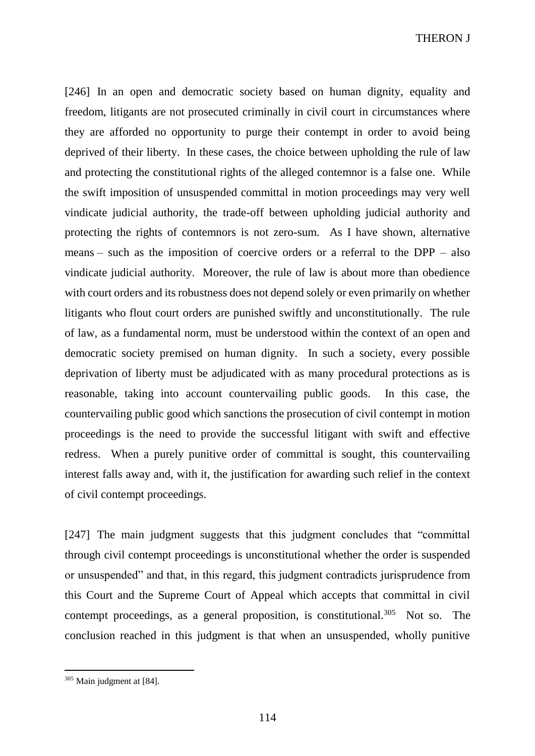THERON J

[246] In an open and democratic society based on human dignity, equality and freedom, litigants are not prosecuted criminally in civil court in circumstances where they are afforded no opportunity to purge their contempt in order to avoid being deprived of their liberty. In these cases, the choice between upholding the rule of law and protecting the constitutional rights of the alleged contemnor is a false one. While the swift imposition of unsuspended committal in motion proceedings may very well vindicate judicial authority, the trade-off between upholding judicial authority and protecting the rights of contemnors is not zero-sum. As I have shown, alternative means – such as the imposition of coercive orders or a referral to the DPP – also vindicate judicial authority. Moreover, the rule of law is about more than obedience with court orders and its robustness does not depend solely or even primarily on whether litigants who flout court orders are punished swiftly and unconstitutionally. The rule of law, as a fundamental norm, must be understood within the context of an open and democratic society premised on human dignity. In such a society, every possible deprivation of liberty must be adjudicated with as many procedural protections as is reasonable, taking into account countervailing public goods. In this case, the countervailing public good which sanctions the prosecution of civil contempt in motion proceedings is the need to provide the successful litigant with swift and effective redress. When a purely punitive order of committal is sought, this countervailing interest falls away and, with it, the justification for awarding such relief in the context of civil contempt proceedings.

[247] The main judgment suggests that this judgment concludes that "committal through civil contempt proceedings is unconstitutional whether the order is suspended or unsuspended" and that, in this regard, this judgment contradicts jurisprudence from this Court and the Supreme Court of Appeal which accepts that committal in civil contempt proceedings, as a general proposition, is constitutional.<sup>305</sup> Not so. The conclusion reached in this judgment is that when an unsuspended, wholly punitive

<sup>305</sup> Main judgment at [\[84\].](#page-40-0)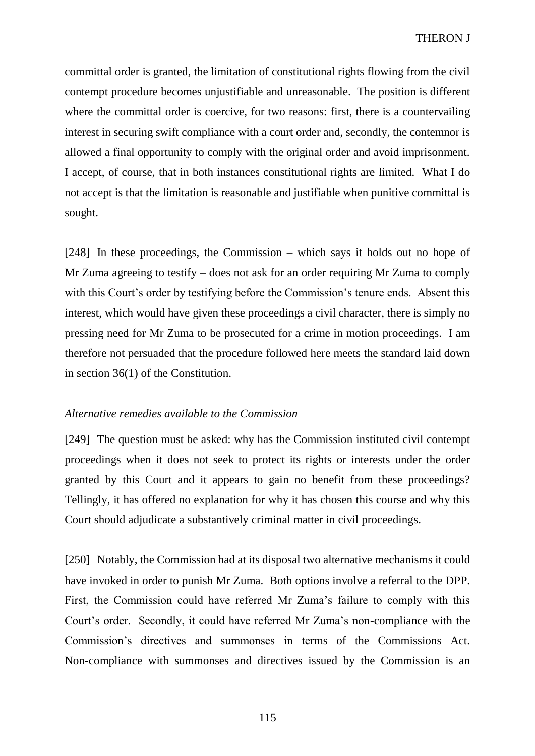committal order is granted, the limitation of constitutional rights flowing from the civil contempt procedure becomes unjustifiable and unreasonable. The position is different where the committal order is coercive, for two reasons: first, there is a countervailing interest in securing swift compliance with a court order and, secondly, the contemnor is allowed a final opportunity to comply with the original order and avoid imprisonment. I accept, of course, that in both instances constitutional rights are limited. What I do not accept is that the limitation is reasonable and justifiable when punitive committal is sought.

[248] In these proceedings, the Commission – which says it holds out no hope of Mr Zuma agreeing to testify – does not ask for an order requiring Mr Zuma to comply with this Court's order by testifying before the Commission's tenure ends. Absent this interest, which would have given these proceedings a civil character, there is simply no pressing need for Mr Zuma to be prosecuted for a crime in motion proceedings. I am therefore not persuaded that the procedure followed here meets the standard laid down in section 36(1) of the Constitution.

#### *Alternative remedies available to the Commission*

[249] The question must be asked: why has the Commission instituted civil contempt proceedings when it does not seek to protect its rights or interests under the order granted by this Court and it appears to gain no benefit from these proceedings? Tellingly, it has offered no explanation for why it has chosen this course and why this Court should adjudicate a substantively criminal matter in civil proceedings.

[250] Notably, the Commission had at its disposal two alternative mechanisms it could have invoked in order to punish Mr Zuma. Both options involve a referral to the DPP. First, the Commission could have referred Mr Zuma's failure to comply with this Court's order. Secondly, it could have referred Mr Zuma's non-compliance with the Commission's directives and summonses in terms of the Commissions Act. Non-compliance with summonses and directives issued by the Commission is an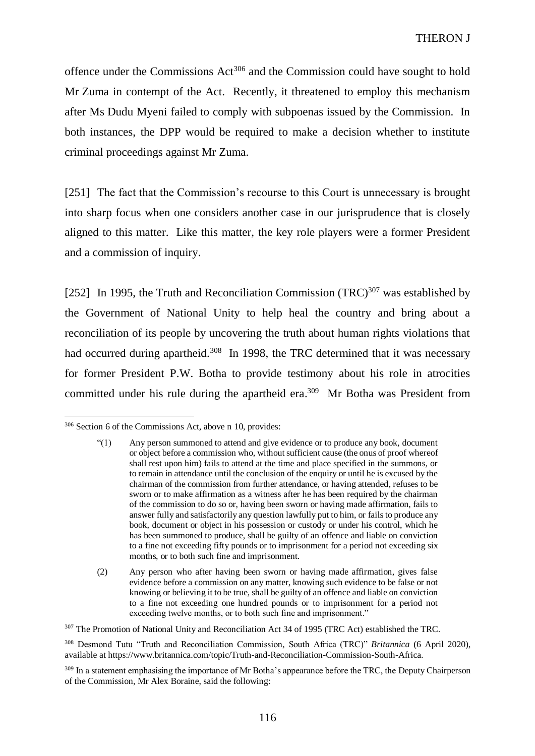offence under the Commissions Act<sup>306</sup> and the Commission could have sought to hold Mr Zuma in contempt of the Act. Recently, it threatened to employ this mechanism after Ms Dudu Myeni failed to comply with subpoenas issued by the Commission. In both instances, the DPP would be required to make a decision whether to institute criminal proceedings against Mr Zuma.

[251] The fact that the Commission's recourse to this Court is unnecessary is brought into sharp focus when one considers another case in our jurisprudence that is closely aligned to this matter. Like this matter, the key role players were a former President and a commission of inquiry.

[252] In 1995, the Truth and Reconciliation Commission  $(TRC)^{307}$  was established by the Government of National Unity to help heal the country and bring about a reconciliation of its people by uncovering the truth about human rights violations that had occurred during apartheid.<sup>308</sup> In 1998, the TRC determined that it was necessary for former President P.W. Botha to provide testimony about his role in atrocities committed under his rule during the apartheid era.<sup>309</sup> Mr Botha was President from

<sup>306</sup> Section 6 of the Commissions Act, above n [10,](#page-8-0) provides:

<sup>&</sup>quot;(1) Any person summoned to attend and give evidence or to produce any book, document or object before a commission who, without sufficient cause (the onus of proof whereof shall rest upon him) fails to attend at the time and place specified in the summons, or to remain in attendance until the conclusion of the enquiry or until he is excused by the chairman of the commission from further attendance, or having attended, refuses to be sworn or to make affirmation as a witness after he has been required by the chairman of the commission to do so or, having been sworn or having made affirmation, fails to answer fully and satisfactorily any question lawfully put to him, or fails to produce any book, document or object in his possession or custody or under his control, which he has been summoned to produce, shall be guilty of an offence and liable on conviction to a fine not exceeding fifty pounds or to imprisonment for a period not exceeding six months, or to both such fine and imprisonment.

<sup>(2)</sup> Any person who after having been sworn or having made affirmation, gives false evidence before a commission on any matter, knowing such evidence to be false or not knowing or believing it to be true, shall be guilty of an offence and liable on conviction to a fine not exceeding one hundred pounds or to imprisonment for a period not exceeding twelve months, or to both such fine and imprisonment."

<sup>&</sup>lt;sup>307</sup> The Promotion of National Unity and Reconciliation Act 34 of 1995 (TRC Act) established the TRC.

<sup>308</sup> Desmond Tutu "Truth and Reconciliation Commission*,* South Africa (TRC)" *Britannica* (6 April 2020), available at https://www.britannica.com/topic/Truth-and-Reconciliation-Commission-South-Africa.

<sup>&</sup>lt;sup>309</sup> In a statement emphasising the importance of Mr Botha's appearance before the TRC, the Deputy Chairperson of the Commission, Mr Alex Boraine, said the following: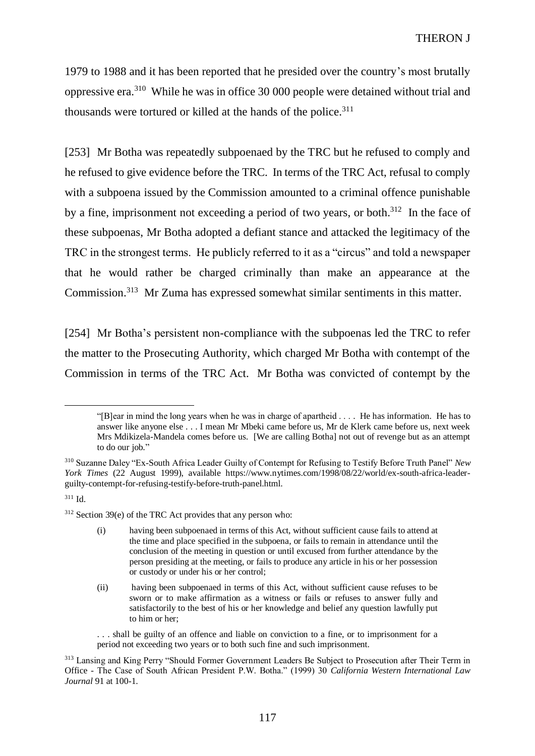1979 to 1988 and it has been reported that he presided over the country's most brutally oppressive era.<sup>310</sup> While he was in office 30 000 people were detained without trial and thousands were tortured or killed at the hands of the police.<sup>311</sup>

[253] Mr Botha was repeatedly subpoenaed by the TRC but he refused to comply and he refused to give evidence before the TRC. In terms of the TRC Act, refusal to comply with a subpoena issued by the Commission amounted to a criminal offence punishable by a fine, imprisonment not exceeding a period of two years, or both.<sup>312</sup> In the face of these subpoenas, Mr Botha adopted a defiant stance and attacked the legitimacy of the TRC in the strongest terms. He publicly referred to it as a "circus" and told a newspaper that he would rather be charged criminally than make an appearance at the Commission.<sup>313</sup> Mr Zuma has expressed somewhat similar sentiments in this matter.

<span id="page-116-0"></span>[254] Mr Botha's persistent non-compliance with the subpoenas led the TRC to refer the matter to the Prosecuting Authority, which charged Mr Botha with contempt of the Commission in terms of the TRC Act. Mr Botha was convicted of contempt by the

<sup>311</sup> Id.

<sup>&</sup>quot;[B]ear in mind the long years when he was in charge of apartheid . . . . He has information. He has to answer like anyone else . . . I mean Mr Mbeki came before us, Mr de Klerk came before us, next week Mrs Mdikizela-Mandela comes before us. [We are calling Botha] not out of revenge but as an attempt to do our job."

<sup>310</sup> Suzanne Daley "Ex-South Africa Leader Guilty of Contempt for Refusing to Testify Before Truth Panel" *New York Times* (22 August 1999), available https://www.nytimes.com/1998/08/22/world/ex-south-africa-leaderguilty-contempt-for-refusing-testify-before-truth-panel.html.

<sup>312</sup> Section 39(e) of the TRC Act provides that any person who:

<sup>(</sup>i) having been subpoenaed in terms of this Act, without sufficient cause fails to attend at the time and place specified in the subpoena, or fails to remain in attendance until the conclusion of the meeting in question or until excused from further attendance by the person presiding at the meeting, or fails to produce any article in his or her possession or custody or under his or her control;

<sup>(</sup>ii) having been subpoenaed in terms of this Act, without sufficient cause refuses to be sworn or to make affirmation as a witness or fails or refuses to answer fully and satisfactorily to the best of his or her knowledge and belief any question lawfully put to him or her;

<sup>. . .</sup> shall be guilty of an offence and liable on conviction to a fine, or to imprisonment for a period not exceeding two years or to both such fine and such imprisonment.

<sup>313</sup> Lansing and King Perry "Should Former Government Leaders Be Subject to Prosecution after Their Term in Office - The Case of South African President P.W. Botha." (1999) 30 *California Western International Law Journal* 91 at 100-1.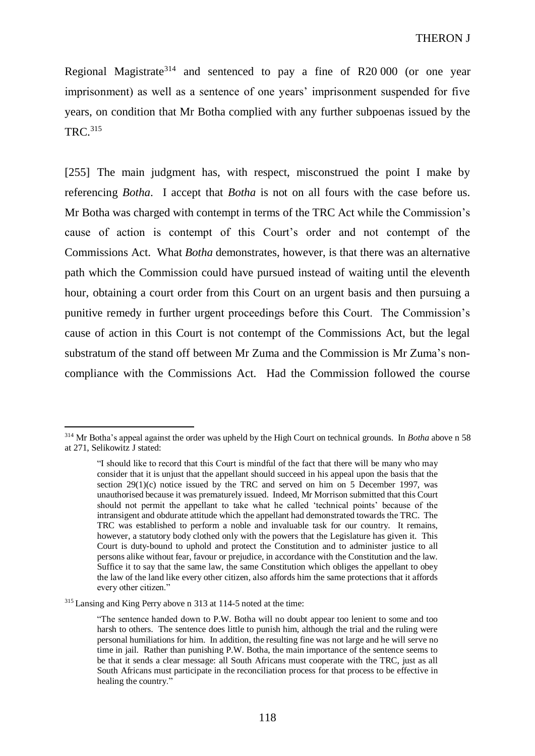Regional Magistrate<sup>314</sup> and sentenced to pay a fine of R20 000 (or one year imprisonment) as well as a sentence of one years' imprisonment suspended for five years, on condition that Mr Botha complied with any further subpoenas issued by the TRC.<sup>315</sup>

[255] The main judgment has, with respect, misconstrued the point I make by referencing *Botha*. I accept that *Botha* is not on all fours with the case before us. Mr Botha was charged with contempt in terms of the TRC Act while the Commission's cause of action is contempt of this Court's order and not contempt of the Commissions Act. What *Botha* demonstrates, however, is that there was an alternative path which the Commission could have pursued instead of waiting until the eleventh hour, obtaining a court order from this Court on an urgent basis and then pursuing a punitive remedy in further urgent proceedings before this Court. The Commission's cause of action in this Court is not contempt of the Commissions Act, but the legal substratum of the stand off between Mr Zuma and the Commission is Mr Zuma's noncompliance with the Commissions Act. Had the Commission followed the course

<sup>314</sup> Mr Botha's appeal against the order was upheld by the High Court on technical grounds. In *Botha* above [n 58](#page-27-0) at 271, Selikowitz J stated:

<sup>&</sup>quot;I should like to record that this Court is mindful of the fact that there will be many who may consider that it is unjust that the appellant should succeed in his appeal upon the basis that the section 29(1)(c) notice issued by the TRC and served on him on 5 December 1997, was unauthorised because it was prematurely issued. Indeed, Mr Morrison submitted that this Court should not permit the appellant to take what he called 'technical points' because of the intransigent and obdurate attitude which the appellant had demonstrated towards the TRC. The TRC was established to perform a noble and invaluable task for our country. It remains, however, a statutory body clothed only with the powers that the Legislature has given it. This Court is duty-bound to uphold and protect the Constitution and to administer justice to all persons alike without fear, favour or prejudice, in accordance with the Constitution and the law. Suffice it to say that the same law, the same Constitution which obliges the appellant to obey the law of the land like every other citizen, also affords him the same protections that it affords every other citizen."

<sup>315</sup> Lansing and King Perry above [n 313](#page-116-0) at 114-5 noted at the time:

<sup>&</sup>quot;The sentence handed down to P.W. Botha will no doubt appear too lenient to some and too harsh to others. The sentence does little to punish him, although the trial and the ruling were personal humiliations for him. In addition, the resulting fine was not large and he will serve no time in jail. Rather than punishing P.W. Botha, the main importance of the sentence seems to be that it sends a clear message: all South Africans must cooperate with the TRC, just as all South Africans must participate in the reconciliation process for that process to be effective in healing the country."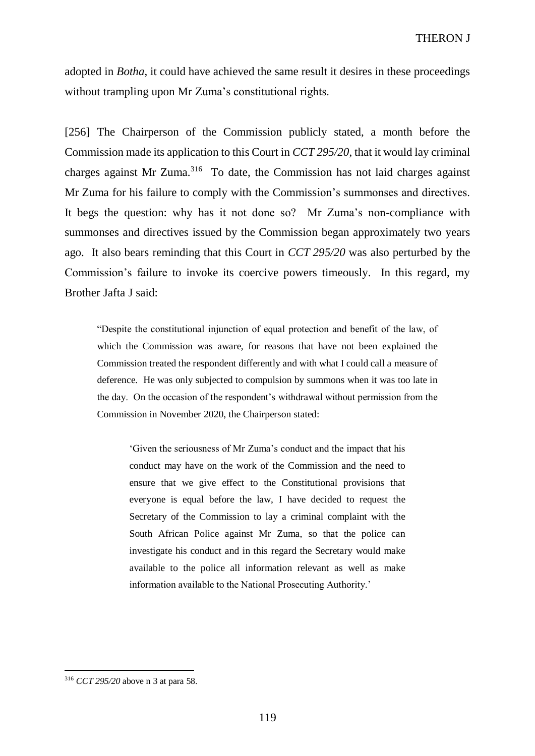adopted in *Botha*, it could have achieved the same result it desires in these proceedings without trampling upon Mr Zuma's constitutional rights.

[256] The Chairperson of the Commission publicly stated, a month before the Commission made its application to this Court in *CCT 295/20*, that it would lay criminal charges against Mr Zuma.<sup>316</sup> To date, the Commission has not laid charges against Mr Zuma for his failure to comply with the Commission's summonses and directives. It begs the question: why has it not done so? Mr Zuma's non-compliance with summonses and directives issued by the Commission began approximately two years ago. It also bears reminding that this Court in *CCT 295/20* was also perturbed by the Commission's failure to invoke its coercive powers timeously. In this regard, my Brother Jafta J said:

"Despite the constitutional injunction of equal protection and benefit of the law, of which the Commission was aware, for reasons that have not been explained the Commission treated the respondent differently and with what I could call a measure of deference. He was only subjected to compulsion by summons when it was too late in the day. On the occasion of the respondent's withdrawal without permission from the Commission in November 2020, the Chairperson stated:

'Given the seriousness of Mr Zuma's conduct and the impact that his conduct may have on the work of the Commission and the need to ensure that we give effect to the Constitutional provisions that everyone is equal before the law, I have decided to request the Secretary of the Commission to lay a criminal complaint with the South African Police against Mr Zuma, so that the police can investigate his conduct and in this regard the Secretary would make available to the police all information relevant as well as make information available to the National Prosecuting Authority.'

<sup>316</sup> *CCT 295/20* above n [3](#page-3-0) at para 58.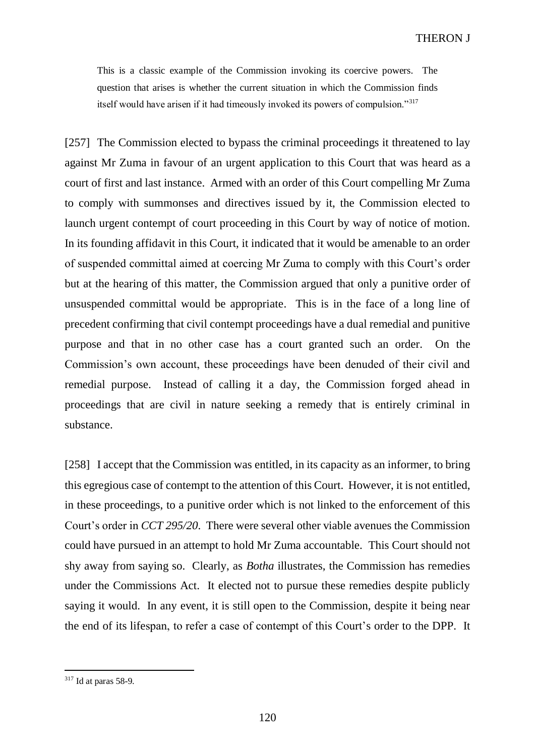This is a classic example of the Commission invoking its coercive powers. The question that arises is whether the current situation in which the Commission finds itself would have arisen if it had timeously invoked its powers of compulsion."<sup>317</sup>

[257] The Commission elected to bypass the criminal proceedings it threatened to lay against Mr Zuma in favour of an urgent application to this Court that was heard as a court of first and last instance. Armed with an order of this Court compelling Mr Zuma to comply with summonses and directives issued by it, the Commission elected to launch urgent contempt of court proceeding in this Court by way of notice of motion. In its founding affidavit in this Court, it indicated that it would be amenable to an order of suspended committal aimed at coercing Mr Zuma to comply with this Court's order but at the hearing of this matter, the Commission argued that only a punitive order of unsuspended committal would be appropriate. This is in the face of a long line of precedent confirming that civil contempt proceedings have a dual remedial and punitive purpose and that in no other case has a court granted such an order. On the Commission's own account, these proceedings have been denuded of their civil and remedial purpose. Instead of calling it a day, the Commission forged ahead in proceedings that are civil in nature seeking a remedy that is entirely criminal in substance.

[258] I accept that the Commission was entitled, in its capacity as an informer, to bring this egregious case of contempt to the attention of this Court. However, it is not entitled, in these proceedings, to a punitive order which is not linked to the enforcement of this Court's order in *CCT 295/20*. There were several other viable avenues the Commission could have pursued in an attempt to hold Mr Zuma accountable. This Court should not shy away from saying so. Clearly, as *Botha* illustrates, the Commission has remedies under the Commissions Act. It elected not to pursue these remedies despite publicly saying it would. In any event, it is still open to the Commission, despite it being near the end of its lifespan, to refer a case of contempt of this Court's order to the DPP. It

<sup>317</sup> Id at paras 58-9.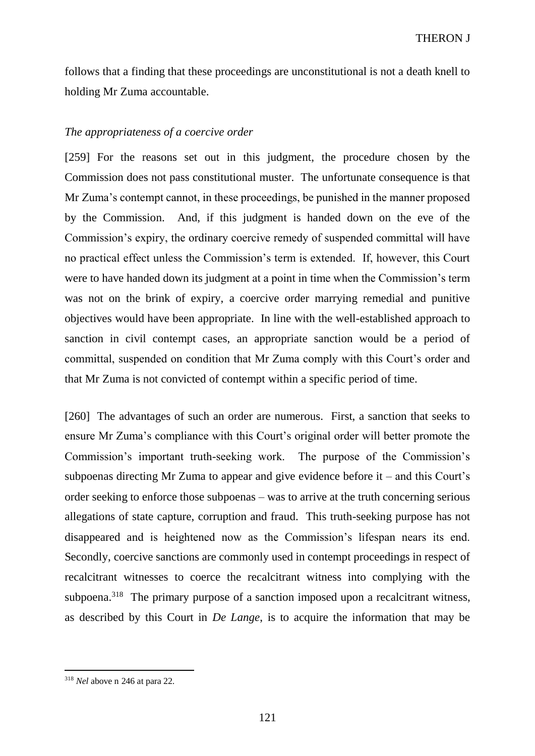follows that a finding that these proceedings are unconstitutional is not a death knell to holding Mr Zuma accountable.

# *The appropriateness of a coercive order*

[259] For the reasons set out in this judgment, the procedure chosen by the Commission does not pass constitutional muster. The unfortunate consequence is that Mr Zuma's contempt cannot, in these proceedings, be punished in the manner proposed by the Commission. And, if this judgment is handed down on the eve of the Commission's expiry, the ordinary coercive remedy of suspended committal will have no practical effect unless the Commission's term is extended. If, however, this Court were to have handed down its judgment at a point in time when the Commission's term was not on the brink of expiry, a coercive order marrying remedial and punitive objectives would have been appropriate. In line with the well-established approach to sanction in civil contempt cases, an appropriate sanction would be a period of committal, suspended on condition that Mr Zuma comply with this Court's order and that Mr Zuma is not convicted of contempt within a specific period of time.

[260] The advantages of such an order are numerous. First, a sanction that seeks to ensure Mr Zuma's compliance with this Court's original order will better promote the Commission's important truth-seeking work. The purpose of the Commission's subpoenas directing Mr Zuma to appear and give evidence before it – and this Court's order seeking to enforce those subpoenas – was to arrive at the truth concerning serious allegations of state capture, corruption and fraud. This truth-seeking purpose has not disappeared and is heightened now as the Commission's lifespan nears its end. Secondly, coercive sanctions are commonly used in contempt proceedings in respect of recalcitrant witnesses to coerce the recalcitrant witness into complying with the subpoena.<sup>318</sup> The primary purpose of a sanction imposed upon a recalcitrant witness, as described by this Court in *De Lange*, is to acquire the information that may be

<sup>318</sup> *Nel* above [n 246](#page-90-0) at para 22.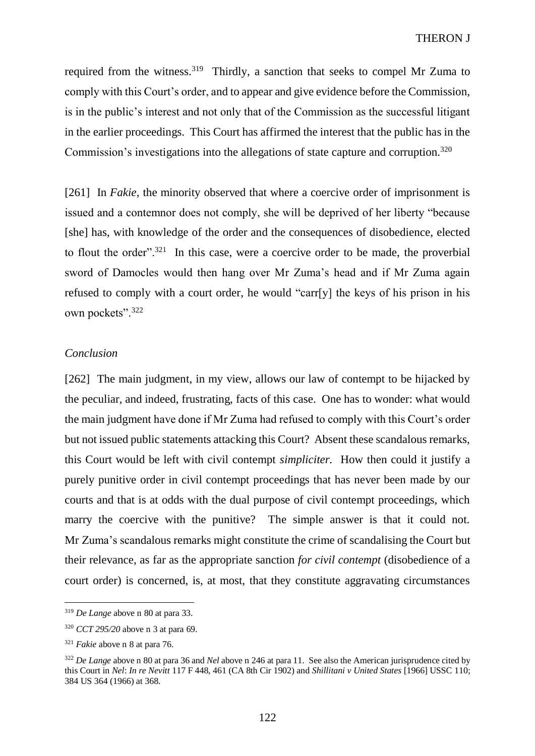required from the witness.<sup>319</sup> Thirdly, a sanction that seeks to compel Mr Zuma to comply with this Court's order, and to appear and give evidence before the Commission, is in the public's interest and not only that of the Commission as the successful litigant in the earlier proceedings. This Court has affirmed the interest that the public has in the Commission's investigations into the allegations of state capture and corruption.<sup>320</sup>

[261] In *Fakie*, the minority observed that where a coercive order of imprisonment is issued and a contemnor does not comply, she will be deprived of her liberty "because [she] has, with knowledge of the order and the consequences of disobedience, elected to flout the order".<sup>321</sup> In this case, were a coercive order to be made, the proverbial sword of Damocles would then hang over Mr Zuma's head and if Mr Zuma again refused to comply with a court order, he would "carr[y] the keys of his prison in his own pockets".<sup>322</sup>

## *Conclusion*

[262] The main judgment, in my view, allows our law of contempt to be hijacked by the peculiar, and indeed, frustrating, facts of this case. One has to wonder: what would the main judgment have done if Mr Zuma had refused to comply with this Court's order but not issued public statements attacking this Court? Absent these scandalous remarks, this Court would be left with civil contempt *simpliciter.* How then could it justify a purely punitive order in civil contempt proceedings that has never been made by our courts and that is at odds with the dual purpose of civil contempt proceedings, which marry the coercive with the punitive? The simple answer is that it could not. Mr Zuma's scandalous remarks might constitute the crime of scandalising the Court but their relevance, as far as the appropriate sanction *for civil contempt* (disobedience of a court order) is concerned, is, at most, that they constitute aggravating circumstances

<sup>319</sup> *De Lange* above n [80](#page-33-0) at para 33.

<sup>320</sup> *CCT 295/20* above n [3](#page-3-0) at para 69.

<sup>321</sup> *Fakie* above [n 8](#page-6-0) at para 76.

<sup>322</sup> *De Lange* above n [80](#page-33-0) at para 36 and *Nel* above [n 246](#page-90-0) at para 11. See also the American jurisprudence cited by this Court in *Nel*: *In re Nevitt* 117 F 448, 461 (CA 8th Cir 1902) and *Shillitani v United States* [1966] USSC 110; 384 US 364 (1966) at 368.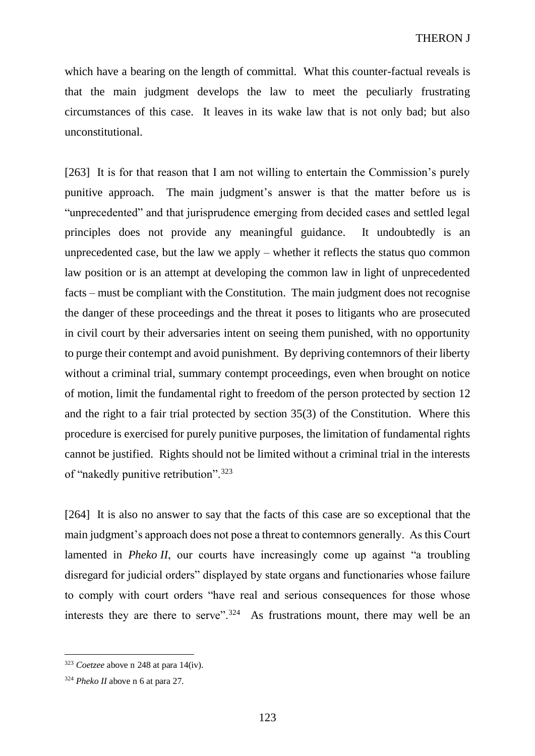which have a bearing on the length of committal. What this counter-factual reveals is that the main judgment develops the law to meet the peculiarly frustrating circumstances of this case. It leaves in its wake law that is not only bad; but also unconstitutional.

[263] It is for that reason that I am not willing to entertain the Commission's purely punitive approach. The main judgment's answer is that the matter before us is "unprecedented" and that jurisprudence emerging from decided cases and settled legal principles does not provide any meaningful guidance. It undoubtedly is an unprecedented case, but the law we apply – whether it reflects the status quo common law position or is an attempt at developing the common law in light of unprecedented facts – must be compliant with the Constitution. The main judgment does not recognise the danger of these proceedings and the threat it poses to litigants who are prosecuted in civil court by their adversaries intent on seeing them punished, with no opportunity to purge their contempt and avoid punishment. By depriving contemnors of their liberty without a criminal trial, summary contempt proceedings, even when brought on notice of motion, limit the fundamental right to freedom of the person protected by section 12 and the right to a fair trial protected by section 35(3) of the Constitution. Where this procedure is exercised for purely punitive purposes, the limitation of fundamental rights cannot be justified. Rights should not be limited without a criminal trial in the interests of "nakedly punitive retribution".<sup>323</sup>

[264] It is also no answer to say that the facts of this case are so exceptional that the main judgment's approach does not pose a threat to contemnors generally. As this Court lamented in *Pheko II*, our courts have increasingly come up against "a troubling" disregard for judicial orders" displayed by state organs and functionaries whose failure to comply with court orders "have real and serious consequences for those whose interests they are there to serve". $324$  As frustrations mount, there may well be an

<sup>323</sup> *Coetzee* above [n 248](#page-90-1) at para 14(iv).

<sup>324</sup> *Pheko II* above n [6](#page-5-0) at para 27.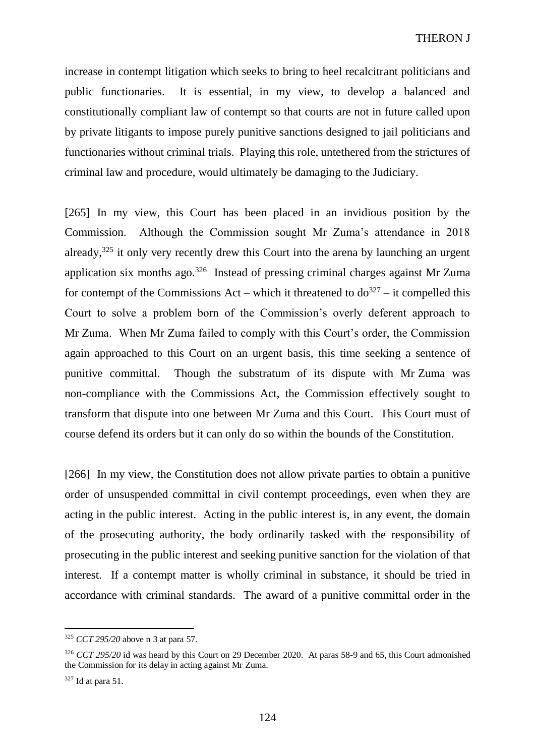increase in contempt litigation which seeks to bring to heel recalcitrant politicians and public functionaries. It is essential, in my view, to develop a balanced and constitutionally compliant law of contempt so that courts are not in future called upon by private litigants to impose purely punitive sanctions designed to jail politicians and functionaries without criminal trials. Playing this role, untethered from the strictures of criminal law and procedure, would ultimately be damaging to the Judiciary.

[265] In my view, this Court has been placed in an invidious position by the Commission. Although the Commission sought Mr Zuma's attendance in 2018 already,<sup>325</sup> it only very recently drew this Court into the arena by launching an urgent application six months ago.<sup>326</sup> Instead of pressing criminal charges against Mr Zuma for contempt of the Commissions Act – which it threatened to  $d\sigma^{327}$  – it compelled this Court to solve a problem born of the Commission's overly deferent approach to Mr Zuma. When Mr Zuma failed to comply with this Court's order, the Commission again approached to this Court on an urgent basis, this time seeking a sentence of punitive committal. Though the substratum of its dispute with Mr Zuma was non-compliance with the Commissions Act, the Commission effectively sought to transform that dispute into one between Mr Zuma and this Court. This Court must of course defend its orders but it can only do so within the bounds of the Constitution.

[266] In my view, the Constitution does not allow private parties to obtain a punitive order of unsuspended committal in civil contempt proceedings, even when they are acting in the public interest. Acting in the public interest is, in any event, the domain of the prosecuting authority, the body ordinarily tasked with the responsibility of prosecuting in the public interest and seeking punitive sanction for the violation of that interest. If a contempt matter is wholly criminal in substance, it should be tried in accordance with criminal standards. The award of a punitive committal order in the

<sup>325</sup> *CCT 295/20* above n [3](#page-3-0) at para 57.

<sup>&</sup>lt;sup>326</sup> *CCT 295/20* id was heard by this Court on 29 December 2020. At paras 58-9 and 65, this Court admonished the Commission for its delay in acting against Mr Zuma.

 $327$  Id at para 51.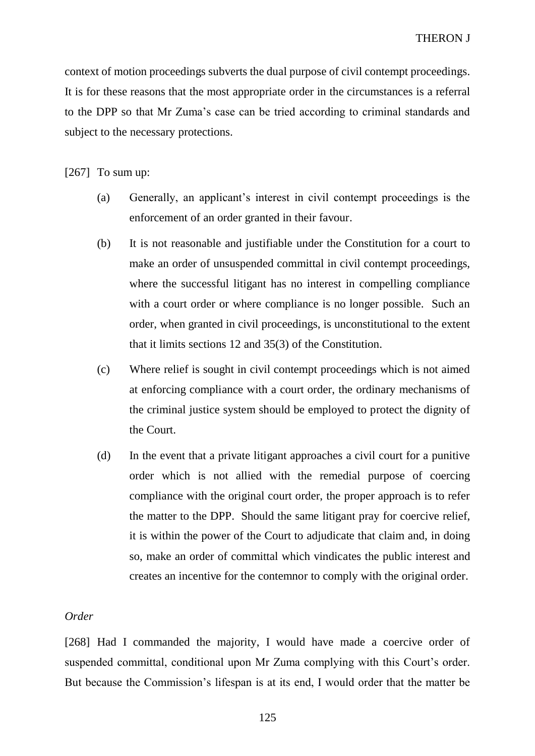context of motion proceedings subverts the dual purpose of civil contempt proceedings. It is for these reasons that the most appropriate order in the circumstances is a referral to the DPP so that Mr Zuma's case can be tried according to criminal standards and subject to the necessary protections.

### [267] To sum up:

- (a) Generally, an applicant's interest in civil contempt proceedings is the enforcement of an order granted in their favour.
- (b) It is not reasonable and justifiable under the Constitution for a court to make an order of unsuspended committal in civil contempt proceedings, where the successful litigant has no interest in compelling compliance with a court order or where compliance is no longer possible. Such an order, when granted in civil proceedings, is unconstitutional to the extent that it limits sections 12 and 35(3) of the Constitution.
- (c) Where relief is sought in civil contempt proceedings which is not aimed at enforcing compliance with a court order, the ordinary mechanisms of the criminal justice system should be employed to protect the dignity of the Court.
- (d) In the event that a private litigant approaches a civil court for a punitive order which is not allied with the remedial purpose of coercing compliance with the original court order, the proper approach is to refer the matter to the DPP. Should the same litigant pray for coercive relief, it is within the power of the Court to adjudicate that claim and, in doing so, make an order of committal which vindicates the public interest and creates an incentive for the contemnor to comply with the original order.

#### *Order*

[268] Had I commanded the majority, I would have made a coercive order of suspended committal, conditional upon Mr Zuma complying with this Court's order. But because the Commission's lifespan is at its end, I would order that the matter be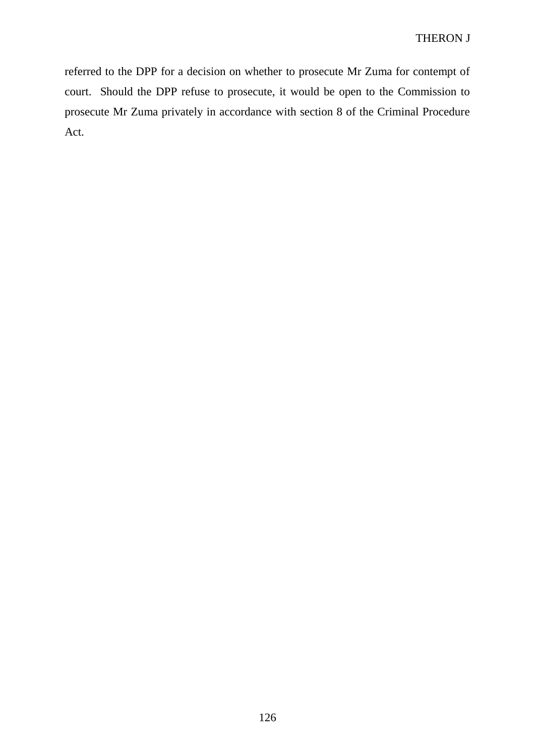referred to the DPP for a decision on whether to prosecute Mr Zuma for contempt of court. Should the DPP refuse to prosecute, it would be open to the Commission to prosecute Mr Zuma privately in accordance with section 8 of the Criminal Procedure Act.